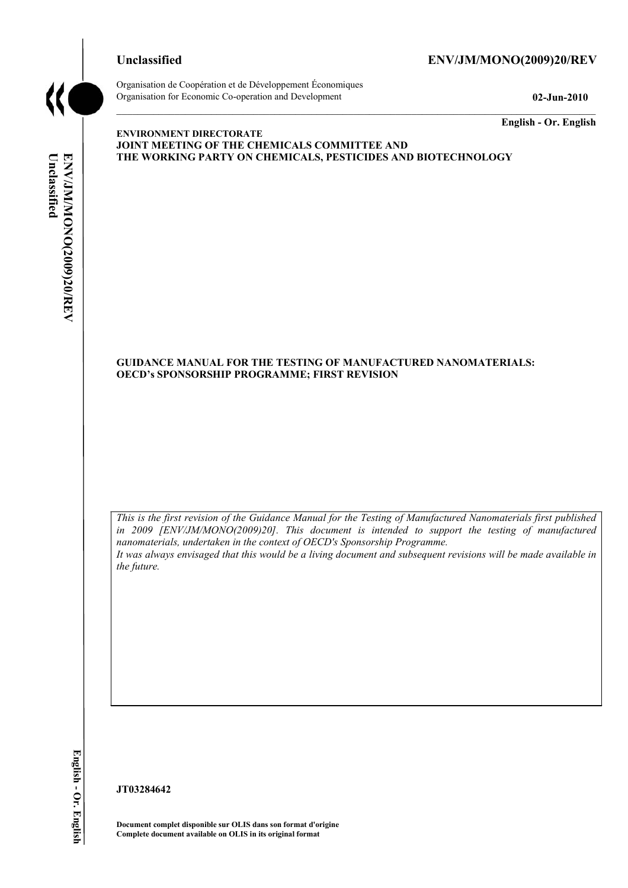



Organisation de Coopération et de Développement Économiques Organisation for Economic Co-operation and Development **02-Jun-2010** 

**English - Or. English** 

# Unclassified **Unclassified**  ENV/JM/MONOC2009)20/REV **ENV/JM/MONO(2009)20/REV English - Or. English**

# **ENVIRONMENT DIRECTORATE JOINT MEETING OF THE CHEMICALS COMMITTEE AND THE WORKING PARTY ON CHEMICALS, PESTICIDES AND BIOTECHNOLOGY**

# **GUIDANCE MANUAL FOR THE TESTING OF MANUFACTURED NANOMATERIALS: OECD's SPONSORSHIP PROGRAMME; FIRST REVISION**

*This is the first revision of the Guidance Manual for the Testing of Manufactured Nanomaterials first published in 2009 [ENV/JM/MONO(2009)20]. This document is intended to support the testing of manufactured nanomaterials, undertaken in the context of OECD's Sponsorship Programme. It was always envisaged that this would be a living document and subsequent revisions will be made available in the future.* 

**JT03284642** 

**Document complet disponible sur OLIS dans son format d'origine Complete document available on OLIS in its original format**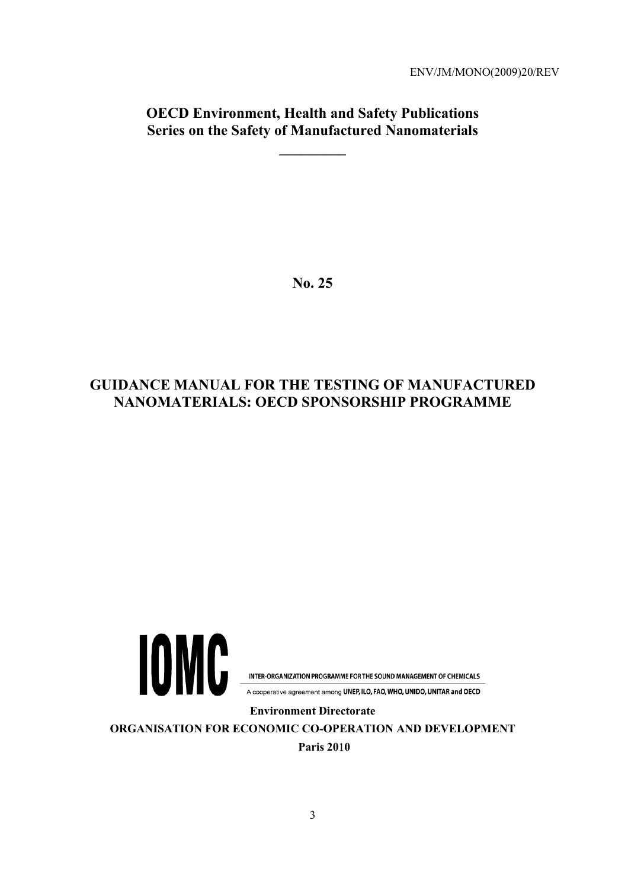**OECD Environment, Health and Safety Publications Series on the Safety of Manufactured Nanomaterials** 

**No. 25** 

# **GUIDANCE MANUAL FOR THE TESTING OF MANUFACTURED NANOMATERIALS: OECD SPONSORSHIP PROGRAMME**



INTER-ORGANIZATION PROGRAMME FOR THE SOUND MANAGEMENT OF CHEMICALS

A cooperative agreement among UNEP, ILO, FAO, WHO, UNIDO, UNITAR and OECD

**Environment Directorate** 

**ORGANISATION FOR ECONOMIC CO-OPERATION AND DEVELOPMENT** 

**Paris 20**1**0**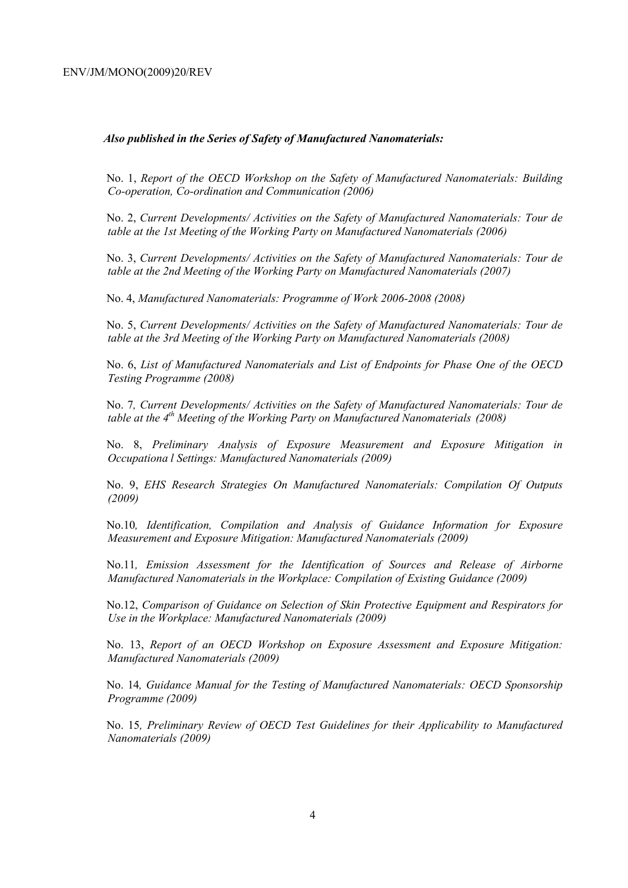# *Also published in the Series of Safety of Manufactured Nanomaterials:*

No. 1, *Report of the OECD Workshop on the Safety of Manufactured Nanomaterials: Building Co-operation, Co-ordination and Communication (2006)* 

No. 2, *Current Developments/ Activities on the Safety of Manufactured Nanomaterials: Tour de table at the 1st Meeting of the Working Party on Manufactured Nanomaterials (2006)* 

No. 3, *Current Developments/ Activities on the Safety of Manufactured Nanomaterials: Tour de table at the 2nd Meeting of the Working Party on Manufactured Nanomaterials (2007)*

No. 4, *Manufactured Nanomaterials: Programme of Work 2006-2008 (2008)* 

No. 5, *Current Developments/ Activities on the Safety of Manufactured Nanomaterials: Tour de table at the 3rd Meeting of the Working Party on Manufactured Nanomaterials (2008)* 

No. 6, *List of Manufactured Nanomaterials and List of Endpoints for Phase One of the OECD Testing Programme (2008)* 

No. 7*, Current Developments/ Activities on the Safety of Manufactured Nanomaterials: Tour de table at the 4th Meeting of the Working Party on Manufactured Nanomaterials (2008)* 

No. 8, *Preliminary Analysis of Exposure Measurement and Exposure Mitigation in Occupationa l Settings: Manufactured Nanomaterials (2009)* 

No. 9, *EHS Research Strategies On Manufactured Nanomaterials: Compilation Of Outputs (2009)* 

 No.10*, Identification, Compilation and Analysis of Guidance Information for Exposure Measurement and Exposure Mitigation: Manufactured Nanomaterials (2009)* 

No.11*, Emission Assessment for the Identification of Sources and Release of Airborne Manufactured Nanomaterials in the Workplace: Compilation of Existing Guidance (2009)* 

No.12, *Comparison of Guidance on Selection of Skin Protective Equipment and Respirators for Use in the Workplace: Manufactured Nanomaterials (2009)* 

 No. 13, *Report of an OECD Workshop on Exposure Assessment and Exposure Mitigation: Manufactured Nanomaterials (2009)* 

No. 14*, Guidance Manual for the Testing of Manufactured Nanomaterials: OECD Sponsorship Programme (2009)* 

No. 15*, Preliminary Review of OECD Test Guidelines for their Applicability to Manufactured Nanomaterials (2009)*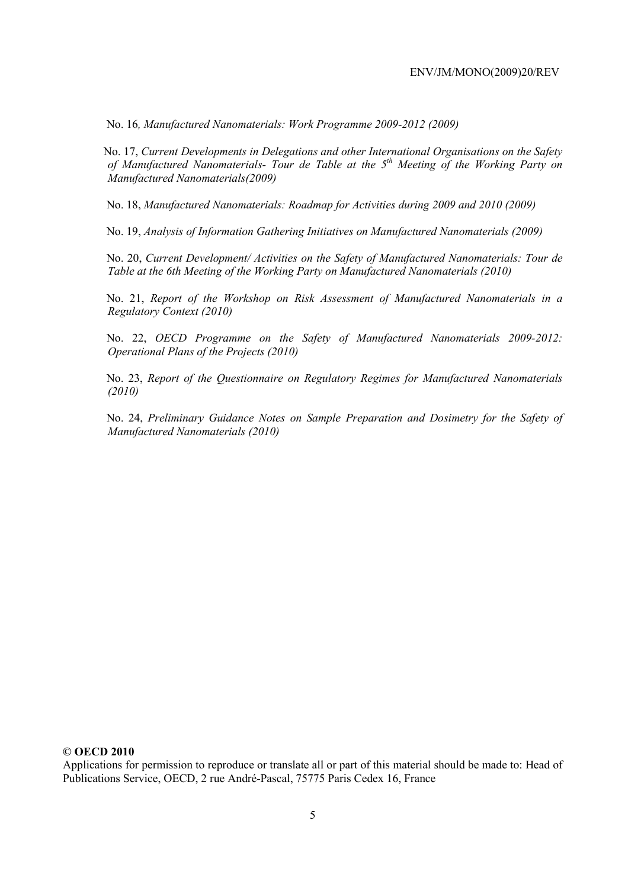No. 16*, Manufactured Nanomaterials: Work Programme 2009-2012 (2009)* 

 No. 17, *Current Developments in Delegations and other International Organisations on the Safety*  of Manufactured Nanomaterials- Tour de Table at the 5<sup>th</sup> Meeting of the Working Party on *Manufactured Nanomaterials(2009)* 

No. 18, *Manufactured Nanomaterials: Roadmap for Activities during 2009 and 2010 (2009)* 

No. 19, *Analysis of Information Gathering Initiatives on Manufactured Nanomaterials (2009)* 

No. 20, *Current Development/ Activities on the Safety of Manufactured Nanomaterials: Tour de Table at the 6th Meeting of the Working Party on Manufactured Nanomaterials (2010)* 

No. 21, *Report of the Workshop on Risk Assessment of Manufactured Nanomaterials in a Regulatory Context (2010)* 

No. 22, *OECD Programme on the Safety of Manufactured Nanomaterials 2009-2012: Operational Plans of the Projects (2010)* 

No. 23, *Report of the Questionnaire on Regulatory Regimes for Manufactured Nanomaterials (2010)* 

No. 24, *Preliminary Guidance Notes on Sample Preparation and Dosimetry for the Safety of Manufactured Nanomaterials (2010)* 

## **© OECD 2010**

Applications for permission to reproduce or translate all or part of this material should be made to: Head of Publications Service, OECD, 2 rue André-Pascal, 75775 Paris Cedex 16, France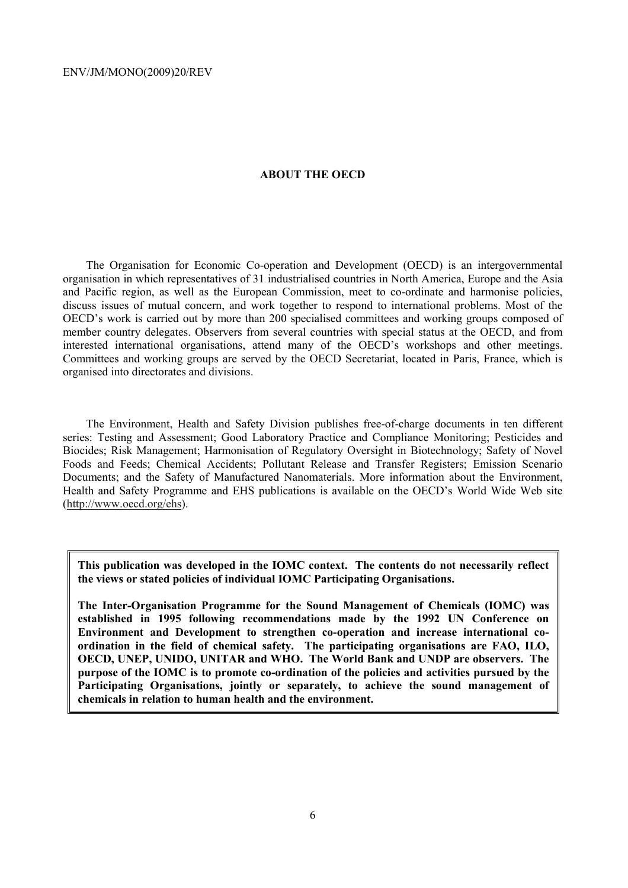#### **ABOUT THE OECD**

The Organisation for Economic Co-operation and Development (OECD) is an intergovernmental organisation in which representatives of 31 industrialised countries in North America, Europe and the Asia and Pacific region, as well as the European Commission, meet to co-ordinate and harmonise policies, discuss issues of mutual concern, and work together to respond to international problems. Most of the OECD's work is carried out by more than 200 specialised committees and working groups composed of member country delegates. Observers from several countries with special status at the OECD, and from interested international organisations, attend many of the OECD's workshops and other meetings. Committees and working groups are served by the OECD Secretariat, located in Paris, France, which is organised into directorates and divisions.

The Environment, Health and Safety Division publishes free-of-charge documents in ten different series: Testing and Assessment; Good Laboratory Practice and Compliance Monitoring; Pesticides and Biocides; Risk Management; Harmonisation of Regulatory Oversight in Biotechnology; Safety of Novel Foods and Feeds; Chemical Accidents; Pollutant Release and Transfer Registers; Emission Scenario Documents; and the Safety of Manufactured Nanomaterials. More information about the Environment, Health and Safety Programme and EHS publications is available on the OECD's World Wide Web site (http://www.oecd.org/ehs).

**This publication was developed in the IOMC context. The contents do not necessarily reflect the views or stated policies of individual IOMC Participating Organisations.** 

**The Inter-Organisation Programme for the Sound Management of Chemicals (IOMC) was established in 1995 following recommendations made by the 1992 UN Conference on Environment and Development to strengthen co-operation and increase international coordination in the field of chemical safety. The participating organisations are FAO, ILO, OECD, UNEP, UNIDO, UNITAR and WHO. The World Bank and UNDP are observers. The purpose of the IOMC is to promote co-ordination of the policies and activities pursued by the Participating Organisations, jointly or separately, to achieve the sound management of chemicals in relation to human health and the environment.**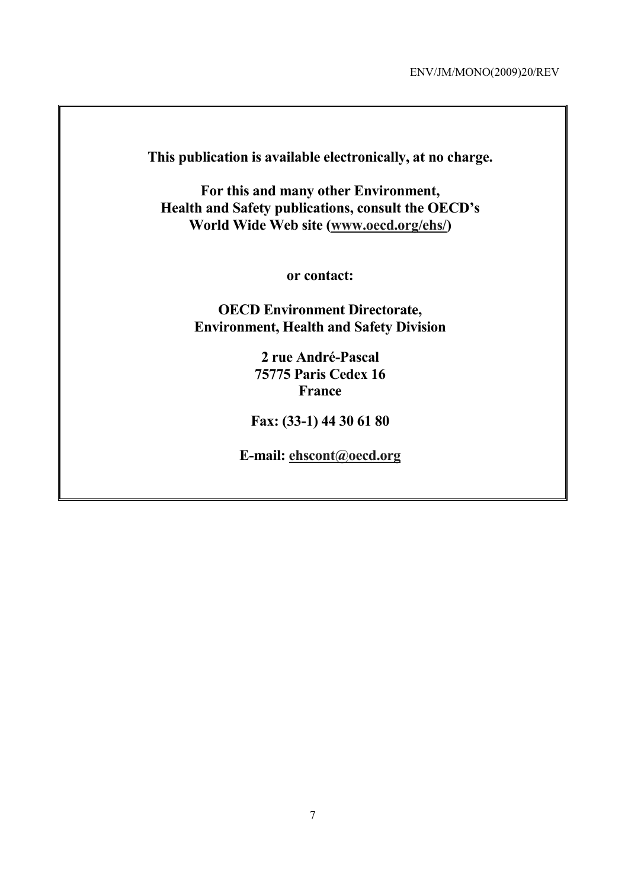**This publication is available electronically, at no charge.** 

**For this and many other Environment, Health and Safety publications, consult the OECD's World Wide Web site (www.oecd.org/ehs/)** 

**or contact:** 

**OECD Environment Directorate, Environment, Health and Safety Division**

> **2 rue André-Pascal 75775 Paris Cedex 16 France**

**Fax: (33-1) 44 30 61 80** 

**E-mail: ehscont@oecd.org**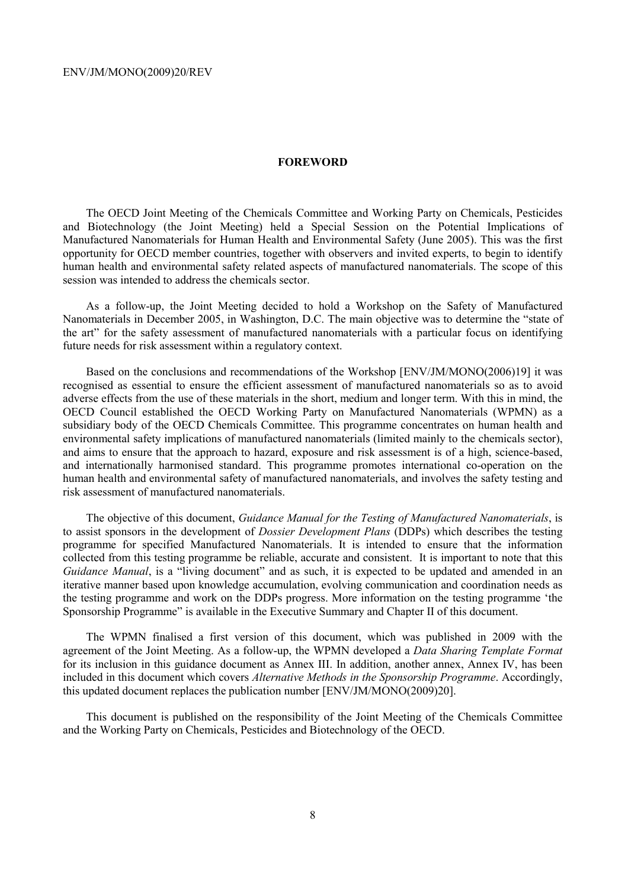#### **FOREWORD**

The OECD Joint Meeting of the Chemicals Committee and Working Party on Chemicals, Pesticides and Biotechnology (the Joint Meeting) held a Special Session on the Potential Implications of Manufactured Nanomaterials for Human Health and Environmental Safety (June 2005). This was the first opportunity for OECD member countries, together with observers and invited experts, to begin to identify human health and environmental safety related aspects of manufactured nanomaterials. The scope of this session was intended to address the chemicals sector.

As a follow-up, the Joint Meeting decided to hold a Workshop on the Safety of Manufactured Nanomaterials in December 2005, in Washington, D.C. The main objective was to determine the "state of the art" for the safety assessment of manufactured nanomaterials with a particular focus on identifying future needs for risk assessment within a regulatory context.

Based on the conclusions and recommendations of the Workshop [ENV/JM/MONO(2006)19] it was recognised as essential to ensure the efficient assessment of manufactured nanomaterials so as to avoid adverse effects from the use of these materials in the short, medium and longer term. With this in mind, the OECD Council established the OECD Working Party on Manufactured Nanomaterials (WPMN) as a subsidiary body of the OECD Chemicals Committee. This programme concentrates on human health and environmental safety implications of manufactured nanomaterials (limited mainly to the chemicals sector), and aims to ensure that the approach to hazard, exposure and risk assessment is of a high, science-based, and internationally harmonised standard. This programme promotes international co-operation on the human health and environmental safety of manufactured nanomaterials, and involves the safety testing and risk assessment of manufactured nanomaterials.

The objective of this document, *Guidance Manual for the Testing of Manufactured Nanomaterials*, is to assist sponsors in the development of *Dossier Development Plans* (DDPs) which describes the testing programme for specified Manufactured Nanomaterials. It is intended to ensure that the information collected from this testing programme be reliable, accurate and consistent. It is important to note that this *Guidance Manual*, is a "living document" and as such, it is expected to be updated and amended in an iterative manner based upon knowledge accumulation, evolving communication and coordination needs as the testing programme and work on the DDPs progress. More information on the testing programme 'the Sponsorship Programme" is available in the Executive Summary and Chapter II of this document.

The WPMN finalised a first version of this document, which was published in 2009 with the agreement of the Joint Meeting. As a follow-up, the WPMN developed a *Data Sharing Template Format* for its inclusion in this guidance document as Annex III. In addition, another annex, Annex IV, has been included in this document which covers *Alternative Methods in the Sponsorship Programme*. Accordingly, this updated document replaces the publication number [ENV/JM/MONO(2009)20].

This document is published on the responsibility of the Joint Meeting of the Chemicals Committee and the Working Party on Chemicals, Pesticides and Biotechnology of the OECD.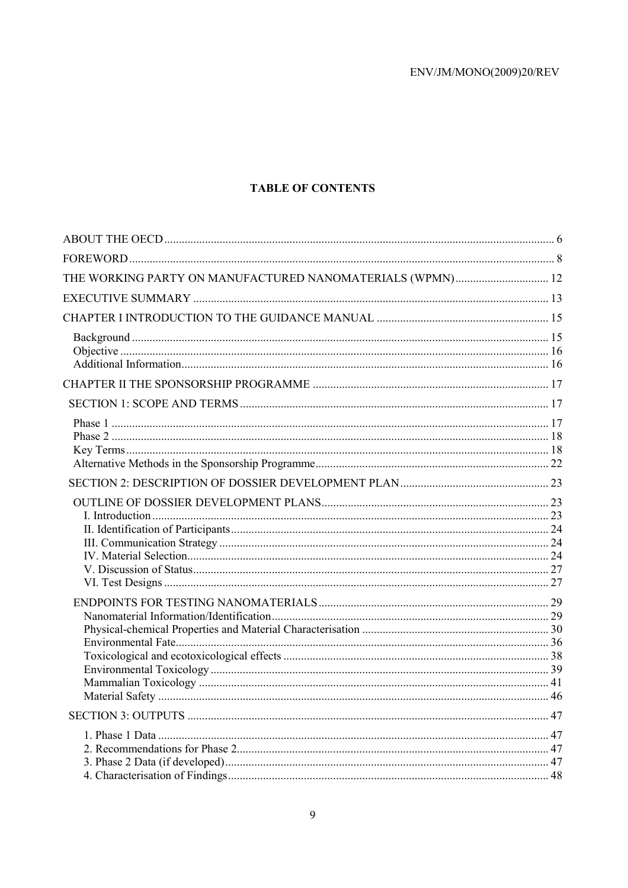# **TABLE OF CONTENTS**

| THE WORKING PARTY ON MANUFACTURED NANOMATERIALS (WPMN) 12 |  |
|-----------------------------------------------------------|--|
|                                                           |  |
|                                                           |  |
|                                                           |  |
|                                                           |  |
|                                                           |  |
|                                                           |  |
|                                                           |  |
|                                                           |  |
|                                                           |  |
|                                                           |  |
|                                                           |  |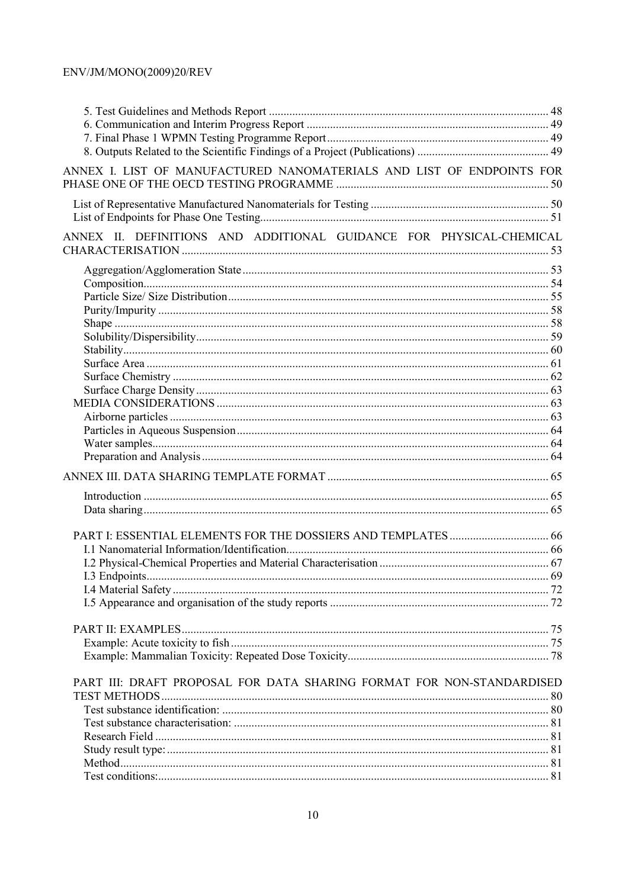| ANNEX I. LIST OF MANUFACTURED NANOMATERIALS AND LIST OF ENDPOINTS FOR |  |
|-----------------------------------------------------------------------|--|
|                                                                       |  |
| ANNEX II. DEFINITIONS AND ADDITIONAL GUIDANCE FOR PHYSICAL-CHEMICAL   |  |
|                                                                       |  |
|                                                                       |  |
|                                                                       |  |
|                                                                       |  |
|                                                                       |  |
|                                                                       |  |
|                                                                       |  |
|                                                                       |  |
|                                                                       |  |
|                                                                       |  |
|                                                                       |  |
|                                                                       |  |
|                                                                       |  |
|                                                                       |  |
|                                                                       |  |
|                                                                       |  |
|                                                                       |  |
|                                                                       |  |
|                                                                       |  |
|                                                                       |  |
|                                                                       |  |
|                                                                       |  |
|                                                                       |  |
|                                                                       |  |
|                                                                       |  |
| PART III: DRAFT PROPOSAL FOR DATA SHARING FORMAT FOR NON-STANDARDISED |  |
|                                                                       |  |
|                                                                       |  |
|                                                                       |  |
|                                                                       |  |
|                                                                       |  |
|                                                                       |  |
|                                                                       |  |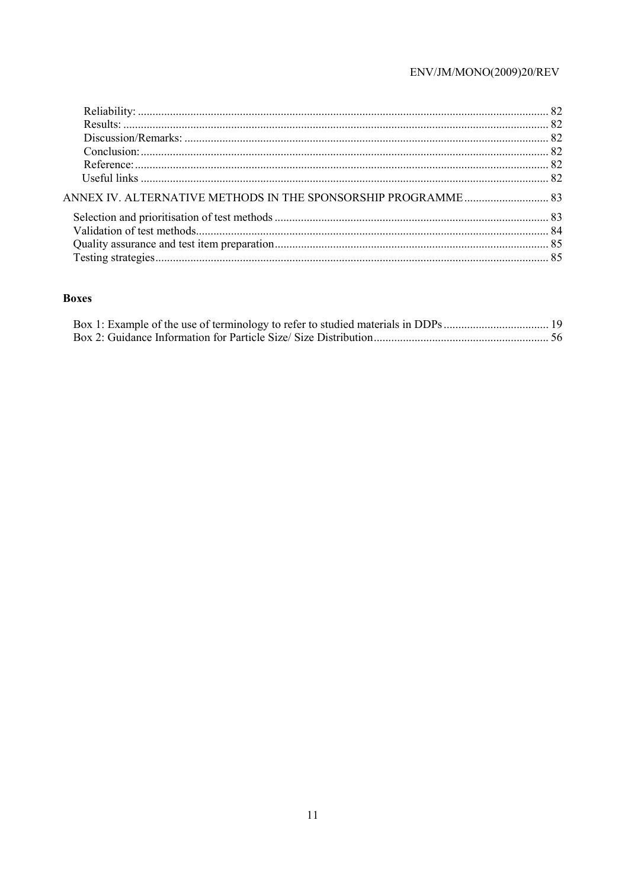# **Boxes**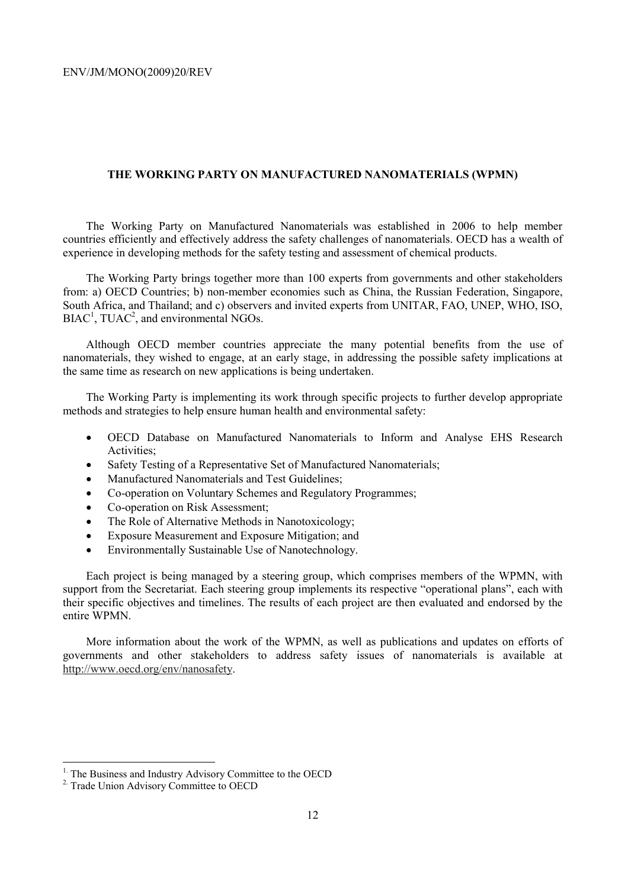#### **THE WORKING PARTY ON MANUFACTURED NANOMATERIALS (WPMN)**

The Working Party on Manufactured Nanomaterials was established in 2006 to help member countries efficiently and effectively address the safety challenges of nanomaterials. OECD has a wealth of experience in developing methods for the safety testing and assessment of chemical products.

The Working Party brings together more than 100 experts from governments and other stakeholders from: a) OECD Countries; b) non-member economies such as China, the Russian Federation, Singapore, South Africa, and Thailand; and c) observers and invited experts from UNITAR, FAO, UNEP, WHO, ISO,  $B I AC<sup>1</sup>$ , TUAC<sup>2</sup>, and environmental NGOs.

Although OECD member countries appreciate the many potential benefits from the use of nanomaterials, they wished to engage, at an early stage, in addressing the possible safety implications at the same time as research on new applications is being undertaken.

The Working Party is implementing its work through specific projects to further develop appropriate methods and strategies to help ensure human health and environmental safety:

- OECD Database on Manufactured Nanomaterials to Inform and Analyse EHS Research Activities;
- Safety Testing of a Representative Set of Manufactured Nanomaterials;
- Manufactured Nanomaterials and Test Guidelines;
- Co-operation on Voluntary Schemes and Regulatory Programmes;
- Co-operation on Risk Assessment;
- The Role of Alternative Methods in Nanotoxicology;
- Exposure Measurement and Exposure Mitigation; and
- Environmentally Sustainable Use of Nanotechnology.

Each project is being managed by a steering group, which comprises members of the WPMN, with support from the Secretariat. Each steering group implements its respective "operational plans", each with their specific objectives and timelines. The results of each project are then evaluated and endorsed by the entire WPMN.

More information about the work of the WPMN, as well as publications and updates on efforts of governments and other stakeholders to address safety issues of nanomaterials is available at http://www.oecd.org/env/nanosafety.

 $\overline{a}$ 

<sup>&</sup>lt;sup>1.</sup> The Business and Industry Advisory Committee to the OECD

<sup>2.</sup> Trade Union Advisory Committee to OECD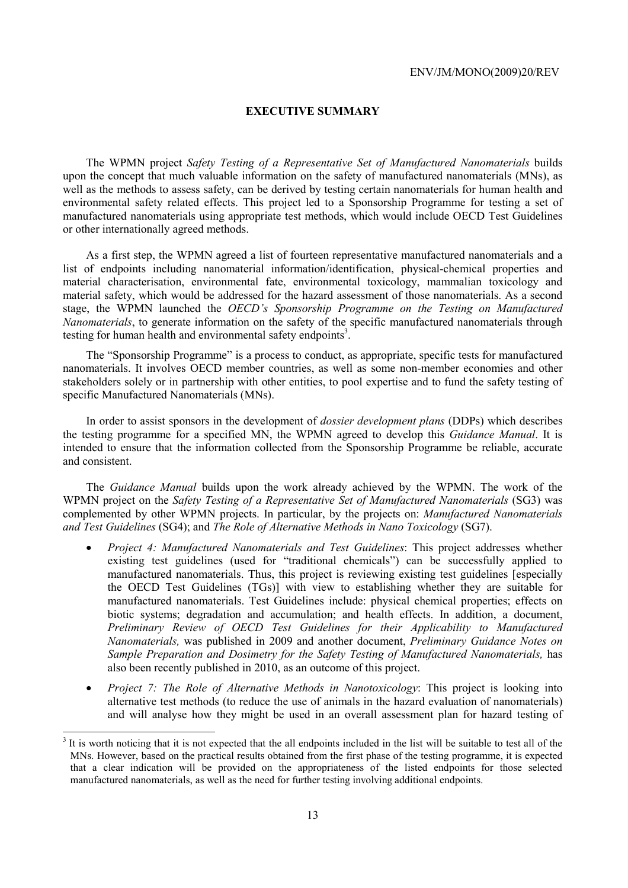## **EXECUTIVE SUMMARY**

The WPMN project *Safety Testing of a Representative Set of Manufactured Nanomaterials* builds upon the concept that much valuable information on the safety of manufactured nanomaterials (MNs), as well as the methods to assess safety, can be derived by testing certain nanomaterials for human health and environmental safety related effects. This project led to a Sponsorship Programme for testing a set of manufactured nanomaterials using appropriate test methods, which would include OECD Test Guidelines or other internationally agreed methods.

As a first step, the WPMN agreed a list of fourteen representative manufactured nanomaterials and a list of endpoints including nanomaterial information/identification, physical-chemical properties and material characterisation, environmental fate, environmental toxicology, mammalian toxicology and material safety, which would be addressed for the hazard assessment of those nanomaterials. As a second stage, the WPMN launched the *OECD's Sponsorship Programme on the Testing on Manufactured Nanomaterials*, to generate information on the safety of the specific manufactured nanomaterials through testing for human health and environmental safety endpoints $3$ .

The "Sponsorship Programme" is a process to conduct, as appropriate, specific tests for manufactured nanomaterials. It involves OECD member countries, as well as some non-member economies and other stakeholders solely or in partnership with other entities, to pool expertise and to fund the safety testing of specific Manufactured Nanomaterials (MNs).

In order to assist sponsors in the development of *dossier development plans* (DDPs) which describes the testing programme for a specified MN, the WPMN agreed to develop this *Guidance Manual*. It is intended to ensure that the information collected from the Sponsorship Programme be reliable, accurate and consistent.

The *Guidance Manual* builds upon the work already achieved by the WPMN. The work of the WPMN project on the *Safety Testing of a Representative Set of Manufactured Nanomaterials* (SG3) was complemented by other WPMN projects. In particular, by the projects on: *Manufactured Nanomaterials and Test Guidelines* (SG4); and *The Role of Alternative Methods in Nano Toxicology* (SG7).

- *Project 4: Manufactured Nanomaterials and Test Guidelines*: This project addresses whether existing test guidelines (used for "traditional chemicals") can be successfully applied to manufactured nanomaterials. Thus, this project is reviewing existing test guidelines [especially the OECD Test Guidelines (TGs)] with view to establishing whether they are suitable for manufactured nanomaterials. Test Guidelines include: physical chemical properties; effects on biotic systems; degradation and accumulation; and health effects. In addition, a document, *Preliminary Review of OECD Test Guidelines for their Applicability to Manufactured Nanomaterials,* was published in 2009 and another document, *Preliminary Guidance Notes on Sample Preparation and Dosimetry for the Safety Testing of Manufactured Nanomaterials,* has also been recently published in 2010, as an outcome of this project.
- *Project 7: The Role of Alternative Methods in Nanotoxicology*: This project is looking into alternative test methods (to reduce the use of animals in the hazard evaluation of nanomaterials) and will analyse how they might be used in an overall assessment plan for hazard testing of

<sup>3</sup> It is worth noticing that it is not expected that the all endpoints included in the list will be suitable to test all of the MNs. However, based on the practical results obtained from the first phase of the testing programme, it is expected that a clear indication will be provided on the appropriateness of the listed endpoints for those selected manufactured nanomaterials, as well as the need for further testing involving additional endpoints.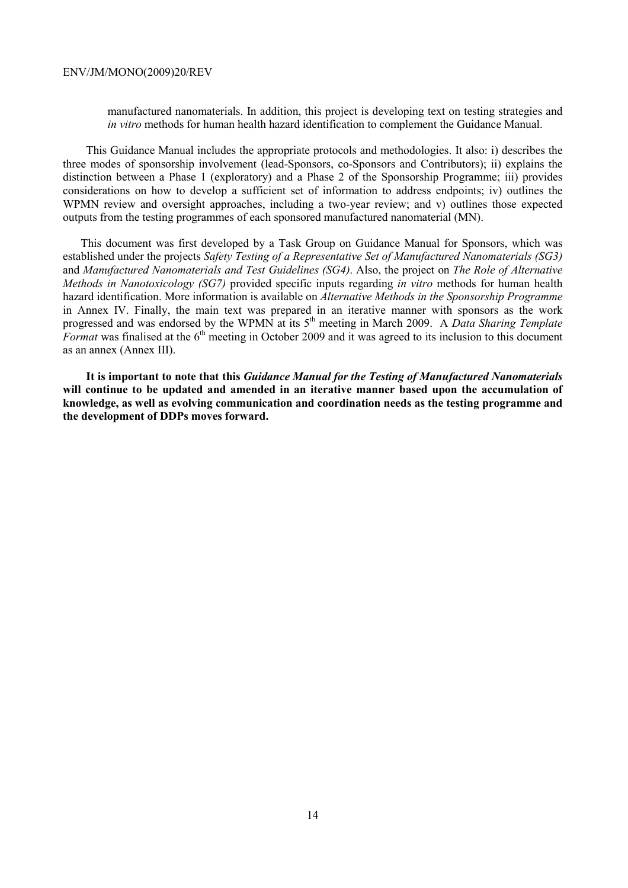manufactured nanomaterials. In addition, this project is developing text on testing strategies and *in vitro* methods for human health hazard identification to complement the Guidance Manual.

This Guidance Manual includes the appropriate protocols and methodologies. It also: i) describes the three modes of sponsorship involvement (lead-Sponsors, co-Sponsors and Contributors); ii) explains the distinction between a Phase 1 (exploratory) and a Phase 2 of the Sponsorship Programme; iii) provides considerations on how to develop a sufficient set of information to address endpoints; iv) outlines the WPMN review and oversight approaches, including a two-year review; and v) outlines those expected outputs from the testing programmes of each sponsored manufactured nanomaterial (MN).

This document was first developed by a Task Group on Guidance Manual for Sponsors, which was established under the projects *Safety Testing of a Representative Set of Manufactured Nanomaterials (SG3)* and *Manufactured Nanomaterials and Test Guidelines (SG4)*. Also, the project on *The Role of Alternative Methods in Nanotoxicology (SG7)* provided specific inputs regarding *in vitro* methods for human health hazard identification. More information is available on *Alternative Methods in the Sponsorship Programme* in Annex IV. Finally, the main text was prepared in an iterative manner with sponsors as the work progressed and was endorsed by the WPMN at its 5th meeting in March 2009. A *Data Sharing Template Format* was finalised at the  $6<sup>th</sup>$  meeting in October 2009 and it was agreed to its inclusion to this document as an annex (Annex III).

**It is important to note that this** *Guidance Manual for the Testing of Manufactured Nanomaterials*  **will continue to be updated and amended in an iterative manner based upon the accumulation of knowledge, as well as evolving communication and coordination needs as the testing programme and the development of DDPs moves forward.**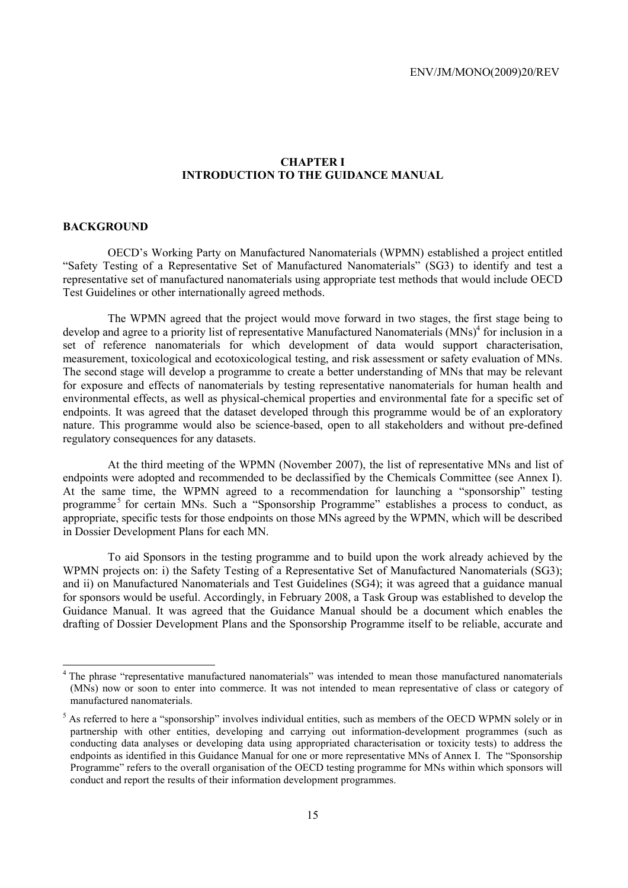# **CHAPTER I INTRODUCTION TO THE GUIDANCE MANUAL**

#### **BACKGROUND**

 $\overline{a}$ 

 OECD's Working Party on Manufactured Nanomaterials (WPMN) established a project entitled "Safety Testing of a Representative Set of Manufactured Nanomaterials" (SG3) to identify and test a representative set of manufactured nanomaterials using appropriate test methods that would include OECD Test Guidelines or other internationally agreed methods.

 The WPMN agreed that the project would move forward in two stages, the first stage being to develop and agree to a priority list of representative Manufactured Nanomaterials (MNs)<sup>4</sup> for inclusion in a set of reference nanomaterials for which development of data would support characterisation, measurement, toxicological and ecotoxicological testing, and risk assessment or safety evaluation of MNs. The second stage will develop a programme to create a better understanding of MNs that may be relevant for exposure and effects of nanomaterials by testing representative nanomaterials for human health and environmental effects, as well as physical-chemical properties and environmental fate for a specific set of endpoints. It was agreed that the dataset developed through this programme would be of an exploratory nature. This programme would also be science-based, open to all stakeholders and without pre-defined regulatory consequences for any datasets.

 At the third meeting of the WPMN (November 2007), the list of representative MNs and list of endpoints were adopted and recommended to be declassified by the Chemicals Committee (see Annex I). At the same time, the WPMN agreed to a recommendation for launching a "sponsorship" testing programme<sup>5</sup> for certain MNs. Such a "Sponsorship Programme" establishes a process to conduct, as appropriate, specific tests for those endpoints on those MNs agreed by the WPMN, which will be described in Dossier Development Plans for each MN.

 To aid Sponsors in the testing programme and to build upon the work already achieved by the WPMN projects on: i) the Safety Testing of a Representative Set of Manufactured Nanomaterials (SG3); and ii) on Manufactured Nanomaterials and Test Guidelines (SG4); it was agreed that a guidance manual for sponsors would be useful. Accordingly, in February 2008, a Task Group was established to develop the Guidance Manual. It was agreed that the Guidance Manual should be a document which enables the drafting of Dossier Development Plans and the Sponsorship Programme itself to be reliable, accurate and

<sup>&</sup>lt;sup>4</sup> The phrase "representative manufactured nanomaterials" was intended to mean those manufactured nanomaterials (MNs) now or soon to enter into commerce. It was not intended to mean representative of class or category of manufactured nanomaterials.

 $<sup>5</sup>$  As referred to here a "sponsorship" involves individual entities, such as members of the OECD WPMN solely or in</sup> partnership with other entities, developing and carrying out information-development programmes (such as conducting data analyses or developing data using appropriated characterisation or toxicity tests) to address the endpoints as identified in this Guidance Manual for one or more representative MNs of Annex I. The "Sponsorship Programme" refers to the overall organisation of the OECD testing programme for MNs within which sponsors will conduct and report the results of their information development programmes.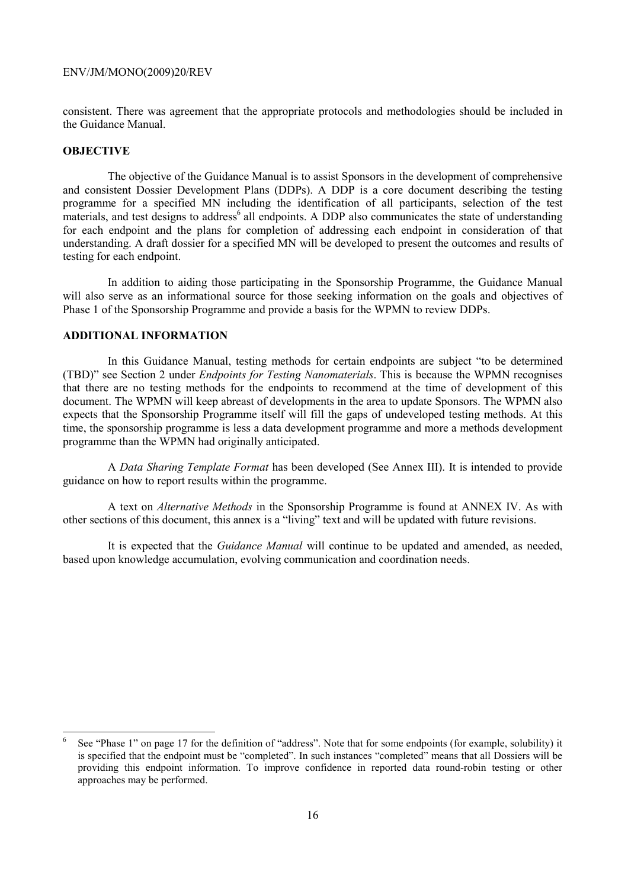consistent. There was agreement that the appropriate protocols and methodologies should be included in the Guidance Manual.

#### **OBJECTIVE**

 The objective of the Guidance Manual is to assist Sponsors in the development of comprehensive and consistent Dossier Development Plans (DDPs). A DDP is a core document describing the testing programme for a specified MN including the identification of all participants, selection of the test materials, and test designs to address<sup>6</sup> all endpoints. A DDP also communicates the state of understanding for each endpoint and the plans for completion of addressing each endpoint in consideration of that understanding. A draft dossier for a specified MN will be developed to present the outcomes and results of testing for each endpoint.

 In addition to aiding those participating in the Sponsorship Programme, the Guidance Manual will also serve as an informational source for those seeking information on the goals and objectives of Phase 1 of the Sponsorship Programme and provide a basis for the WPMN to review DDPs.

# **ADDITIONAL INFORMATION**

 In this Guidance Manual, testing methods for certain endpoints are subject "to be determined (TBD)" see Section 2 under *Endpoints for Testing Nanomaterials*. This is because the WPMN recognises that there are no testing methods for the endpoints to recommend at the time of development of this document. The WPMN will keep abreast of developments in the area to update Sponsors. The WPMN also expects that the Sponsorship Programme itself will fill the gaps of undeveloped testing methods. At this time, the sponsorship programme is less a data development programme and more a methods development programme than the WPMN had originally anticipated.

 A *Data Sharing Template Format* has been developed (See Annex III). It is intended to provide guidance on how to report results within the programme.

 A text on *Alternative Methods* in the Sponsorship Programme is found at ANNEX IV. As with other sections of this document, this annex is a "living" text and will be updated with future revisions.

 It is expected that the *Guidance Manual* will continue to be updated and amended, as needed, based upon knowledge accumulation, evolving communication and coordination needs.

<sup>6</sup> See "Phase 1" on page 17 for the definition of "address". Note that for some endpoints (for example, solubility) it is specified that the endpoint must be "completed". In such instances "completed" means that all Dossiers will be providing this endpoint information. To improve confidence in reported data round-robin testing or other approaches may be performed.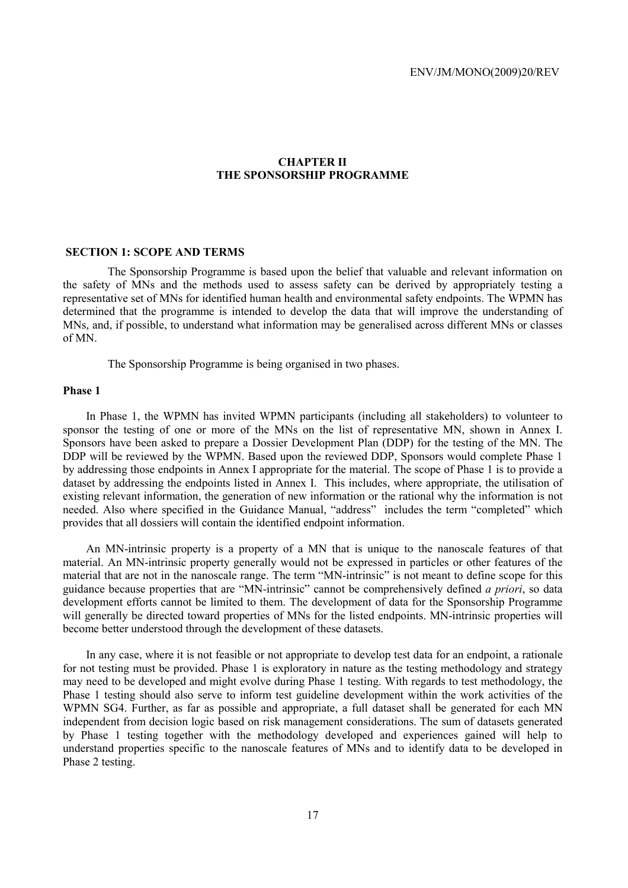# **CHAPTER II THE SPONSORSHIP PROGRAMME**

# **SECTION 1: SCOPE AND TERMS**

 The Sponsorship Programme is based upon the belief that valuable and relevant information on the safety of MNs and the methods used to assess safety can be derived by appropriately testing a representative set of MNs for identified human health and environmental safety endpoints. The WPMN has determined that the programme is intended to develop the data that will improve the understanding of MNs, and, if possible, to understand what information may be generalised across different MNs or classes of MN.

The Sponsorship Programme is being organised in two phases.

#### **Phase 1**

In Phase 1, the WPMN has invited WPMN participants (including all stakeholders) to volunteer to sponsor the testing of one or more of the MNs on the list of representative MN, shown in Annex I. Sponsors have been asked to prepare a Dossier Development Plan (DDP) for the testing of the MN. The DDP will be reviewed by the WPMN. Based upon the reviewed DDP, Sponsors would complete Phase 1 by addressing those endpoints in Annex I appropriate for the material. The scope of Phase 1 is to provide a dataset by addressing the endpoints listed in Annex I. This includes, where appropriate, the utilisation of existing relevant information, the generation of new information or the rational why the information is not needed. Also where specified in the Guidance Manual, "address" includes the term "completed" which provides that all dossiers will contain the identified endpoint information.

An MN-intrinsic property is a property of a MN that is unique to the nanoscale features of that material. An MN-intrinsic property generally would not be expressed in particles or other features of the material that are not in the nanoscale range. The term "MN-intrinsic" is not meant to define scope for this guidance because properties that are "MN-intrinsic" cannot be comprehensively defined *a priori*, so data development efforts cannot be limited to them. The development of data for the Sponsorship Programme will generally be directed toward properties of MNs for the listed endpoints. MN-intrinsic properties will become better understood through the development of these datasets.

In any case, where it is not feasible or not appropriate to develop test data for an endpoint, a rationale for not testing must be provided. Phase 1 is exploratory in nature as the testing methodology and strategy may need to be developed and might evolve during Phase 1 testing. With regards to test methodology, the Phase 1 testing should also serve to inform test guideline development within the work activities of the WPMN SG4. Further, as far as possible and appropriate, a full dataset shall be generated for each MN independent from decision logic based on risk management considerations. The sum of datasets generated by Phase 1 testing together with the methodology developed and experiences gained will help to understand properties specific to the nanoscale features of MNs and to identify data to be developed in Phase 2 testing.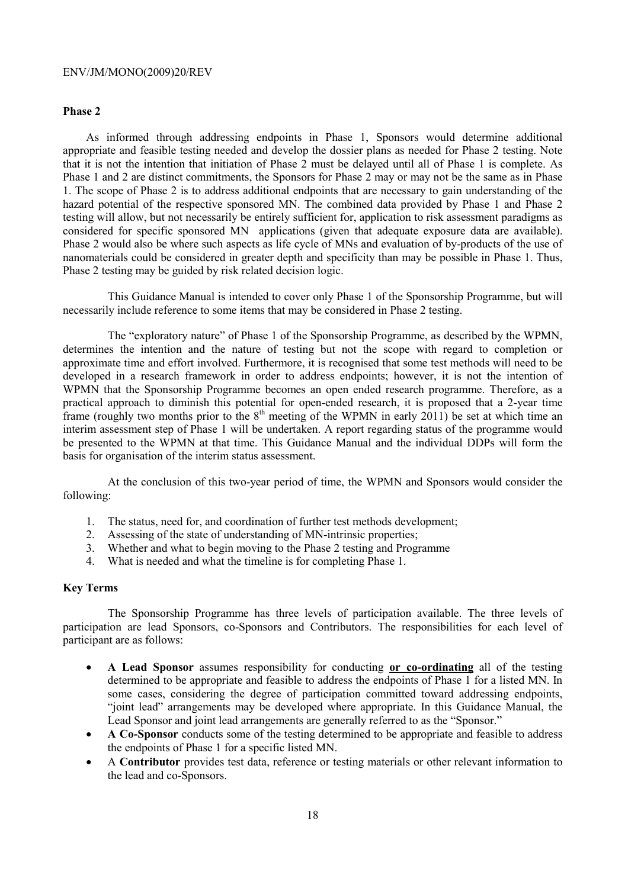#### **Phase 2**

As informed through addressing endpoints in Phase 1, Sponsors would determine additional appropriate and feasible testing needed and develop the dossier plans as needed for Phase 2 testing. Note that it is not the intention that initiation of Phase 2 must be delayed until all of Phase 1 is complete. As Phase 1 and 2 are distinct commitments, the Sponsors for Phase 2 may or may not be the same as in Phase 1. The scope of Phase 2 is to address additional endpoints that are necessary to gain understanding of the hazard potential of the respective sponsored MN. The combined data provided by Phase 1 and Phase 2 testing will allow, but not necessarily be entirely sufficient for, application to risk assessment paradigms as considered for specific sponsored MN applications (given that adequate exposure data are available). Phase 2 would also be where such aspects as life cycle of MNs and evaluation of by-products of the use of nanomaterials could be considered in greater depth and specificity than may be possible in Phase 1. Thus, Phase 2 testing may be guided by risk related decision logic.

 This Guidance Manual is intended to cover only Phase 1 of the Sponsorship Programme, but will necessarily include reference to some items that may be considered in Phase 2 testing.

 The "exploratory nature" of Phase 1 of the Sponsorship Programme, as described by the WPMN, determines the intention and the nature of testing but not the scope with regard to completion or approximate time and effort involved. Furthermore, it is recognised that some test methods will need to be developed in a research framework in order to address endpoints; however, it is not the intention of WPMN that the Sponsorship Programme becomes an open ended research programme. Therefore, as a practical approach to diminish this potential for open-ended research, it is proposed that a 2-year time frame (roughly two months prior to the  $8<sup>th</sup>$  meeting of the WPMN in early  $2011$ ) be set at which time an interim assessment step of Phase 1 will be undertaken. A report regarding status of the programme would be presented to the WPMN at that time. This Guidance Manual and the individual DDPs will form the basis for organisation of the interim status assessment.

 At the conclusion of this two-year period of time, the WPMN and Sponsors would consider the following:

- 1. The status, need for, and coordination of further test methods development;
- 2. Assessing of the state of understanding of MN-intrinsic properties;
- 3. Whether and what to begin moving to the Phase 2 testing and Programme
- 4. What is needed and what the timeline is for completing Phase 1.

#### **Key Terms**

 The Sponsorship Programme has three levels of participation available. The three levels of participation are lead Sponsors, co-Sponsors and Contributors. The responsibilities for each level of participant are as follows:

- **A Lead Sponsor** assumes responsibility for conducting **or co-ordinating** all of the testing determined to be appropriate and feasible to address the endpoints of Phase 1 for a listed MN. In some cases, considering the degree of participation committed toward addressing endpoints, "joint lead" arrangements may be developed where appropriate. In this Guidance Manual, the Lead Sponsor and joint lead arrangements are generally referred to as the "Sponsor."
- **A Co-Sponsor** conducts some of the testing determined to be appropriate and feasible to address the endpoints of Phase 1 for a specific listed MN.
- A **Contributor** provides test data, reference or testing materials or other relevant information to the lead and co-Sponsors.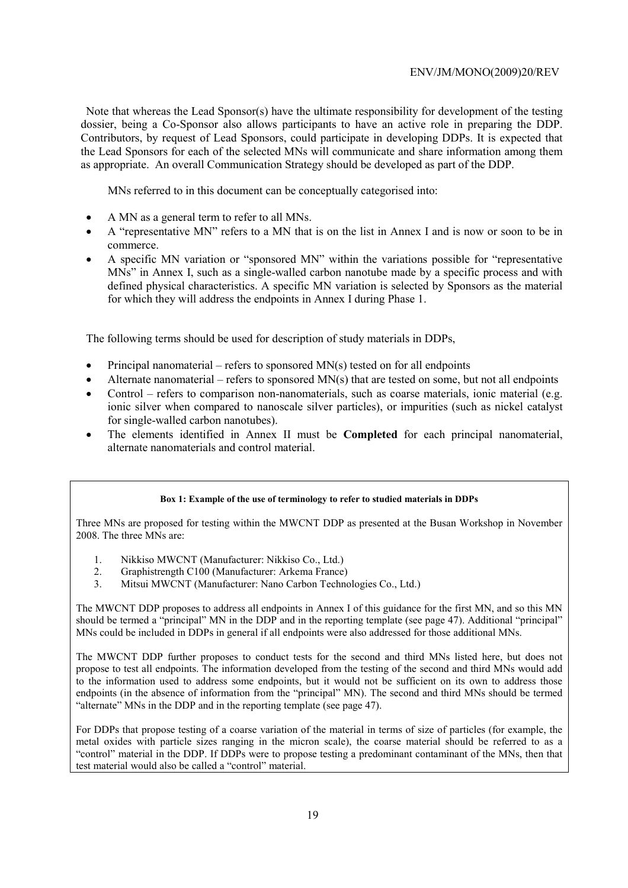Note that whereas the Lead Sponsor(s) have the ultimate responsibility for development of the testing dossier, being a Co-Sponsor also allows participants to have an active role in preparing the DDP. Contributors, by request of Lead Sponsors, could participate in developing DDPs. It is expected that the Lead Sponsors for each of the selected MNs will communicate and share information among them as appropriate. An overall Communication Strategy should be developed as part of the DDP.

MNs referred to in this document can be conceptually categorised into:

- A MN as a general term to refer to all MNs.
- A "representative MN" refers to a MN that is on the list in Annex I and is now or soon to be in commerce.
- A specific MN variation or "sponsored MN" within the variations possible for "representative MNs" in Annex I, such as a single-walled carbon nanotube made by a specific process and with defined physical characteristics. A specific MN variation is selected by Sponsors as the material for which they will address the endpoints in Annex I during Phase 1.

The following terms should be used for description of study materials in DDPs,

- Principal nanomaterial refers to sponsored MN(s) tested on for all endpoints
- Alternate nanomaterial refers to sponsored  $MN(s)$  that are tested on some, but not all endpoints
- Control refers to comparison non-nanomaterials, such as coarse materials, ionic material (e.g. ionic silver when compared to nanoscale silver particles), or impurities (such as nickel catalyst for single-walled carbon nanotubes).
- The elements identified in Annex II must be **Completed** for each principal nanomaterial, alternate nanomaterials and control material.

#### **Box 1: Example of the use of terminology to refer to studied materials in DDPs**

Three MNs are proposed for testing within the MWCNT DDP as presented at the Busan Workshop in November 2008. The three MNs are:

- 1. Nikkiso MWCNT (Manufacturer: Nikkiso Co., Ltd.)
- 2. Graphistrength C100 (Manufacturer: Arkema France)
- 3. Mitsui MWCNT (Manufacturer: Nano Carbon Technologies Co., Ltd.)

The MWCNT DDP proposes to address all endpoints in Annex I of this guidance for the first MN, and so this MN should be termed a "principal" MN in the DDP and in the reporting template (see page 47). Additional "principal" MNs could be included in DDPs in general if all endpoints were also addressed for those additional MNs.

The MWCNT DDP further proposes to conduct tests for the second and third MNs listed here, but does not propose to test all endpoints. The information developed from the testing of the second and third MNs would add to the information used to address some endpoints, but it would not be sufficient on its own to address those endpoints (in the absence of information from the "principal" MN). The second and third MNs should be termed "alternate" MNs in the DDP and in the reporting template (see page 47).

For DDPs that propose testing of a coarse variation of the material in terms of size of particles (for example, the metal oxides with particle sizes ranging in the micron scale), the coarse material should be referred to as a "control" material in the DDP. If DDPs were to propose testing a predominant contaminant of the MNs, then that test material would also be called a "control" material.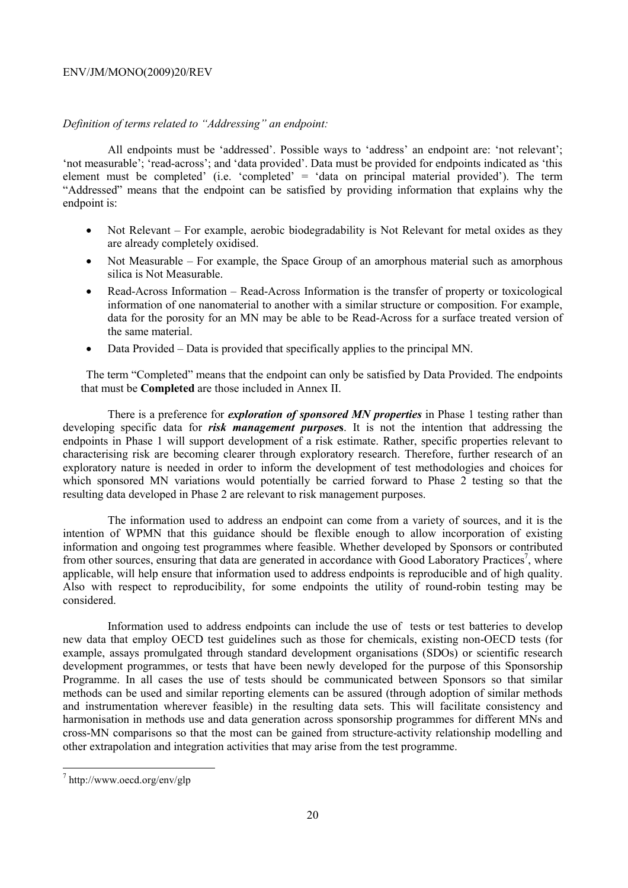# *Definition of terms related to "Addressing" an endpoint:*

 All endpoints must be 'addressed'. Possible ways to 'address' an endpoint are: 'not relevant'; 'not measurable'; 'read-across'; and 'data provided'. Data must be provided for endpoints indicated as 'this element must be completed' (i.e. 'completed' = 'data on principal material provided'). The term "Addressed" means that the endpoint can be satisfied by providing information that explains why the endpoint is:

- Not Relevant For example, aerobic biodegradability is Not Relevant for metal oxides as they are already completely oxidised.
- Not Measurable For example, the Space Group of an amorphous material such as amorphous silica is Not Measurable.
- Read-Across Information Read-Across Information is the transfer of property or toxicological information of one nanomaterial to another with a similar structure or composition. For example, data for the porosity for an MN may be able to be Read-Across for a surface treated version of the same material.
- Data Provided Data is provided that specifically applies to the principal MN.

The term "Completed" means that the endpoint can only be satisfied by Data Provided. The endpoints that must be **Completed** are those included in Annex II.

 There is a preference for *exploration of sponsored MN properties* in Phase 1 testing rather than developing specific data for *risk management purpose***s**. It is not the intention that addressing the endpoints in Phase 1 will support development of a risk estimate. Rather, specific properties relevant to characterising risk are becoming clearer through exploratory research. Therefore, further research of an exploratory nature is needed in order to inform the development of test methodologies and choices for which sponsored MN variations would potentially be carried forward to Phase 2 testing so that the resulting data developed in Phase 2 are relevant to risk management purposes.

 The information used to address an endpoint can come from a variety of sources, and it is the intention of WPMN that this guidance should be flexible enough to allow incorporation of existing information and ongoing test programmes where feasible. Whether developed by Sponsors or contributed from other sources, ensuring that data are generated in accordance with Good Laboratory Practices<sup>7</sup>, where applicable, will help ensure that information used to address endpoints is reproducible and of high quality. Also with respect to reproducibility, for some endpoints the utility of round-robin testing may be considered.

 Information used to address endpoints can include the use of tests or test batteries to develop new data that employ OECD test guidelines such as those for chemicals, existing non-OECD tests (for example, assays promulgated through standard development organisations (SDOs) or scientific research development programmes, or tests that have been newly developed for the purpose of this Sponsorship Programme. In all cases the use of tests should be communicated between Sponsors so that similar methods can be used and similar reporting elements can be assured (through adoption of similar methods and instrumentation wherever feasible) in the resulting data sets. This will facilitate consistency and harmonisation in methods use and data generation across sponsorship programmes for different MNs and cross-MN comparisons so that the most can be gained from structure-activity relationship modelling and other extrapolation and integration activities that may arise from the test programme.

<sup>7</sup> http://www.oecd.org/env/glp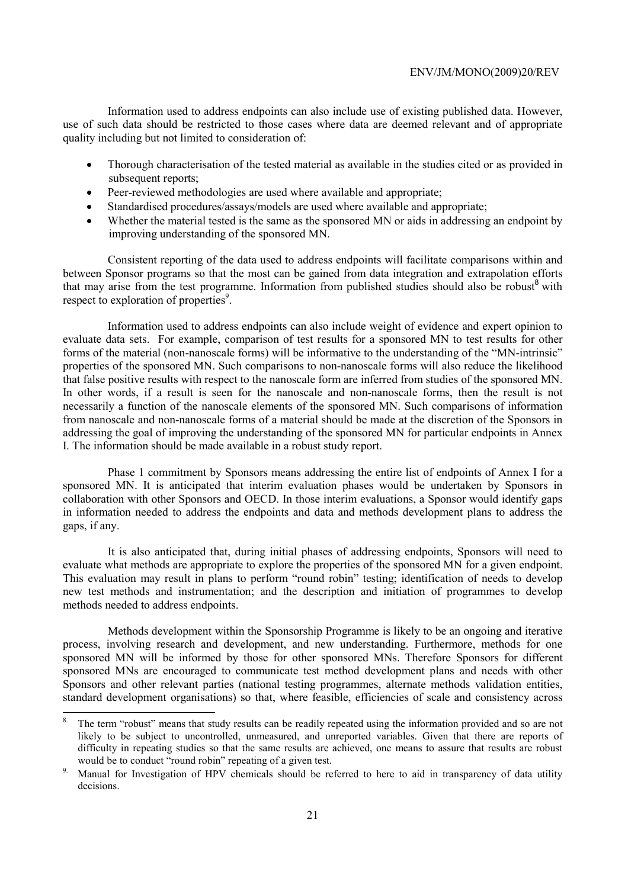Information used to address endpoints can also include use of existing published data. However, use of such data should be restricted to those cases where data are deemed relevant and of appropriate quality including but not limited to consideration of:

- Thorough characterisation of the tested material as available in the studies cited or as provided in subsequent reports;
- Peer-reviewed methodologies are used where available and appropriate;
- Standardised procedures/assays/models are used where available and appropriate;
- Whether the material tested is the same as the sponsored MN or aids in addressing an endpoint by improving understanding of the sponsored MN.

 Consistent reporting of the data used to address endpoints will facilitate comparisons within and between Sponsor programs so that the most can be gained from data integration and extrapolation efforts that may arise from the test programme. Information from published studies should also be robust<sup>8</sup> with respect to exploration of properties<sup>9</sup>.

 Information used to address endpoints can also include weight of evidence and expert opinion to evaluate data sets. For example, comparison of test results for a sponsored MN to test results for other forms of the material (non-nanoscale forms) will be informative to the understanding of the "MN-intrinsic" properties of the sponsored MN. Such comparisons to non-nanoscale forms will also reduce the likelihood that false positive results with respect to the nanoscale form are inferred from studies of the sponsored MN. In other words, if a result is seen for the nanoscale and non-nanoscale forms, then the result is not necessarily a function of the nanoscale elements of the sponsored MN. Such comparisons of information from nanoscale and non-nanoscale forms of a material should be made at the discretion of the Sponsors in addressing the goal of improving the understanding of the sponsored MN for particular endpoints in Annex I. The information should be made available in a robust study report.

 Phase 1 commitment by Sponsors means addressing the entire list of endpoints of Annex I for a sponsored MN. It is anticipated that interim evaluation phases would be undertaken by Sponsors in collaboration with other Sponsors and OECD. In those interim evaluations, a Sponsor would identify gaps in information needed to address the endpoints and data and methods development plans to address the gaps, if any.

 It is also anticipated that, during initial phases of addressing endpoints, Sponsors will need to evaluate what methods are appropriate to explore the properties of the sponsored MN for a given endpoint. This evaluation may result in plans to perform "round robin" testing; identification of needs to develop new test methods and instrumentation; and the description and initiation of programmes to develop methods needed to address endpoints.

 Methods development within the Sponsorship Programme is likely to be an ongoing and iterative process, involving research and development, and new understanding. Furthermore, methods for one sponsored MN will be informed by those for other sponsored MNs. Therefore Sponsors for different sponsored MNs are encouraged to communicate test method development plans and needs with other Sponsors and other relevant parties (national testing programmes, alternate methods validation entities, standard development organisations) so that, where feasible, efficiencies of scale and consistency across

<sup>8.</sup> 8. The term "robust" means that study results can be readily repeated using the information provided and so are not likely to be subject to uncontrolled, unmeasured, and unreported variables. Given that there are reports of difficulty in repeating studies so that the same results are achieved, one means to assure that results are robust would be to conduct "round robin" repeating of a given test.<br><sup>9.</sup> Manual for Investigation of HPV chemicals should be referred to here to aid in transparency of data utility

decisions.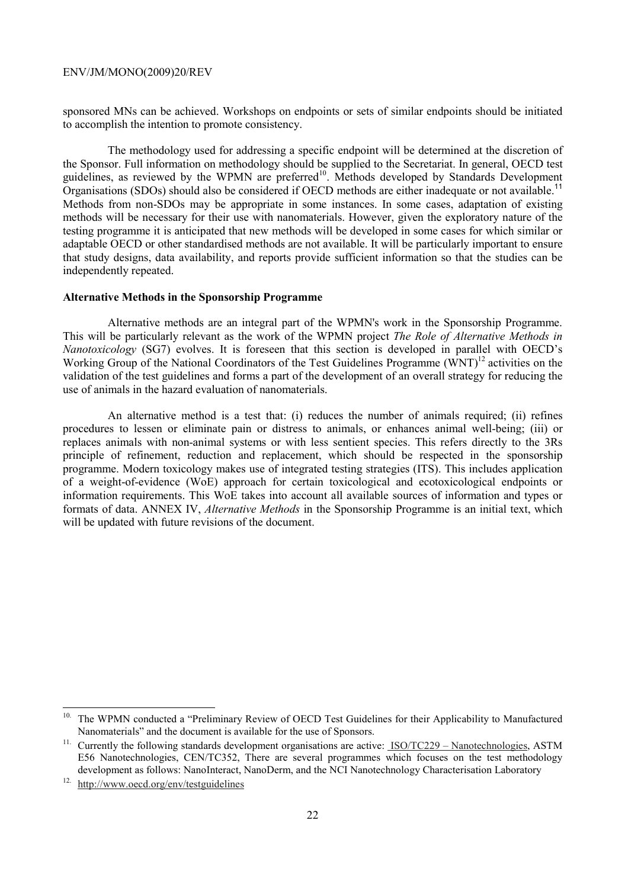sponsored MNs can be achieved. Workshops on endpoints or sets of similar endpoints should be initiated to accomplish the intention to promote consistency.

 The methodology used for addressing a specific endpoint will be determined at the discretion of the Sponsor. Full information on methodology should be supplied to the Secretariat. In general, OECD test guidelines, as reviewed by the WPMN are preferred<sup>10</sup>. Methods developed by Standards Development Organisations (SDOs) should also be considered if OECD methods are either inadequate or not available.<sup>11</sup> Methods from non-SDOs may be appropriate in some instances. In some cases, adaptation of existing methods will be necessary for their use with nanomaterials. However, given the exploratory nature of the testing programme it is anticipated that new methods will be developed in some cases for which similar or adaptable OECD or other standardised methods are not available. It will be particularly important to ensure that study designs, data availability, and reports provide sufficient information so that the studies can be independently repeated.

#### **Alternative Methods in the Sponsorship Programme**

 Alternative methods are an integral part of the WPMN's work in the Sponsorship Programme. This will be particularly relevant as the work of the WPMN project *The Role of Alternative Methods in Nanotoxicology* (SG7) evolves. It is foreseen that this section is developed in parallel with OECD's Working Group of the National Coordinators of the Test Guidelines Programme (WNT)<sup>12</sup> activities on the validation of the test guidelines and forms a part of the development of an overall strategy for reducing the use of animals in the hazard evaluation of nanomaterials.

 An alternative method is a test that: (i) reduces the number of animals required; (ii) refines procedures to lessen or eliminate pain or distress to animals, or enhances animal well-being; (iii) or replaces animals with non-animal systems or with less sentient species. This refers directly to the 3Rs principle of refinement, reduction and replacement, which should be respected in the sponsorship programme. Modern toxicology makes use of integrated testing strategies (ITS). This includes application of a weight-of-evidence (WoE) approach for certain toxicological and ecotoxicological endpoints or information requirements. This WoE takes into account all available sources of information and types or formats of data. ANNEX IV, *Alternative Methods* in the Sponsorship Programme is an initial text, which will be updated with future revisions of the document.

 $\overline{a}$ 

<sup>&</sup>lt;sup>10.</sup> The WPMN conducted a "Preliminary Review of OECD Test Guidelines for their Applicability to Manufactured

Nanomaterials" and the document is available for the use of Sponsors.<br><sup>11.</sup> Currently the following standards development organisations are active: <u>ISO/TC229 – Nanotechnologies</u>, ASTM E56 Nanotechnologies, CEN/TC352, There are several programmes which focuses on the test methodology development as follows: NanoInteract, NanoDerm, and the NCI Nanotechnology Characterisation Laboratory 12. http://www.oecd.org/env/testguidelines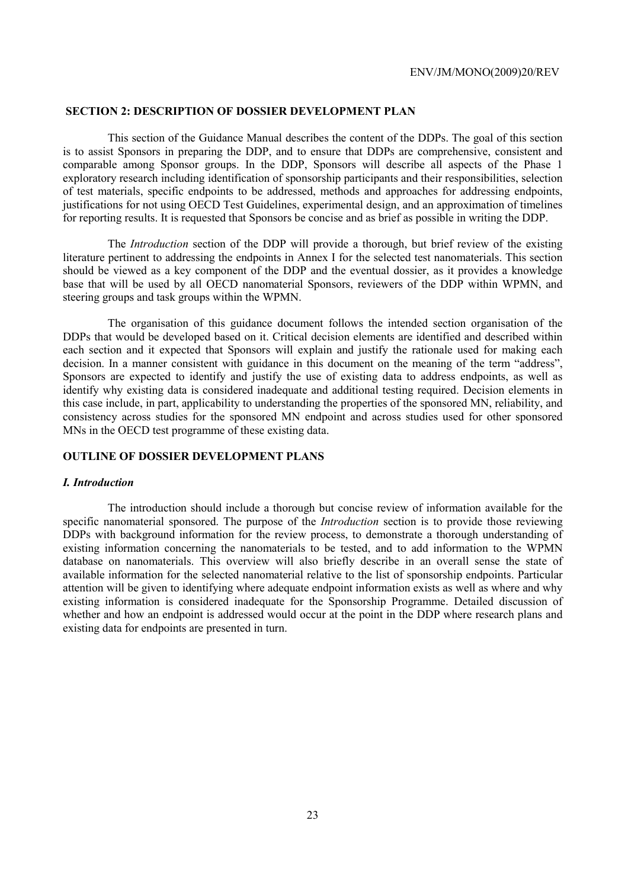#### **SECTION 2: DESCRIPTION OF DOSSIER DEVELOPMENT PLAN**

 This section of the Guidance Manual describes the content of the DDPs. The goal of this section is to assist Sponsors in preparing the DDP, and to ensure that DDPs are comprehensive, consistent and comparable among Sponsor groups. In the DDP, Sponsors will describe all aspects of the Phase 1 exploratory research including identification of sponsorship participants and their responsibilities, selection of test materials, specific endpoints to be addressed, methods and approaches for addressing endpoints, justifications for not using OECD Test Guidelines, experimental design, and an approximation of timelines for reporting results. It is requested that Sponsors be concise and as brief as possible in writing the DDP.

 The *Introduction* section of the DDP will provide a thorough, but brief review of the existing literature pertinent to addressing the endpoints in Annex I for the selected test nanomaterials. This section should be viewed as a key component of the DDP and the eventual dossier, as it provides a knowledge base that will be used by all OECD nanomaterial Sponsors, reviewers of the DDP within WPMN, and steering groups and task groups within the WPMN.

 The organisation of this guidance document follows the intended section organisation of the DDPs that would be developed based on it. Critical decision elements are identified and described within each section and it expected that Sponsors will explain and justify the rationale used for making each decision. In a manner consistent with guidance in this document on the meaning of the term "address", Sponsors are expected to identify and justify the use of existing data to address endpoints, as well as identify why existing data is considered inadequate and additional testing required. Decision elements in this case include, in part, applicability to understanding the properties of the sponsored MN, reliability, and consistency across studies for the sponsored MN endpoint and across studies used for other sponsored MNs in the OECD test programme of these existing data.

#### **OUTLINE OF DOSSIER DEVELOPMENT PLANS**

#### *I. Introduction*

 The introduction should include a thorough but concise review of information available for the specific nanomaterial sponsored. The purpose of the *Introduction* section is to provide those reviewing DDPs with background information for the review process, to demonstrate a thorough understanding of existing information concerning the nanomaterials to be tested, and to add information to the WPMN database on nanomaterials. This overview will also briefly describe in an overall sense the state of available information for the selected nanomaterial relative to the list of sponsorship endpoints. Particular attention will be given to identifying where adequate endpoint information exists as well as where and why existing information is considered inadequate for the Sponsorship Programme. Detailed discussion of whether and how an endpoint is addressed would occur at the point in the DDP where research plans and existing data for endpoints are presented in turn.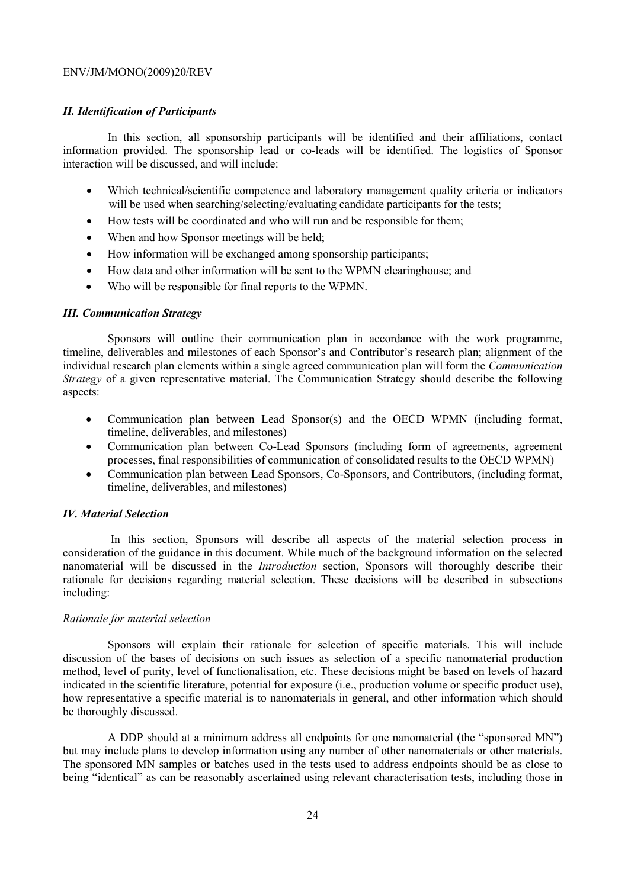# *II. Identification of Participants*

 In this section, all sponsorship participants will be identified and their affiliations, contact information provided. The sponsorship lead or co-leads will be identified. The logistics of Sponsor interaction will be discussed, and will include:

- Which technical/scientific competence and laboratory management quality criteria or indicators will be used when searching/selecting/evaluating candidate participants for the tests;
- How tests will be coordinated and who will run and be responsible for them;
- When and how Sponsor meetings will be held;
- How information will be exchanged among sponsorship participants;
- How data and other information will be sent to the WPMN clearinghouse; and
- Who will be responsible for final reports to the WPMN.

#### *III. Communication Strategy*

 Sponsors will outline their communication plan in accordance with the work programme, timeline, deliverables and milestones of each Sponsor's and Contributor's research plan; alignment of the individual research plan elements within a single agreed communication plan will form the *Communication Strategy* of a given representative material. The Communication Strategy should describe the following aspects:

- Communication plan between Lead Sponsor(s) and the OECD WPMN (including format, timeline, deliverables, and milestones)
- Communication plan between Co-Lead Sponsors (including form of agreements, agreement processes, final responsibilities of communication of consolidated results to the OECD WPMN)
- Communication plan between Lead Sponsors, Co-Sponsors, and Contributors, (including format, timeline, deliverables, and milestones)

#### *IV. Material Selection*

 In this section, Sponsors will describe all aspects of the material selection process in consideration of the guidance in this document. While much of the background information on the selected nanomaterial will be discussed in the *Introduction* section, Sponsors will thoroughly describe their rationale for decisions regarding material selection. These decisions will be described in subsections including:

#### *Rationale for material selection*

 Sponsors will explain their rationale for selection of specific materials. This will include discussion of the bases of decisions on such issues as selection of a specific nanomaterial production method, level of purity, level of functionalisation, etc. These decisions might be based on levels of hazard indicated in the scientific literature, potential for exposure (i.e., production volume or specific product use), how representative a specific material is to nanomaterials in general, and other information which should be thoroughly discussed.

 A DDP should at a minimum address all endpoints for one nanomaterial (the "sponsored MN") but may include plans to develop information using any number of other nanomaterials or other materials. The sponsored MN samples or batches used in the tests used to address endpoints should be as close to being "identical" as can be reasonably ascertained using relevant characterisation tests, including those in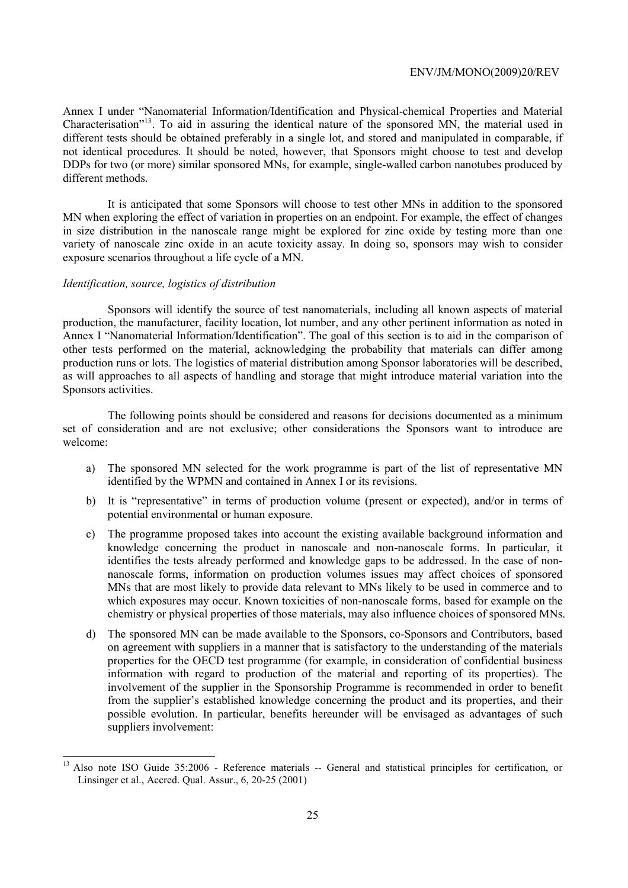Annex I under "Nanomaterial Information/Identification and Physical-chemical Properties and Material Characterisation"13. To aid in assuring the identical nature of the sponsored MN, the material used in different tests should be obtained preferably in a single lot, and stored and manipulated in comparable, if not identical procedures. It should be noted, however, that Sponsors might choose to test and develop DDPs for two (or more) similar sponsored MNs, for example, single-walled carbon nanotubes produced by different methods.

 It is anticipated that some Sponsors will choose to test other MNs in addition to the sponsored MN when exploring the effect of variation in properties on an endpoint. For example, the effect of changes in size distribution in the nanoscale range might be explored for zinc oxide by testing more than one variety of nanoscale zinc oxide in an acute toxicity assay. In doing so, sponsors may wish to consider exposure scenarios throughout a life cycle of a MN.

#### *Identification, source, logistics of distribution*

 $\overline{a}$ 

 Sponsors will identify the source of test nanomaterials, including all known aspects of material production, the manufacturer, facility location, lot number, and any other pertinent information as noted in Annex I "Nanomaterial Information/Identification". The goal of this section is to aid in the comparison of other tests performed on the material, acknowledging the probability that materials can differ among production runs or lots. The logistics of material distribution among Sponsor laboratories will be described, as will approaches to all aspects of handling and storage that might introduce material variation into the Sponsors activities.

 The following points should be considered and reasons for decisions documented as a minimum set of consideration and are not exclusive; other considerations the Sponsors want to introduce are welcome:

- a) The sponsored MN selected for the work programme is part of the list of representative MN identified by the WPMN and contained in Annex I or its revisions.
- b) It is "representative" in terms of production volume (present or expected), and/or in terms of potential environmental or human exposure.
- c) The programme proposed takes into account the existing available background information and knowledge concerning the product in nanoscale and non-nanoscale forms. In particular, it identifies the tests already performed and knowledge gaps to be addressed. In the case of nonnanoscale forms, information on production volumes issues may affect choices of sponsored MNs that are most likely to provide data relevant to MNs likely to be used in commerce and to which exposures may occur. Known toxicities of non-nanoscale forms, based for example on the chemistry or physical properties of those materials, may also influence choices of sponsored MNs.
- d) The sponsored MN can be made available to the Sponsors, co-Sponsors and Contributors, based on agreement with suppliers in a manner that is satisfactory to the understanding of the materials properties for the OECD test programme (for example, in consideration of confidential business information with regard to production of the material and reporting of its properties). The involvement of the supplier in the Sponsorship Programme is recommended in order to benefit from the supplier's established knowledge concerning the product and its properties, and their possible evolution. In particular, benefits hereunder will be envisaged as advantages of such suppliers involvement:

<sup>&</sup>lt;sup>13</sup> Also note ISO Guide 35:2006 - Reference materials -- General and statistical principles for certification, or Linsinger et al., Accred. Qual. Assur., 6, 20-25 (2001)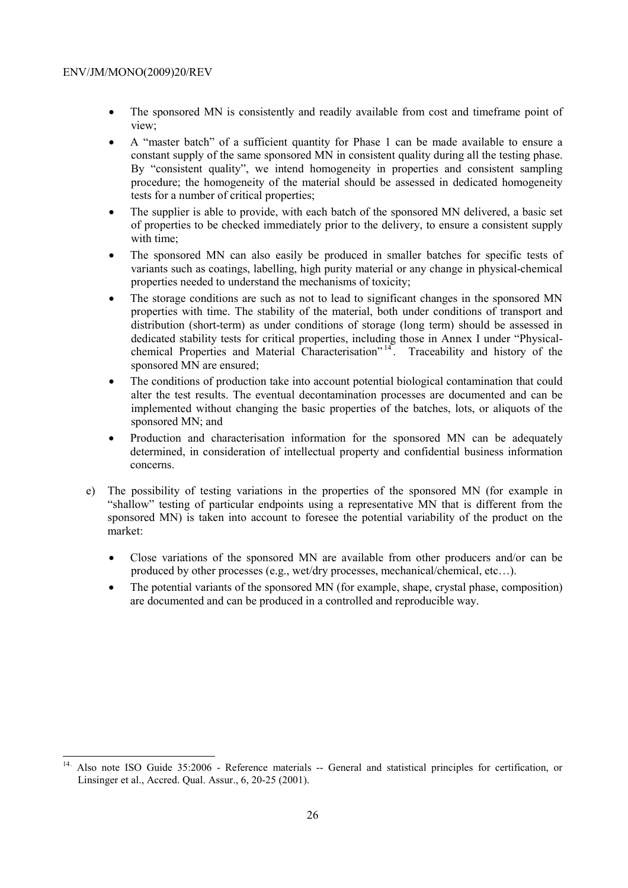- The sponsored MN is consistently and readily available from cost and timeframe point of view;
- A "master batch" of a sufficient quantity for Phase 1 can be made available to ensure a constant supply of the same sponsored MN in consistent quality during all the testing phase. By "consistent quality", we intend homogeneity in properties and consistent sampling procedure; the homogeneity of the material should be assessed in dedicated homogeneity tests for a number of critical properties;
- The supplier is able to provide, with each batch of the sponsored MN delivered, a basic set of properties to be checked immediately prior to the delivery, to ensure a consistent supply with time;
- The sponsored MN can also easily be produced in smaller batches for specific tests of variants such as coatings, labelling, high purity material or any change in physical-chemical properties needed to understand the mechanisms of toxicity;
- The storage conditions are such as not to lead to significant changes in the sponsored MN properties with time. The stability of the material, both under conditions of transport and distribution (short-term) as under conditions of storage (long term) should be assessed in dedicated stability tests for critical properties, including those in Annex I under "Physicalchemical Properties and Material Characterisation"<sup>14</sup>. Traceability and history of the sponsored MN are ensured;
- The conditions of production take into account potential biological contamination that could alter the test results. The eventual decontamination processes are documented and can be implemented without changing the basic properties of the batches, lots, or aliquots of the sponsored MN; and
- Production and characterisation information for the sponsored MN can be adequately determined, in consideration of intellectual property and confidential business information concerns.
- e) The possibility of testing variations in the properties of the sponsored MN (for example in "shallow" testing of particular endpoints using a representative MN that is different from the sponsored MN) is taken into account to foresee the potential variability of the product on the market:
	- Close variations of the sponsored MN are available from other producers and/or can be produced by other processes (e.g., wet/dry processes, mechanical/chemical, etc…).
	- The potential variants of the sponsored MN (for example, shape, crystal phase, composition) are documented and can be produced in a controlled and reproducible way.

 $14$ Also note ISO Guide 35:2006 - Reference materials -- General and statistical principles for certification, or Linsinger et al., Accred. Qual. Assur., 6, 20-25 (2001).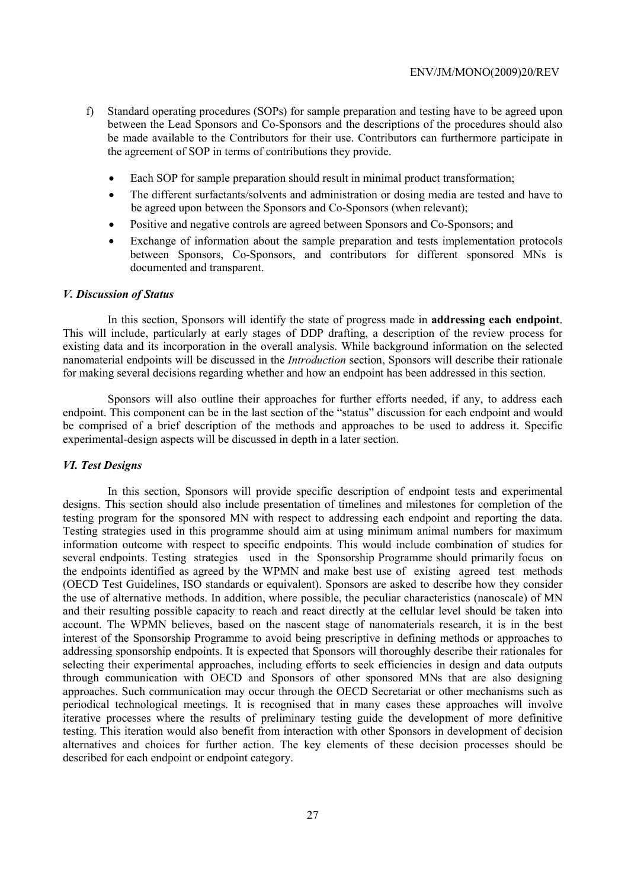- f) Standard operating procedures (SOPs) for sample preparation and testing have to be agreed upon between the Lead Sponsors and Co-Sponsors and the descriptions of the procedures should also be made available to the Contributors for their use. Contributors can furthermore participate in the agreement of SOP in terms of contributions they provide.
	- Each SOP for sample preparation should result in minimal product transformation;
	- The different surfactants/solvents and administration or dosing media are tested and have to be agreed upon between the Sponsors and Co-Sponsors (when relevant);
	- Positive and negative controls are agreed between Sponsors and Co-Sponsors; and
	- Exchange of information about the sample preparation and tests implementation protocols between Sponsors, Co-Sponsors, and contributors for different sponsored MNs is documented and transparent.

## *V. Discussion of Status*

 In this section, Sponsors will identify the state of progress made in **addressing each endpoint**. This will include, particularly at early stages of DDP drafting, a description of the review process for existing data and its incorporation in the overall analysis. While background information on the selected nanomaterial endpoints will be discussed in the *Introduction* section, Sponsors will describe their rationale for making several decisions regarding whether and how an endpoint has been addressed in this section.

 Sponsors will also outline their approaches for further efforts needed, if any, to address each endpoint. This component can be in the last section of the "status" discussion for each endpoint and would be comprised of a brief description of the methods and approaches to be used to address it. Specific experimental-design aspects will be discussed in depth in a later section.

#### *VI. Test Designs*

 In this section, Sponsors will provide specific description of endpoint tests and experimental designs. This section should also include presentation of timelines and milestones for completion of the testing program for the sponsored MN with respect to addressing each endpoint and reporting the data. Testing strategies used in this programme should aim at using minimum animal numbers for maximum information outcome with respect to specific endpoints. This would include combination of studies for several endpoints. Testing strategies used in the Sponsorship Programme should primarily focus on the endpoints identified as agreed by the WPMN and make best use of existing agreed test methods (OECD Test Guidelines, ISO standards or equivalent). Sponsors are asked to describe how they consider the use of alternative methods. In addition, where possible, the peculiar characteristics (nanoscale) of MN and their resulting possible capacity to reach and react directly at the cellular level should be taken into account. The WPMN believes, based on the nascent stage of nanomaterials research, it is in the best interest of the Sponsorship Programme to avoid being prescriptive in defining methods or approaches to addressing sponsorship endpoints. It is expected that Sponsors will thoroughly describe their rationales for selecting their experimental approaches, including efforts to seek efficiencies in design and data outputs through communication with OECD and Sponsors of other sponsored MNs that are also designing approaches. Such communication may occur through the OECD Secretariat or other mechanisms such as periodical technological meetings. It is recognised that in many cases these approaches will involve iterative processes where the results of preliminary testing guide the development of more definitive testing. This iteration would also benefit from interaction with other Sponsors in development of decision alternatives and choices for further action. The key elements of these decision processes should be described for each endpoint or endpoint category.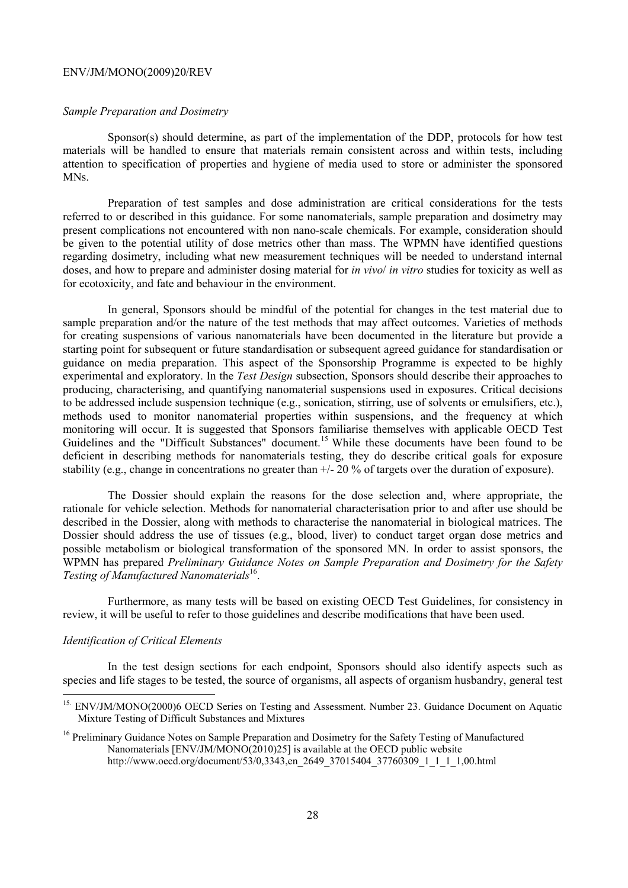#### *Sample Preparation and Dosimetry*

 Sponsor(s) should determine, as part of the implementation of the DDP, protocols for how test materials will be handled to ensure that materials remain consistent across and within tests, including attention to specification of properties and hygiene of media used to store or administer the sponsored MNs.

 Preparation of test samples and dose administration are critical considerations for the tests referred to or described in this guidance. For some nanomaterials, sample preparation and dosimetry may present complications not encountered with non nano-scale chemicals. For example, consideration should be given to the potential utility of dose metrics other than mass. The WPMN have identified questions regarding dosimetry, including what new measurement techniques will be needed to understand internal doses, and how to prepare and administer dosing material for *in vivo*/ *in vitro* studies for toxicity as well as for ecotoxicity, and fate and behaviour in the environment.

 In general, Sponsors should be mindful of the potential for changes in the test material due to sample preparation and/or the nature of the test methods that may affect outcomes. Varieties of methods for creating suspensions of various nanomaterials have been documented in the literature but provide a starting point for subsequent or future standardisation or subsequent agreed guidance for standardisation or guidance on media preparation. This aspect of the Sponsorship Programme is expected to be highly experimental and exploratory. In the *Test Design* subsection, Sponsors should describe their approaches to producing, characterising, and quantifying nanomaterial suspensions used in exposures. Critical decisions to be addressed include suspension technique (e.g., sonication, stirring, use of solvents or emulsifiers, etc.), methods used to monitor nanomaterial properties within suspensions, and the frequency at which monitoring will occur. It is suggested that Sponsors familiarise themselves with applicable OECD Test Guidelines and the "Difficult Substances" document.<sup>15</sup> While these documents have been found to be deficient in describing methods for nanomaterials testing, they do describe critical goals for exposure stability (e.g., change in concentrations no greater than +/- 20 % of targets over the duration of exposure).

 The Dossier should explain the reasons for the dose selection and, where appropriate, the rationale for vehicle selection. Methods for nanomaterial characterisation prior to and after use should be described in the Dossier, along with methods to characterise the nanomaterial in biological matrices. The Dossier should address the use of tissues (e.g., blood, liver) to conduct target organ dose metrics and possible metabolism or biological transformation of the sponsored MN. In order to assist sponsors, the WPMN has prepared *Preliminary Guidance Notes on Sample Preparation and Dosimetry for the Safety Testing of Manufactured Nanomaterials*16.

 Furthermore, as many tests will be based on existing OECD Test Guidelines, for consistency in review, it will be useful to refer to those guidelines and describe modifications that have been used.

# *Identification of Critical Elements*

 $\overline{a}$ 

 In the test design sections for each endpoint, Sponsors should also identify aspects such as species and life stages to be tested, the source of organisms, all aspects of organism husbandry, general test

<sup>&</sup>lt;sup>15.</sup> ENV/JM/MONO(2000)6 OECD Series on Testing and Assessment. Number 23. Guidance Document on Aquatic Mixture Testing of Difficult Substances and Mixtures

<sup>&</sup>lt;sup>16</sup> Preliminary Guidance Notes on Sample Preparation and Dosimetry for the Safety Testing of Manufactured Nanomaterials [ENV/JM/MONO(2010)25] is available at the OECD public website http://www.oecd.org/document/53/0,3343,en\_2649\_37015404\_37760309\_1\_1\_1\_1,00.html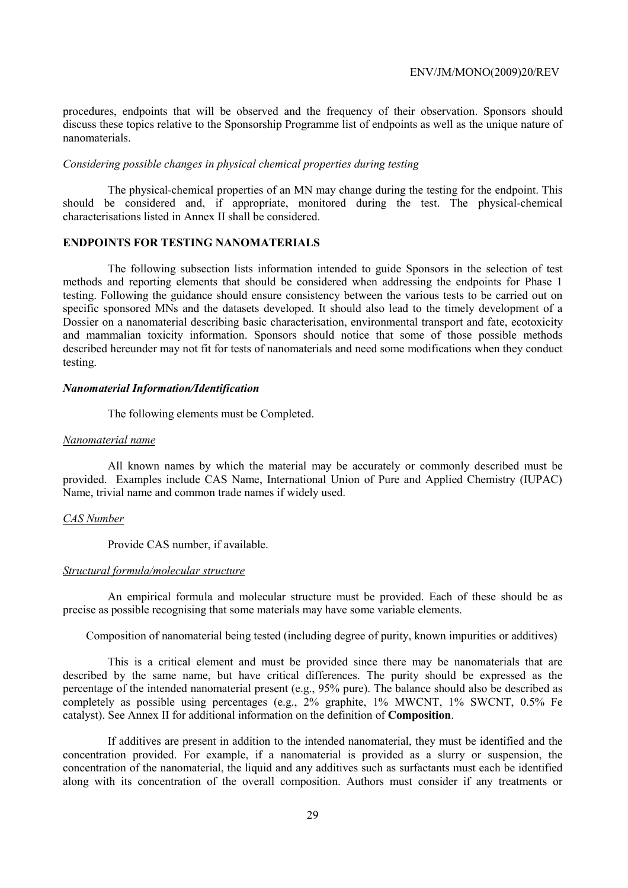procedures, endpoints that will be observed and the frequency of their observation. Sponsors should discuss these topics relative to the Sponsorship Programme list of endpoints as well as the unique nature of nanomaterials.

#### *Considering possible changes in physical chemical properties during testing*

 The physical-chemical properties of an MN may change during the testing for the endpoint. This should be considered and, if appropriate, monitored during the test. The physical-chemical characterisations listed in Annex II shall be considered.

# **ENDPOINTS FOR TESTING NANOMATERIALS**

 The following subsection lists information intended to guide Sponsors in the selection of test methods and reporting elements that should be considered when addressing the endpoints for Phase 1 testing. Following the guidance should ensure consistency between the various tests to be carried out on specific sponsored MNs and the datasets developed. It should also lead to the timely development of a Dossier on a nanomaterial describing basic characterisation, environmental transport and fate, ecotoxicity and mammalian toxicity information. Sponsors should notice that some of those possible methods described hereunder may not fit for tests of nanomaterials and need some modifications when they conduct testing.

## *Nanomaterial Information/Identification*

The following elements must be Completed.

#### *Nanomaterial name*

 All known names by which the material may be accurately or commonly described must be provided. Examples include CAS Name, International Union of Pure and Applied Chemistry (IUPAC) Name, trivial name and common trade names if widely used.

## *CAS Number*

Provide CAS number, if available.

# *Structural formula/molecular structure*

 An empirical formula and molecular structure must be provided. Each of these should be as precise as possible recognising that some materials may have some variable elements.

Composition of nanomaterial being tested (including degree of purity, known impurities or additives)

 This is a critical element and must be provided since there may be nanomaterials that are described by the same name, but have critical differences. The purity should be expressed as the percentage of the intended nanomaterial present (e.g., 95% pure). The balance should also be described as completely as possible using percentages (e.g., 2% graphite, 1% MWCNT, 1% SWCNT, 0.5% Fe catalyst). See Annex II for additional information on the definition of **Composition**.

 If additives are present in addition to the intended nanomaterial, they must be identified and the concentration provided. For example, if a nanomaterial is provided as a slurry or suspension, the concentration of the nanomaterial, the liquid and any additives such as surfactants must each be identified along with its concentration of the overall composition. Authors must consider if any treatments or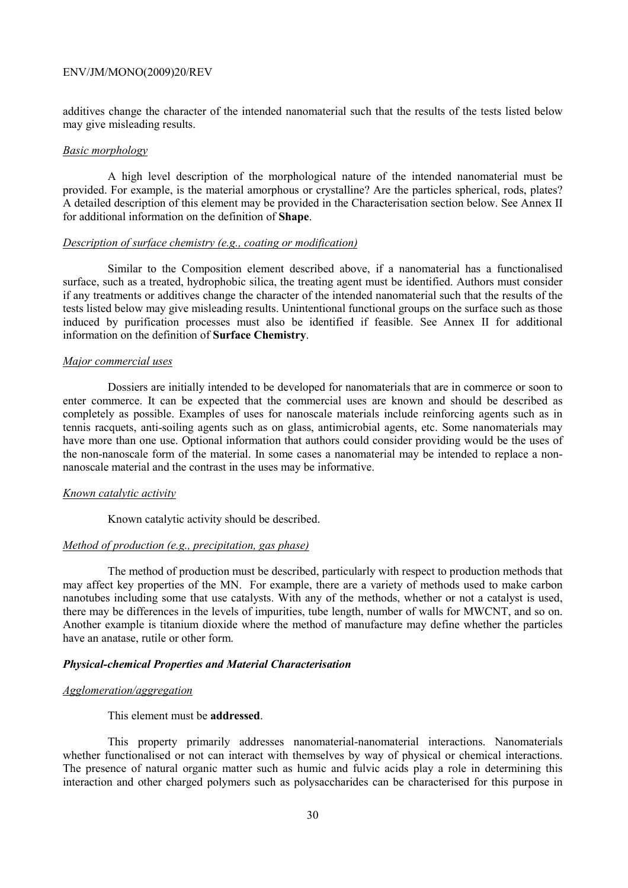additives change the character of the intended nanomaterial such that the results of the tests listed below may give misleading results.

#### *Basic morphology*

 A high level description of the morphological nature of the intended nanomaterial must be provided. For example, is the material amorphous or crystalline? Are the particles spherical, rods, plates? A detailed description of this element may be provided in the Characterisation section below. See Annex II for additional information on the definition of **Shape**.

#### *Description of surface chemistry (e.g., coating or modification)*

 Similar to the Composition element described above, if a nanomaterial has a functionalised surface, such as a treated, hydrophobic silica, the treating agent must be identified. Authors must consider if any treatments or additives change the character of the intended nanomaterial such that the results of the tests listed below may give misleading results. Unintentional functional groups on the surface such as those induced by purification processes must also be identified if feasible. See Annex II for additional information on the definition of **Surface Chemistry**.

#### *Major commercial uses*

 Dossiers are initially intended to be developed for nanomaterials that are in commerce or soon to enter commerce. It can be expected that the commercial uses are known and should be described as completely as possible. Examples of uses for nanoscale materials include reinforcing agents such as in tennis racquets, anti-soiling agents such as on glass, antimicrobial agents, etc. Some nanomaterials may have more than one use. Optional information that authors could consider providing would be the uses of the non-nanoscale form of the material. In some cases a nanomaterial may be intended to replace a nonnanoscale material and the contrast in the uses may be informative.

#### *Known catalytic activity*

Known catalytic activity should be described.

#### *Method of production (e.g., precipitation, gas phase)*

 The method of production must be described, particularly with respect to production methods that may affect key properties of the MN. For example, there are a variety of methods used to make carbon nanotubes including some that use catalysts. With any of the methods, whether or not a catalyst is used, there may be differences in the levels of impurities, tube length, number of walls for MWCNT, and so on. Another example is titanium dioxide where the method of manufacture may define whether the particles have an anatase, rutile or other form.

# *Physical-chemical Properties and Material Characterisation*

#### *Agglomeration/aggregation*

#### This element must be **addressed**.

 This property primarily addresses nanomaterial-nanomaterial interactions. Nanomaterials whether functionalised or not can interact with themselves by way of physical or chemical interactions. The presence of natural organic matter such as humic and fulvic acids play a role in determining this interaction and other charged polymers such as polysaccharides can be characterised for this purpose in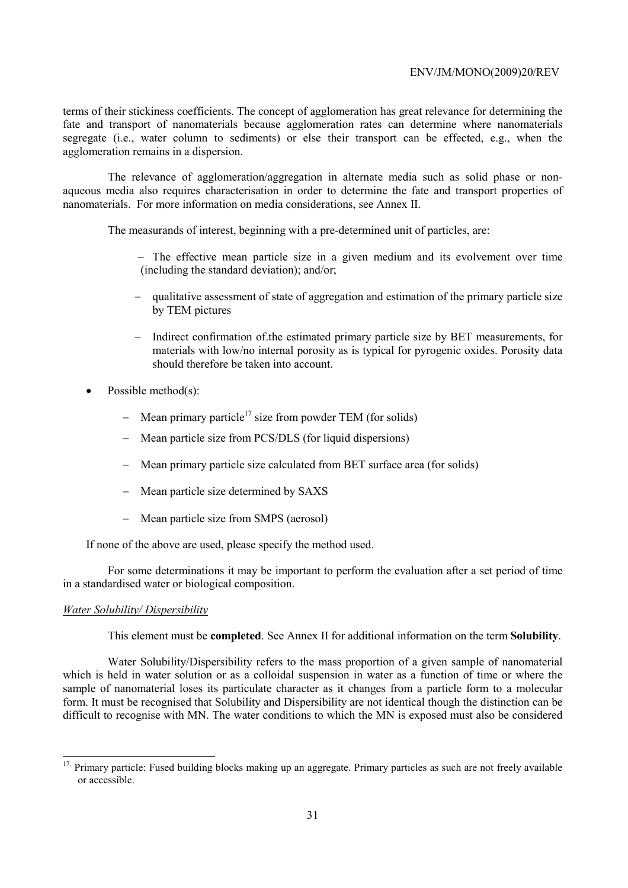terms of their stickiness coefficients. The concept of agglomeration has great relevance for determining the fate and transport of nanomaterials because agglomeration rates can determine where nanomaterials segregate (i.e., water column to sediments) or else their transport can be effected, e.g., when the agglomeration remains in a dispersion.

 The relevance of agglomeration/aggregation in alternate media such as solid phase or nonaqueous media also requires characterisation in order to determine the fate and transport properties of nanomaterials. For more information on media considerations, see Annex II.

The measurands of interest, beginning with a pre-determined unit of particles, are:

- − The effective mean particle size in a given medium and its evolvement over time (including the standard deviation); and/or;
- − qualitative assessment of state of aggregation and estimation of the primary particle size by TEM pictures
- − Indirect confirmation of.the estimated primary particle size by BET measurements, for materials with low/no internal porosity as is typical for pyrogenic oxides. Porosity data should therefore be taken into account.
- Possible method(s):
	- − Mean primary particle<sup>17</sup> size from powder TEM (for solids)
	- − Mean particle size from PCS/DLS (for liquid dispersions)
	- − Mean primary particle size calculated from BET surface area (for solids)
	- − Mean particle size determined by SAXS
	- − Mean particle size from SMPS (aerosol)

If none of the above are used, please specify the method used.

 For some determinations it may be important to perform the evaluation after a set period of time in a standardised water or biological composition.

# *Water Solubility/ Dispersibility*

 $\overline{a}$ 

This element must be **completed**. See Annex II for additional information on the term **Solubility**.

 Water Solubility/Dispersibility refers to the mass proportion of a given sample of nanomaterial which is held in water solution or as a colloidal suspension in water as a function of time or where the sample of nanomaterial loses its particulate character as it changes from a particle form to a molecular form. It must be recognised that Solubility and Dispersibility are not identical though the distinction can be difficult to recognise with MN. The water conditions to which the MN is exposed must also be considered

<sup>&</sup>lt;sup>17.</sup> Primary particle: Fused building blocks making up an aggregate. Primary particles as such are not freely available or accessible.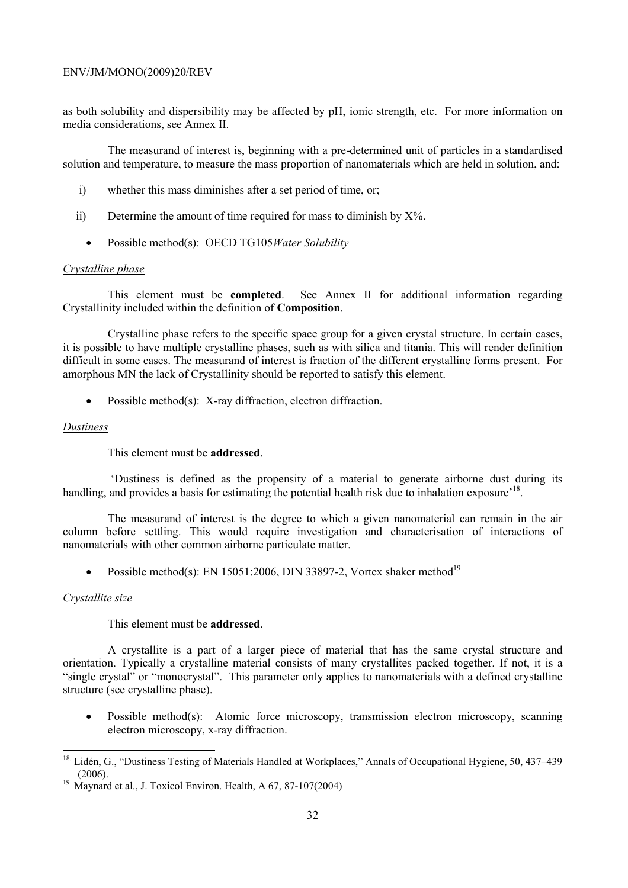as both solubility and dispersibility may be affected by pH, ionic strength, etc. For more information on media considerations, see Annex II.

 The measurand of interest is, beginning with a pre-determined unit of particles in a standardised solution and temperature, to measure the mass proportion of nanomaterials which are held in solution, and:

- i) whether this mass diminishes after a set period of time, or;
- ii) Determine the amount of time required for mass to diminish by  $X\%$ .
	- Possible method(s): OECD TG105*Water Solubility*

#### *Crystalline phase*

 This element must be **completed**. See Annex II for additional information regarding Crystallinity included within the definition of **Composition**.

 Crystalline phase refers to the specific space group for a given crystal structure. In certain cases, it is possible to have multiple crystalline phases, such as with silica and titania. This will render definition difficult in some cases. The measurand of interest is fraction of the different crystalline forms present. For amorphous MN the lack of Crystallinity should be reported to satisfy this element.

• Possible method(s): X-ray diffraction, electron diffraction.

## *Dustiness*

#### This element must be **addressed**.

 'Dustiness is defined as the propensity of a material to generate airborne dust during its handling, and provides a basis for estimating the potential health risk due to inhalation exposure<sup>-18</sup>.

 The measurand of interest is the degree to which a given nanomaterial can remain in the air column before settling. This would require investigation and characterisation of interactions of nanomaterials with other common airborne particulate matter.

• Possible method(s): EN 15051:2006, DIN 33897-2, Vortex shaker method<sup>19</sup>

#### *Crystallite size*

## This element must be **addressed**.

 A crystallite is a part of a larger piece of material that has the same crystal structure and orientation. Typically a crystalline material consists of many crystallites packed together. If not, it is a "single crystal" or "monocrystal". This parameter only applies to nanomaterials with a defined crystalline structure (see crystalline phase).

• Possible method(s): Atomic force microscopy, transmission electron microscopy, scanning electron microscopy, x-ray diffraction.

 $18.$ 18. Lidén, G., "Dustiness Testing of Materials Handled at Workplaces," Annals of Occupational Hygiene, 50, 437–439 (2006). 19 Maynard et al., J. Toxicol Environ. Health, A 67, 87-107(2004)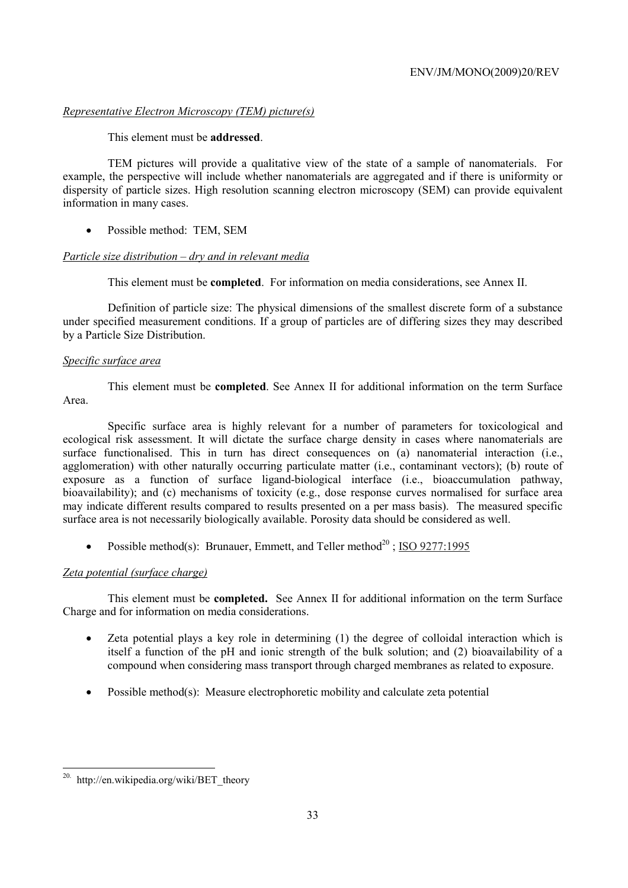# *Representative Electron Microscopy (TEM) picture(s)*

# This element must be **addressed**.

 TEM pictures will provide a qualitative view of the state of a sample of nanomaterials. For example, the perspective will include whether nanomaterials are aggregated and if there is uniformity or dispersity of particle sizes. High resolution scanning electron microscopy (SEM) can provide equivalent information in many cases.

• Possible method: TEM, SEM

# *Particle size distribution – dry and in relevant media*

This element must be **completed**. For information on media considerations, see Annex II.

 Definition of particle size: The physical dimensions of the smallest discrete form of a substance under specified measurement conditions. If a group of particles are of differing sizes they may described by a Particle Size Distribution.

# *Specific surface area*

 This element must be **completed**. See Annex II for additional information on the term Surface Area.

 Specific surface area is highly relevant for a number of parameters for toxicological and ecological risk assessment. It will dictate the surface charge density in cases where nanomaterials are surface functionalised. This in turn has direct consequences on (a) nanomaterial interaction (i.e., agglomeration) with other naturally occurring particulate matter (i.e., contaminant vectors); (b) route of exposure as a function of surface ligand-biological interface (i.e., bioaccumulation pathway, bioavailability); and (c) mechanisms of toxicity (e.g., dose response curves normalised for surface area may indicate different results compared to results presented on a per mass basis). The measured specific surface area is not necessarily biologically available. Porosity data should be considered as well.

• Possible method(s): Brunauer, Emmett, and Teller method<sup>20</sup>; ISO 9277:1995

# *Zeta potential (surface charge)*

 This element must be **completed.** See Annex II for additional information on the term Surface Charge and for information on media considerations.

- Zeta potential plays a key role in determining (1) the degree of colloidal interaction which is itself a function of the pH and ionic strength of the bulk solution; and (2) bioavailability of a compound when considering mass transport through charged membranes as related to exposure.
- Possible method(s): Measure electrophoretic mobility and calculate zeta potential

<sup>20.</sup> http://en.wikipedia.org/wiki/BET\_theory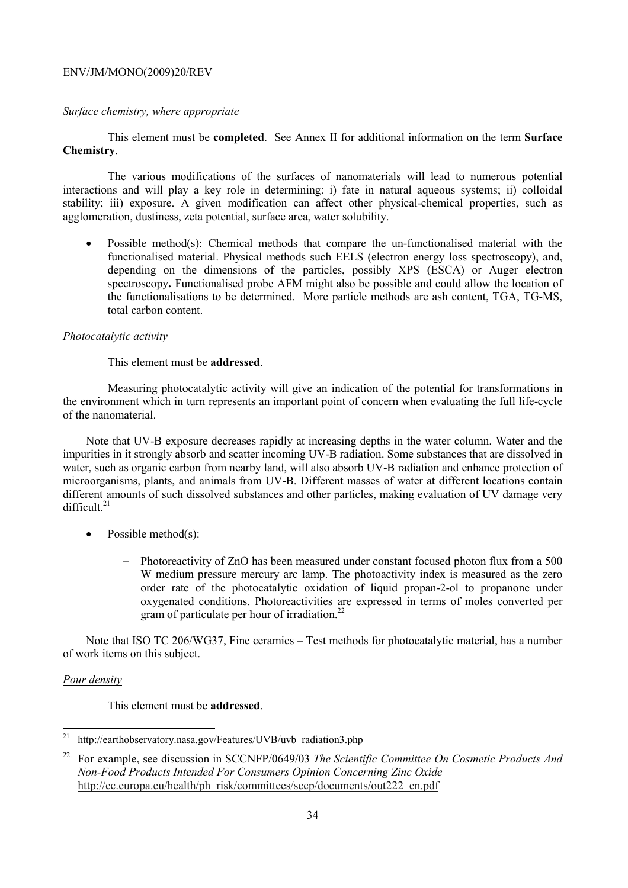# *Surface chemistry, where appropriate*

 This element must be **completed**. See Annex II for additional information on the term **Surface Chemistry**.

 The various modifications of the surfaces of nanomaterials will lead to numerous potential interactions and will play a key role in determining: i) fate in natural aqueous systems; ii) colloidal stability; iii) exposure. A given modification can affect other physical-chemical properties, such as agglomeration, dustiness, zeta potential, surface area, water solubility.

• Possible method(s): Chemical methods that compare the un-functionalised material with the functionalised material. Physical methods such EELS (electron energy loss spectroscopy), and, depending on the dimensions of the particles, possibly XPS (ESCA) or Auger electron spectroscopy. Functionalised probe AFM might also be possible and could allow the location of the functionalisations to be determined. More particle methods are ash content, TGA, TG-MS, total carbon content.

#### *Photocatalytic activity*

# This element must be **addressed**.

 Measuring photocatalytic activity will give an indication of the potential for transformations in the environment which in turn represents an important point of concern when evaluating the full life-cycle of the nanomaterial.

Note that UV-B exposure decreases rapidly at increasing depths in the water column. Water and the impurities in it strongly absorb and scatter incoming UV-B radiation. Some substances that are dissolved in water, such as organic carbon from nearby land, will also absorb UV-B radiation and enhance protection of microorganisms, plants, and animals from UV-B. Different masses of water at different locations contain different amounts of such dissolved substances and other particles, making evaluation of UV damage very  $difficult<sup>21</sup>$ 

- Possible method(s):
	- Photoreactivity of ZnO has been measured under constant focused photon flux from a 500 W medium pressure mercury arc lamp. The photoactivity index is measured as the zero order rate of the photocatalytic oxidation of liquid propan-2-ol to propanone under oxygenated conditions. Photoreactivities are expressed in terms of moles converted per gram of particulate per hour of irradiation.<sup>22</sup>

Note that ISO TC 206/WG37, Fine ceramics – Test methods for photocatalytic material, has a number of work items on this subject.

# *Pour density*

This element must be **addressed**.

 21 . http://earthobservatory.nasa.gov/Features/UVB/uvb\_radiation3.php

<sup>22.</sup> For example, see discussion in SCCNFP/0649/03 *The Scientific Committee On Cosmetic Products And Non-Food Products Intended For Consumers Opinion Concerning Zinc Oxide* http://ec.europa.eu/health/ph\_risk/committees/sccp/documents/out222\_en.pdf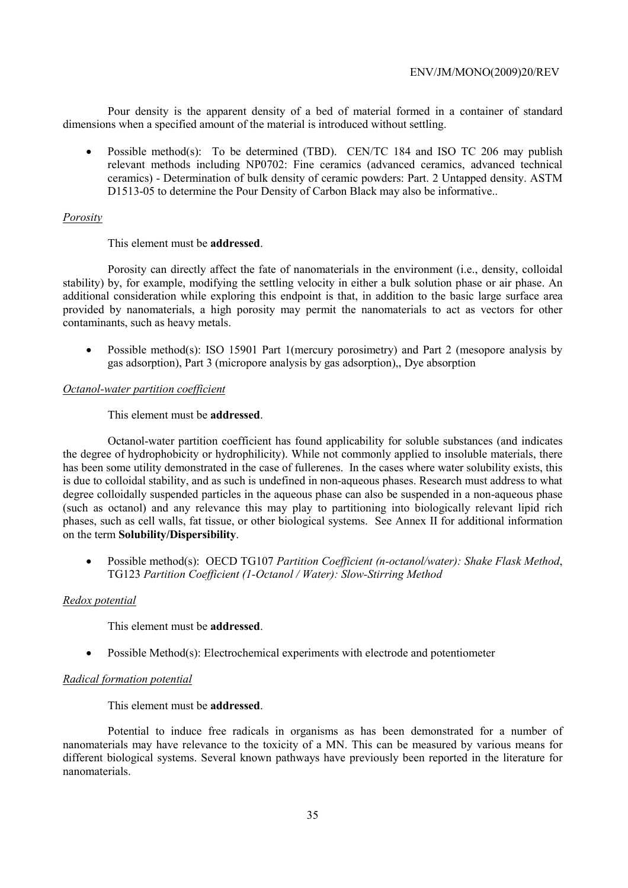Pour density is the apparent density of a bed of material formed in a container of standard dimensions when a specified amount of the material is introduced without settling.

• Possible method(s): To be determined (TBD). CEN/TC 184 and ISO TC 206 may publish relevant methods including NP0702: Fine ceramics (advanced ceramics, advanced technical ceramics) - Determination of bulk density of ceramic powders: Part. 2 Untapped density. ASTM D1513-05 to determine the Pour Density of Carbon Black may also be informative..

# *Porosity*

# This element must be **addressed**.

 Porosity can directly affect the fate of nanomaterials in the environment (i.e., density, colloidal stability) by, for example, modifying the settling velocity in either a bulk solution phase or air phase. An additional consideration while exploring this endpoint is that, in addition to the basic large surface area provided by nanomaterials, a high porosity may permit the nanomaterials to act as vectors for other contaminants, such as heavy metals.

• Possible method(s): ISO 15901 Part 1(mercury porosimetry) and Part 2 (mesopore analysis by gas adsorption), Part 3 (micropore analysis by gas adsorption),, Dye absorption

# *Octanol-water partition coefficient*

# This element must be **addressed**.

 Octanol-water partition coefficient has found applicability for soluble substances (and indicates the degree of hydrophobicity or hydrophilicity). While not commonly applied to insoluble materials, there has been some utility demonstrated in the case of fullerenes. In the cases where water solubility exists, this is due to colloidal stability, and as such is undefined in non-aqueous phases. Research must address to what degree colloidally suspended particles in the aqueous phase can also be suspended in a non-aqueous phase (such as octanol) and any relevance this may play to partitioning into biologically relevant lipid rich phases, such as cell walls, fat tissue, or other biological systems. See Annex II for additional information on the term **Solubility/Dispersibility**.

• Possible method(s): OECD TG107 *Partition Coefficient (n-octanol/water): Shake Flask Method*, TG123 *Partition Coefficient (1-Octanol / Water): Slow-Stirring Method*

# *Redox potential*

This element must be **addressed**.

• Possible Method(s): Electrochemical experiments with electrode and potentiometer

#### *Radical formation potential*

This element must be **addressed**.

 Potential to induce free radicals in organisms as has been demonstrated for a number of nanomaterials may have relevance to the toxicity of a MN. This can be measured by various means for different biological systems. Several known pathways have previously been reported in the literature for nanomaterials.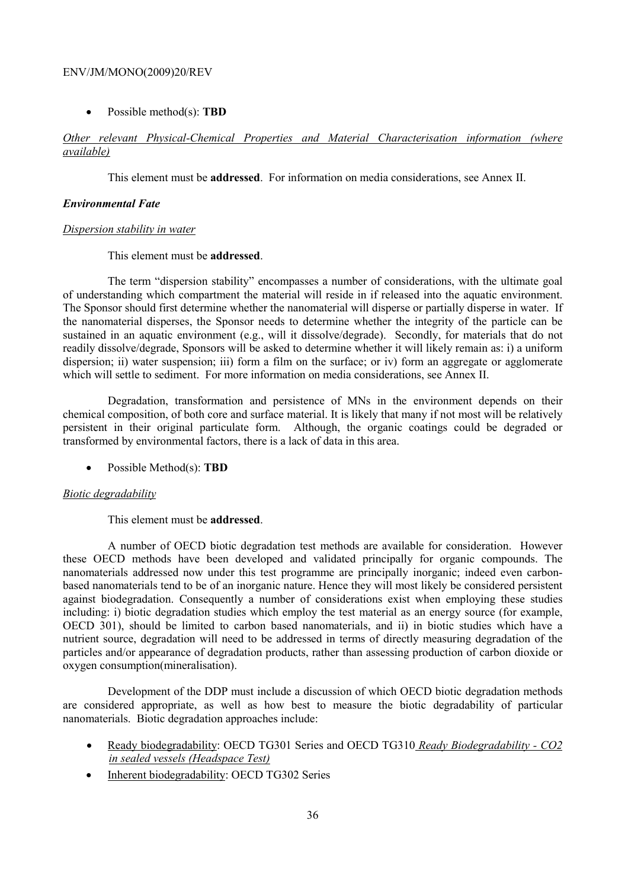• Possible method(s): **TBD**

# *Other relevant Physical-Chemical Properties and Material Characterisation information (where available)*

This element must be **addressed**. For information on media considerations, see Annex II.

# *Environmental Fate*

#### *Dispersion stability in water*

This element must be **addressed**.

 The term "dispersion stability" encompasses a number of considerations, with the ultimate goal of understanding which compartment the material will reside in if released into the aquatic environment. The Sponsor should first determine whether the nanomaterial will disperse or partially disperse in water. If the nanomaterial disperses, the Sponsor needs to determine whether the integrity of the particle can be sustained in an aquatic environment (e.g., will it dissolve/degrade). Secondly, for materials that do not readily dissolve/degrade, Sponsors will be asked to determine whether it will likely remain as: i) a uniform dispersion; ii) water suspension; iii) form a film on the surface; or iv) form an aggregate or agglomerate which will settle to sediment. For more information on media considerations, see Annex II.

 Degradation, transformation and persistence of MNs in the environment depends on their chemical composition, of both core and surface material. It is likely that many if not most will be relatively persistent in their original particulate form. Although, the organic coatings could be degraded or transformed by environmental factors, there is a lack of data in this area.

• Possible Method(s): **TBD** 

# *Biotic degradability*

#### This element must be **addressed**.

 A number of OECD biotic degradation test methods are available for consideration. However these OECD methods have been developed and validated principally for organic compounds. The nanomaterials addressed now under this test programme are principally inorganic; indeed even carbonbased nanomaterials tend to be of an inorganic nature. Hence they will most likely be considered persistent against biodegradation. Consequently a number of considerations exist when employing these studies including: i) biotic degradation studies which employ the test material as an energy source (for example, OECD 301), should be limited to carbon based nanomaterials, and ii) in biotic studies which have a nutrient source, degradation will need to be addressed in terms of directly measuring degradation of the particles and/or appearance of degradation products, rather than assessing production of carbon dioxide or oxygen consumption(mineralisation).

 Development of the DDP must include a discussion of which OECD biotic degradation methods are considered appropriate, as well as how best to measure the biotic degradability of particular nanomaterials. Biotic degradation approaches include:

- Ready biodegradability: OECD TG301 Series and OECD TG310 *Ready Biodegradability CO2 in sealed vessels (Headspace Test)*
- Inherent biodegradability: OECD TG302 Series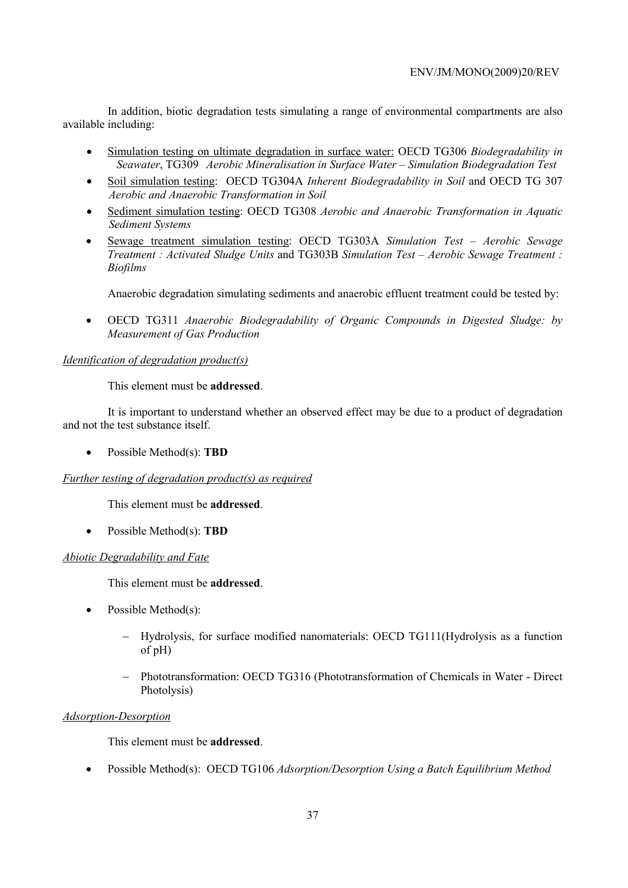In addition, biotic degradation tests simulating a range of environmental compartments are also available including:

- Simulation testing on ultimate degradation in surface water: OECD TG306 *Biodegradability in Seawater*, TG309 *Aerobic Mineralisation in Surface Water – Simulation Biodegradation Test*
- Soil simulation testing: OECD TG304A *Inherent Biodegradability in Soil* and OECD TG 307 *Aerobic and Anaerobic Transformation in Soil*
- Sediment simulation testing: OECD TG308 *Aerobic and Anaerobic Transformation in Aquatic Sediment Systems*
- Sewage treatment simulation testing: OECD TG303A *Simulation Test Aerobic Sewage Treatment : Activated Sludge Units* and TG303B *Simulation Test – Aerobic Sewage Treatment : Biofilms*

Anaerobic degradation simulating sediments and anaerobic effluent treatment could be tested by:

• OECD TG311 *Anaerobic Biodegradability of Organic Compounds in Digested Sludge: by Measurement of Gas Production*

# *Identification of degradation product(s)*

### This element must be **addressed**.

 It is important to understand whether an observed effect may be due to a product of degradation and not the test substance itself.

• Possible Method(s): **TBD** 

## *Further testing of degradation product(s) as required*

This element must be **addressed**.

• Possible Method(s): **TBD**

## *Abiotic Degradability and Fate*

This element must be **addressed**.

- Possible Method(s):
	- − Hydrolysis, for surface modified nanomaterials: OECD TG111(Hydrolysis as a function of pH)
	- − Phototransformation: OECD TG316 (Phototransformation of Chemicals in Water Direct Photolysis)

## *Adsorption-Desorption*

This element must be **addressed**.

• Possible Method(s): OECD TG106 *Adsorption/Desorption Using a Batch Equilibrium Method*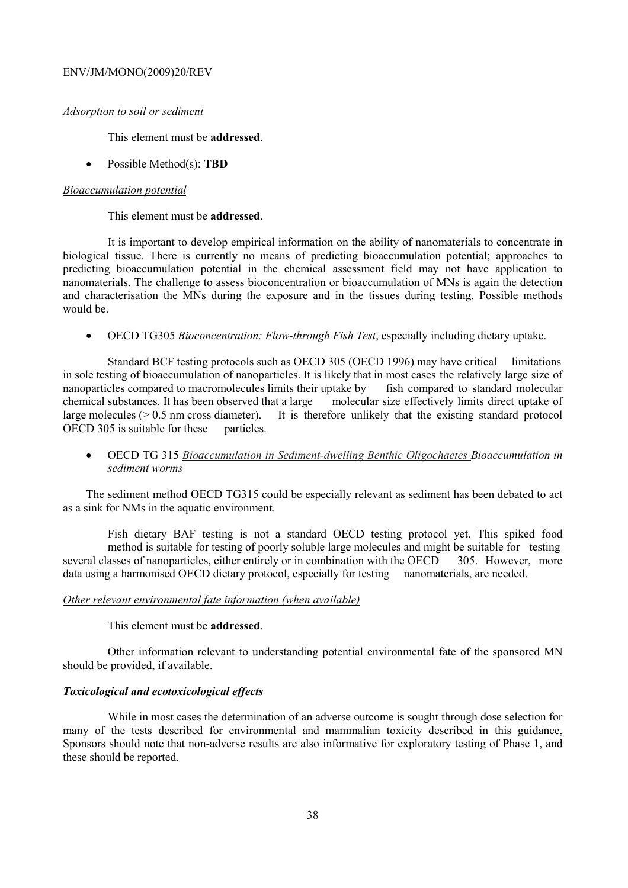## *Adsorption to soil or sediment*

This element must be **addressed**.

• Possible Method(s): **TBD** 

### *Bioaccumulation potential*

This element must be **addressed**.

 It is important to develop empirical information on the ability of nanomaterials to concentrate in biological tissue. There is currently no means of predicting bioaccumulation potential; approaches to predicting bioaccumulation potential in the chemical assessment field may not have application to nanomaterials. The challenge to assess bioconcentration or bioaccumulation of MNs is again the detection and characterisation the MNs during the exposure and in the tissues during testing. Possible methods would be.

• OECD TG305 *Bioconcentration: Flow-through Fish Test*, especially including dietary uptake.

 Standard BCF testing protocols such as OECD 305 (OECD 1996) may have critical limitations in sole testing of bioaccumulation of nanoparticles. It is likely that in most cases the relatively large size of nanoparticles compared to macromolecules limits their uptake by fish compared to standard molecular chemical substances. It has been observed that a large molecular size effectively limits direct uptake of large molecules (> 0.5 nm cross diameter). It is therefore unlikely that the existing standard protocol OECD 305 is suitable for these particles.

• OECD TG 315 *Bioaccumulation in Sediment-dwelling Benthic Oligochaetes Bioaccumulation in sediment worms*

The sediment method OECD TG315 could be especially relevant as sediment has been debated to act as a sink for NMs in the aquatic environment.

 Fish dietary BAF testing is not a standard OECD testing protocol yet. This spiked food method is suitable for testing of poorly soluble large molecules and might be suitable for testing several classes of nanoparticles, either entirely or in combination with the OECD 305. However, more data using a harmonised OECD dietary protocol, especially for testing nanomaterials, are needed.

### *Other relevant environmental fate information (when available)*

This element must be **addressed**.

 Other information relevant to understanding potential environmental fate of the sponsored MN should be provided, if available.

## *Toxicological and ecotoxicological effects*

 While in most cases the determination of an adverse outcome is sought through dose selection for many of the tests described for environmental and mammalian toxicity described in this guidance, Sponsors should note that non-adverse results are also informative for exploratory testing of Phase 1, and these should be reported.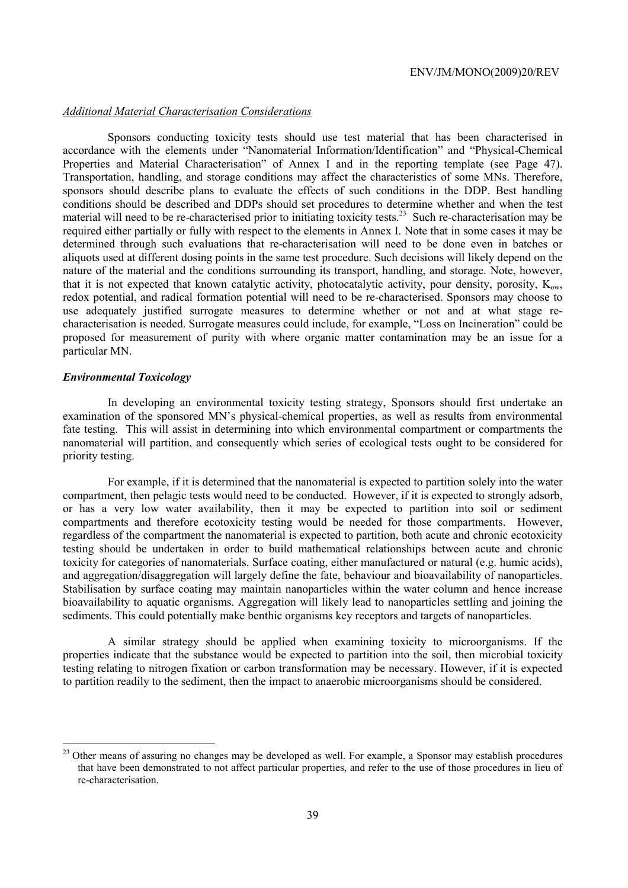### *Additional Material Characterisation Considerations*

 Sponsors conducting toxicity tests should use test material that has been characterised in accordance with the elements under "Nanomaterial Information/Identification" and "Physical-Chemical Properties and Material Characterisation" of Annex I and in the reporting template (see Page 47). Transportation, handling, and storage conditions may affect the characteristics of some MNs. Therefore, sponsors should describe plans to evaluate the effects of such conditions in the DDP. Best handling conditions should be described and DDPs should set procedures to determine whether and when the test material will need to be re-characterised prior to initiating toxicity tests.<sup>23</sup> Such re-characterisation may be required either partially or fully with respect to the elements in Annex I. Note that in some cases it may be determined through such evaluations that re-characterisation will need to be done even in batches or aliquots used at different dosing points in the same test procedure. Such decisions will likely depend on the nature of the material and the conditions surrounding its transport, handling, and storage. Note, however, that it is not expected that known catalytic activity, photocatalytic activity, pour density, porosity,  $K_{ow}$ , redox potential, and radical formation potential will need to be re-characterised. Sponsors may choose to use adequately justified surrogate measures to determine whether or not and at what stage recharacterisation is needed. Surrogate measures could include, for example, "Loss on Incineration" could be proposed for measurement of purity with where organic matter contamination may be an issue for a particular MN.

#### *Environmental Toxicology*

 $\overline{a}$ 

 In developing an environmental toxicity testing strategy, Sponsors should first undertake an examination of the sponsored MN's physical-chemical properties, as well as results from environmental fate testing. This will assist in determining into which environmental compartment or compartments the nanomaterial will partition, and consequently which series of ecological tests ought to be considered for priority testing.

 For example, if it is determined that the nanomaterial is expected to partition solely into the water compartment, then pelagic tests would need to be conducted. However, if it is expected to strongly adsorb, or has a very low water availability, then it may be expected to partition into soil or sediment compartments and therefore ecotoxicity testing would be needed for those compartments. However, regardless of the compartment the nanomaterial is expected to partition, both acute and chronic ecotoxicity testing should be undertaken in order to build mathematical relationships between acute and chronic toxicity for categories of nanomaterials. Surface coating, either manufactured or natural (e.g. humic acids), and aggregation/disaggregation will largely define the fate, behaviour and bioavailability of nanoparticles. Stabilisation by surface coating may maintain nanoparticles within the water column and hence increase bioavailability to aquatic organisms. Aggregation will likely lead to nanoparticles settling and joining the sediments. This could potentially make benthic organisms key receptors and targets of nanoparticles.

 A similar strategy should be applied when examining toxicity to microorganisms. If the properties indicate that the substance would be expected to partition into the soil, then microbial toxicity testing relating to nitrogen fixation or carbon transformation may be necessary. However, if it is expected to partition readily to the sediment, then the impact to anaerobic microorganisms should be considered.

<sup>&</sup>lt;sup>23</sup> Other means of assuring no changes may be developed as well. For example, a Sponsor may establish procedures that have been demonstrated to not affect particular properties, and refer to the use of those procedures in lieu of re-characterisation.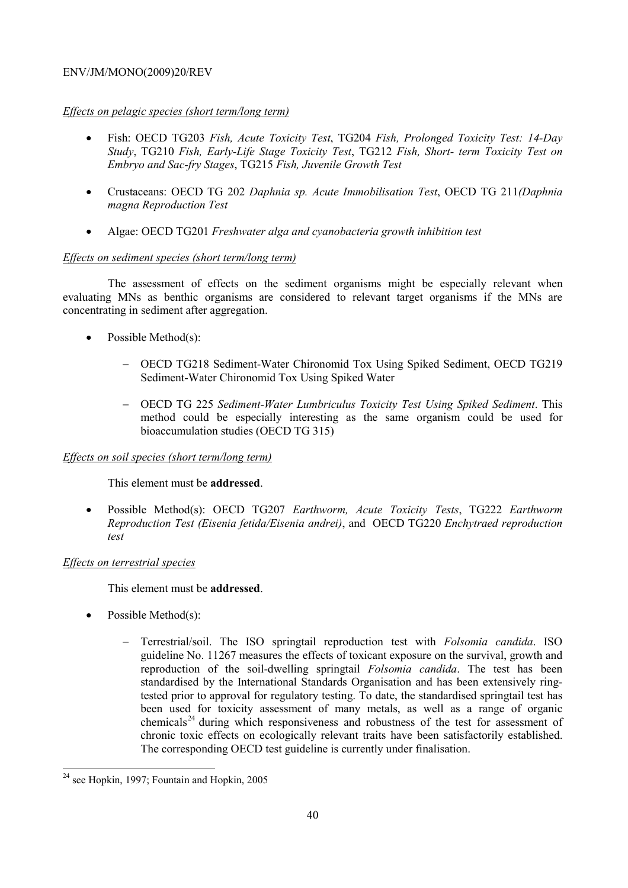## *Effects on pelagic species (short term/long term)*

- Fish: OECD TG203 *Fish, Acute Toxicity Test*, TG204 *Fish, Prolonged Toxicity Test: 14-Day Study*, TG210 *Fish, Early-Life Stage Toxicity Test*, TG212 *Fish, Short- term Toxicity Test on Embryo and Sac-fry Stages*, TG215 *Fish, Juvenile Growth Test*
- Crustaceans: OECD TG 202 *Daphnia sp. Acute Immobilisation Test*, OECD TG 211*(Daphnia magna Reproduction Test*
- Algae: OECD TG201 *Freshwater alga and cyanobacteria growth inhibition test*

## *Effects on sediment species (short term/long term)*

 The assessment of effects on the sediment organisms might be especially relevant when evaluating MNs as benthic organisms are considered to relevant target organisms if the MNs are concentrating in sediment after aggregation.

- Possible Method(s):
	- − OECD TG218 Sediment-Water Chironomid Tox Using Spiked Sediment, OECD TG219 Sediment-Water Chironomid Tox Using Spiked Water
	- − OECD TG 225 *Sediment-Water Lumbriculus Toxicity Test Using Spiked Sediment*. This method could be especially interesting as the same organism could be used for bioaccumulation studies (OECD TG 315)

# *Effects on soil species (short term/long term)*

This element must be **addressed**.

• Possible Method(s): OECD TG207 *Earthworm, Acute Toxicity Tests*, TG222 *Earthworm Reproduction Test (Eisenia fetida/Eisenia andrei)*, and OECD TG220 *Enchytraed reproduction test* 

## *Effects on terrestrial species*

This element must be **addressed**.

- Possible Method(s):
	- − Terrestrial/soil. The ISO springtail reproduction test with *Folsomia candida*. ISO guideline No. 11267 measures the effects of toxicant exposure on the survival, growth and reproduction of the soil-dwelling springtail *Folsomia candida*. The test has been standardised by the International Standards Organisation and has been extensively ringtested prior to approval for regulatory testing. To date, the standardised springtail test has been used for toxicity assessment of many metals, as well as a range of organic chemicals<sup>24</sup> during which responsiveness and robustness of the test for assessment of chronic toxic effects on ecologically relevant traits have been satisfactorily established. The corresponding OECD test guideline is currently under finalisation.

 $24$  see Hopkin, 1997; Fountain and Hopkin, 2005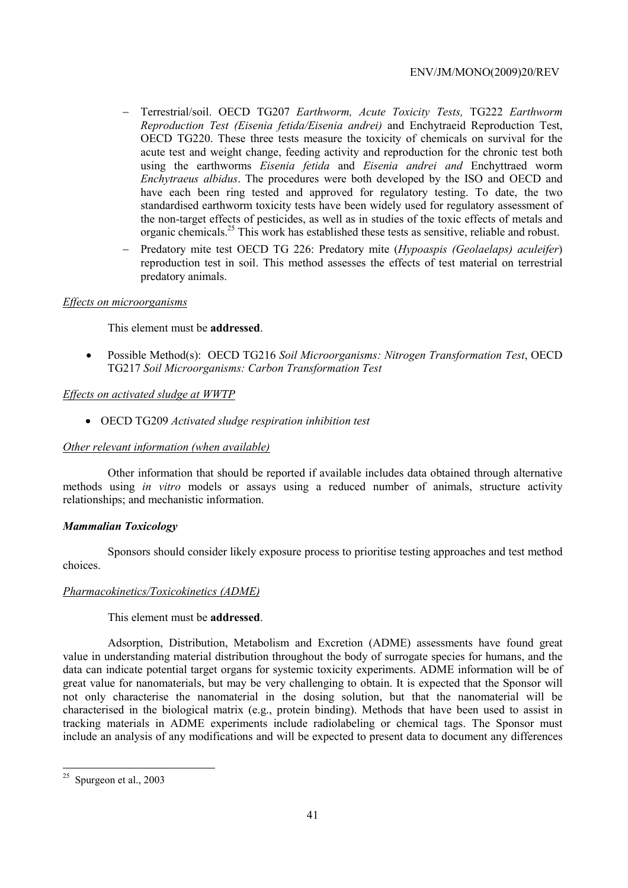- − Terrestrial/soil. OECD TG207 *Earthworm, Acute Toxicity Tests,* TG222 *Earthworm Reproduction Test (Eisenia fetida/Eisenia andrei)* and Enchytraeid Reproduction Test, OECD TG220. These three tests measure the toxicity of chemicals on survival for the acute test and weight change, feeding activity and reproduction for the chronic test both using the earthworms *Eisenia fetida* and *Eisenia andrei and* Enchyttraed worm *Enchytraeus albidus*. The procedures were both developed by the ISO and OECD and have each been ring tested and approved for regulatory testing. To date, the two standardised earthworm toxicity tests have been widely used for regulatory assessment of the non-target effects of pesticides, as well as in studies of the toxic effects of metals and organic chemicals.25 This work has established these tests as sensitive, reliable and robust.
- − Predatory mite test OECD TG 226: Predatory mite (*Hypoaspis (Geolaelaps) aculeifer*) reproduction test in soil. This method assesses the effects of test material on terrestrial predatory animals.

## *Effects on microorganisms*

This element must be **addressed**.

• Possible Method(s): OECD TG216 *Soil Microorganisms: Nitrogen Transformation Test*, OECD TG217 *Soil Microorganisms: Carbon Transformation Test*

*Effects on activated sludge at WWTP*

• OECD TG209 *Activated sludge respiration inhibition test*

## *Other relevant information (when available)*

 Other information that should be reported if available includes data obtained through alternative methods using *in vitro* models or assays using a reduced number of animals, structure activity relationships; and mechanistic information.

# *Mammalian Toxicology*

 Sponsors should consider likely exposure process to prioritise testing approaches and test method choices.

## *Pharmacokinetics/Toxicokinetics (ADME)*

# This element must be **addressed**.

 Adsorption, Distribution, Metabolism and Excretion (ADME) assessments have found great value in understanding material distribution throughout the body of surrogate species for humans, and the data can indicate potential target organs for systemic toxicity experiments. ADME information will be of great value for nanomaterials, but may be very challenging to obtain. It is expected that the Sponsor will not only characterise the nanomaterial in the dosing solution, but that the nanomaterial will be characterised in the biological matrix (e.g., protein binding). Methods that have been used to assist in tracking materials in ADME experiments include radiolabeling or chemical tags. The Sponsor must include an analysis of any modifications and will be expected to present data to document any differences

 $25\,$ Spurgeon et al., 2003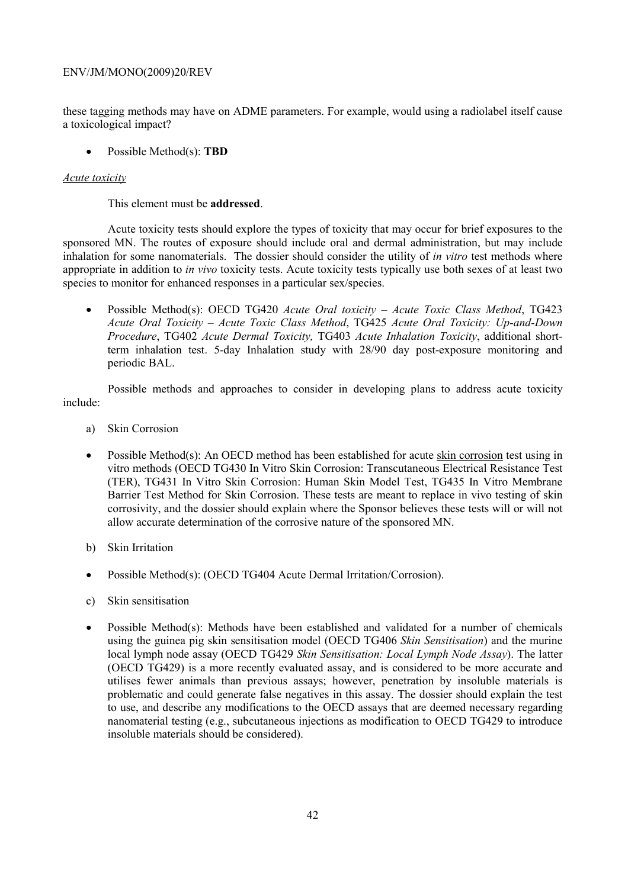these tagging methods may have on ADME parameters. For example, would using a radiolabel itself cause a toxicological impact?

• Possible Method(s): **TBD**

## *Acute toxicity*

This element must be **addressed**.

 Acute toxicity tests should explore the types of toxicity that may occur for brief exposures to the sponsored MN. The routes of exposure should include oral and dermal administration, but may include inhalation for some nanomaterials. The dossier should consider the utility of *in vitro* test methods where appropriate in addition to *in vivo* toxicity tests. Acute toxicity tests typically use both sexes of at least two species to monitor for enhanced responses in a particular sex/species.

• Possible Method(s): OECD TG420 *Acute Oral toxicity – Acute Toxic Class Method*, TG423 *Acute Oral Toxicity – Acute Toxic Class Method*, TG425 *Acute Oral Toxicity: Up-and-Down Procedure*, TG402 *Acute Dermal Toxicity,* TG403 *Acute Inhalation Toxicity*, additional shortterm inhalation test. 5-day Inhalation study with 28/90 day post-exposure monitoring and periodic BAL.

 Possible methods and approaches to consider in developing plans to address acute toxicity include:

- a) Skin Corrosion
- Possible Method(s): An OECD method has been established for acute skin corrosion test using in vitro methods (OECD TG430 In Vitro Skin Corrosion: Transcutaneous Electrical Resistance Test (TER), TG431 In Vitro Skin Corrosion: Human Skin Model Test, TG435 In Vitro Membrane Barrier Test Method for Skin Corrosion. These tests are meant to replace in vivo testing of skin corrosivity, and the dossier should explain where the Sponsor believes these tests will or will not allow accurate determination of the corrosive nature of the sponsored MN.
- b) Skin Irritation
- Possible Method(s): (OECD TG404 Acute Dermal Irritation/Corrosion).
- c) Skin sensitisation
- Possible Method(s): Methods have been established and validated for a number of chemicals using the guinea pig skin sensitisation model (OECD TG406 *Skin Sensitisation*) and the murine local lymph node assay (OECD TG429 *Skin Sensitisation: Local Lymph Node Assay*). The latter (OECD TG429) is a more recently evaluated assay, and is considered to be more accurate and utilises fewer animals than previous assays; however, penetration by insoluble materials is problematic and could generate false negatives in this assay. The dossier should explain the test to use, and describe any modifications to the OECD assays that are deemed necessary regarding nanomaterial testing (e.g., subcutaneous injections as modification to OECD TG429 to introduce insoluble materials should be considered).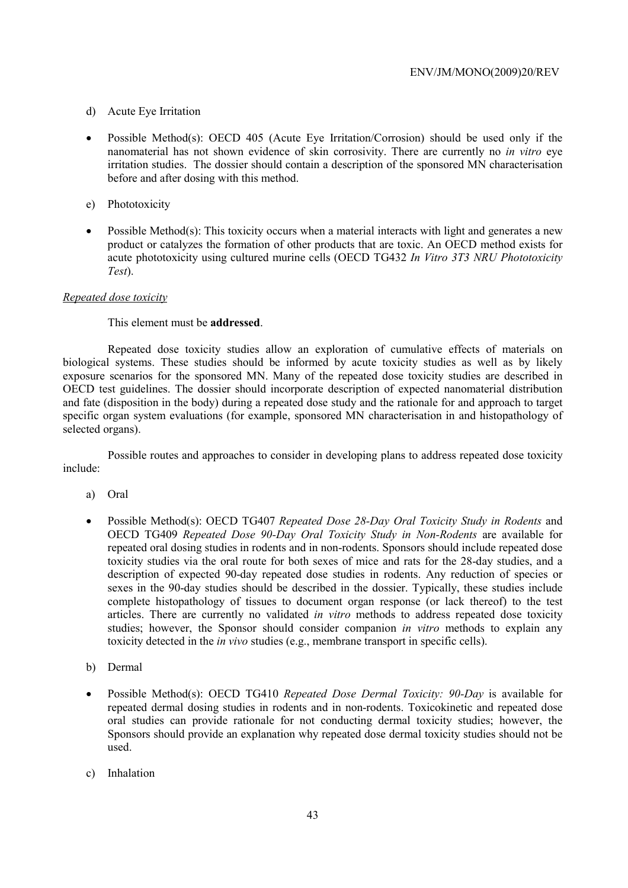- d) Acute Eye Irritation
- Possible Method(s): OECD 405 (Acute Eye Irritation/Corrosion) should be used only if the nanomaterial has not shown evidence of skin corrosivity. There are currently no *in vitro* eye irritation studies. The dossier should contain a description of the sponsored MN characterisation before and after dosing with this method.
- e) Phototoxicity
- Possible Method(s): This toxicity occurs when a material interacts with light and generates a new product or catalyzes the formation of other products that are toxic. An OECD method exists for acute phototoxicity using cultured murine cells (OECD TG432 *In Vitro 3T3 NRU Phototoxicity Test*).

### *Repeated dose toxicity*

## This element must be **addressed**.

 Repeated dose toxicity studies allow an exploration of cumulative effects of materials on biological systems. These studies should be informed by acute toxicity studies as well as by likely exposure scenarios for the sponsored MN. Many of the repeated dose toxicity studies are described in OECD test guidelines. The dossier should incorporate description of expected nanomaterial distribution and fate (disposition in the body) during a repeated dose study and the rationale for and approach to target specific organ system evaluations (for example, sponsored MN characterisation in and histopathology of selected organs).

 Possible routes and approaches to consider in developing plans to address repeated dose toxicity include:

- a) Oral
- Possible Method(s): OECD TG407 *Repeated Dose 28-Day Oral Toxicity Study in Rodents* and OECD TG409 *Repeated Dose 90-Day Oral Toxicity Study in Non-Rodents* are available for repeated oral dosing studies in rodents and in non-rodents. Sponsors should include repeated dose toxicity studies via the oral route for both sexes of mice and rats for the 28-day studies, and a description of expected 90-day repeated dose studies in rodents. Any reduction of species or sexes in the 90-day studies should be described in the dossier. Typically, these studies include complete histopathology of tissues to document organ response (or lack thereof) to the test articles. There are currently no validated *in vitro* methods to address repeated dose toxicity studies; however, the Sponsor should consider companion *in vitro* methods to explain any toxicity detected in the *in vivo* studies (e.g., membrane transport in specific cells).
- b) Dermal
- Possible Method(s): OECD TG410 *Repeated Dose Dermal Toxicity: 90-Day* is available for repeated dermal dosing studies in rodents and in non-rodents. Toxicokinetic and repeated dose oral studies can provide rationale for not conducting dermal toxicity studies; however, the Sponsors should provide an explanation why repeated dose dermal toxicity studies should not be used.
- c) Inhalation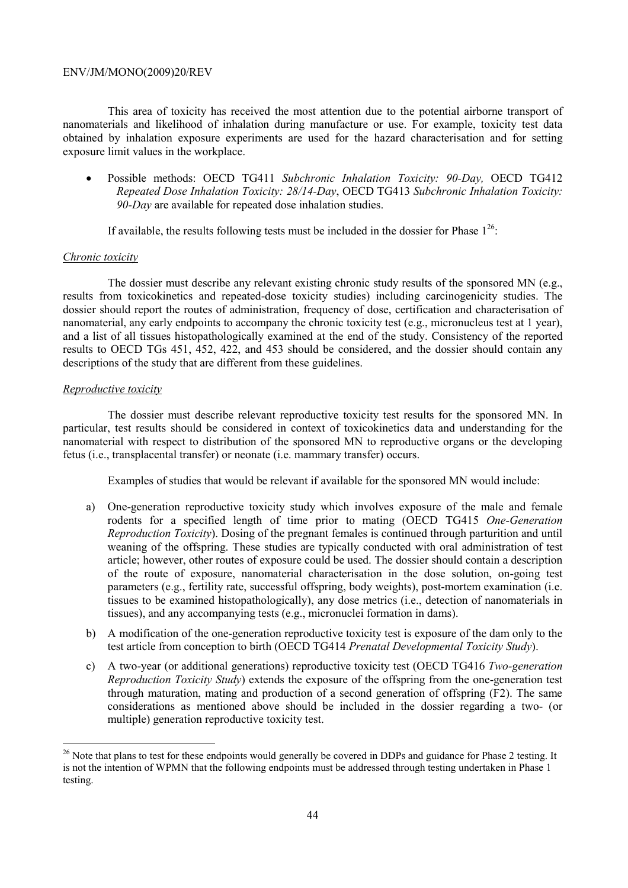This area of toxicity has received the most attention due to the potential airborne transport of nanomaterials and likelihood of inhalation during manufacture or use. For example, toxicity test data obtained by inhalation exposure experiments are used for the hazard characterisation and for setting exposure limit values in the workplace.

• Possible methods: OECD TG411 *Subchronic Inhalation Toxicity: 90-Day,* OECD TG412 *Repeated Dose Inhalation Toxicity: 28/14-Day*, OECD TG413 *Subchronic Inhalation Toxicity: 90-Day* are available for repeated dose inhalation studies.

If available, the results following tests must be included in the dossier for Phase  $1^{26}$ .

## *Chronic toxicity*

 The dossier must describe any relevant existing chronic study results of the sponsored MN (e.g., results from toxicokinetics and repeated-dose toxicity studies) including carcinogenicity studies. The dossier should report the routes of administration, frequency of dose, certification and characterisation of nanomaterial, any early endpoints to accompany the chronic toxicity test (e.g., micronucleus test at 1 year), and a list of all tissues histopathologically examined at the end of the study. Consistency of the reported results to OECD TGs 451, 452, 422, and 453 should be considered, and the dossier should contain any descriptions of the study that are different from these guidelines.

## *Reproductive toxicity*

 $\overline{a}$ 

 The dossier must describe relevant reproductive toxicity test results for the sponsored MN. In particular, test results should be considered in context of toxicokinetics data and understanding for the nanomaterial with respect to distribution of the sponsored MN to reproductive organs or the developing fetus (i.e., transplacental transfer) or neonate (i.e. mammary transfer) occurs.

Examples of studies that would be relevant if available for the sponsored MN would include:

- a) One-generation reproductive toxicity study which involves exposure of the male and female rodents for a specified length of time prior to mating (OECD TG415 *One-Generation Reproduction Toxicity*). Dosing of the pregnant females is continued through parturition and until weaning of the offspring. These studies are typically conducted with oral administration of test article; however, other routes of exposure could be used. The dossier should contain a description of the route of exposure, nanomaterial characterisation in the dose solution, on-going test parameters (e.g., fertility rate, successful offspring, body weights), post-mortem examination (i.e. tissues to be examined histopathologically), any dose metrics (i.e., detection of nanomaterials in tissues), and any accompanying tests (e.g., micronuclei formation in dams).
- b) A modification of the one-generation reproductive toxicity test is exposure of the dam only to the test article from conception to birth (OECD TG414 *Prenatal Developmental Toxicity Study*).
- c) A two-year (or additional generations) reproductive toxicity test (OECD TG416 *Two-generation Reproduction Toxicity Study*) extends the exposure of the offspring from the one-generation test through maturation, mating and production of a second generation of offspring (F2). The same considerations as mentioned above should be included in the dossier regarding a two- (or multiple) generation reproductive toxicity test.

<sup>&</sup>lt;sup>26</sup> Note that plans to test for these endpoints would generally be covered in DDPs and guidance for Phase 2 testing. It is not the intention of WPMN that the following endpoints must be addressed through testing undertaken in Phase 1 testing.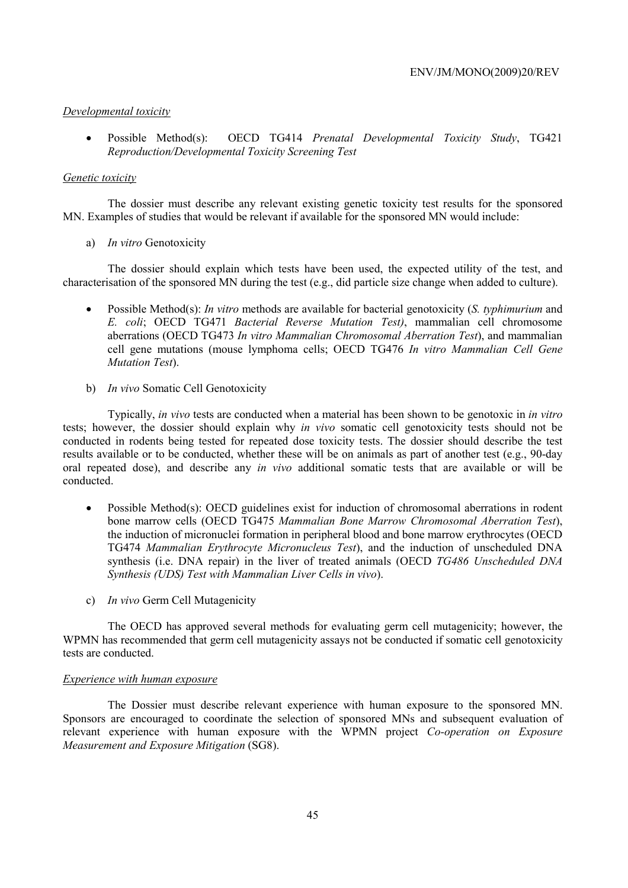### *Developmental toxicity*

• Possible Method(s): OECD TG414 *Prenatal Developmental Toxicity Study*, TG421 *Reproduction/Developmental Toxicity Screening Test*

### *Genetic toxicity*

 The dossier must describe any relevant existing genetic toxicity test results for the sponsored MN. Examples of studies that would be relevant if available for the sponsored MN would include:

a) *In vitro* Genotoxicity

 The dossier should explain which tests have been used, the expected utility of the test, and characterisation of the sponsored MN during the test (e.g., did particle size change when added to culture).

- Possible Method(s): *In vitro* methods are available for bacterial genotoxicity (*S. typhimurium* and *E. coli*; OECD TG471 *Bacterial Reverse Mutation Test)*, mammalian cell chromosome aberrations (OECD TG473 *In vitro Mammalian Chromosomal Aberration Test*), and mammalian cell gene mutations (mouse lymphoma cells; OECD TG476 *In vitro Mammalian Cell Gene Mutation Test*).
- b) *In vivo* Somatic Cell Genotoxicity

 Typically, *in vivo* tests are conducted when a material has been shown to be genotoxic in *in vitro*  tests; however, the dossier should explain why *in vivo* somatic cell genotoxicity tests should not be conducted in rodents being tested for repeated dose toxicity tests. The dossier should describe the test results available or to be conducted, whether these will be on animals as part of another test (e.g., 90-day oral repeated dose), and describe any *in vivo* additional somatic tests that are available or will be conducted.

- Possible Method(s): OECD guidelines exist for induction of chromosomal aberrations in rodent bone marrow cells (OECD TG475 *Mammalian Bone Marrow Chromosomal Aberration Test*), the induction of micronuclei formation in peripheral blood and bone marrow erythrocytes (OECD TG474 *Mammalian Erythrocyte Micronucleus Test*), and the induction of unscheduled DNA synthesis (i.e. DNA repair) in the liver of treated animals (OECD *TG486 Unscheduled DNA Synthesis (UDS) Test with Mammalian Liver Cells in vivo*).
- c) *In vivo* Germ Cell Mutagenicity

 The OECD has approved several methods for evaluating germ cell mutagenicity; however, the WPMN has recommended that germ cell mutagenicity assays not be conducted if somatic cell genotoxicity tests are conducted.

### *Experience with human exposure*

 The Dossier must describe relevant experience with human exposure to the sponsored MN. Sponsors are encouraged to coordinate the selection of sponsored MNs and subsequent evaluation of relevant experience with human exposure with the WPMN project *Co-operation on Exposure Measurement and Exposure Mitigation* (SG8).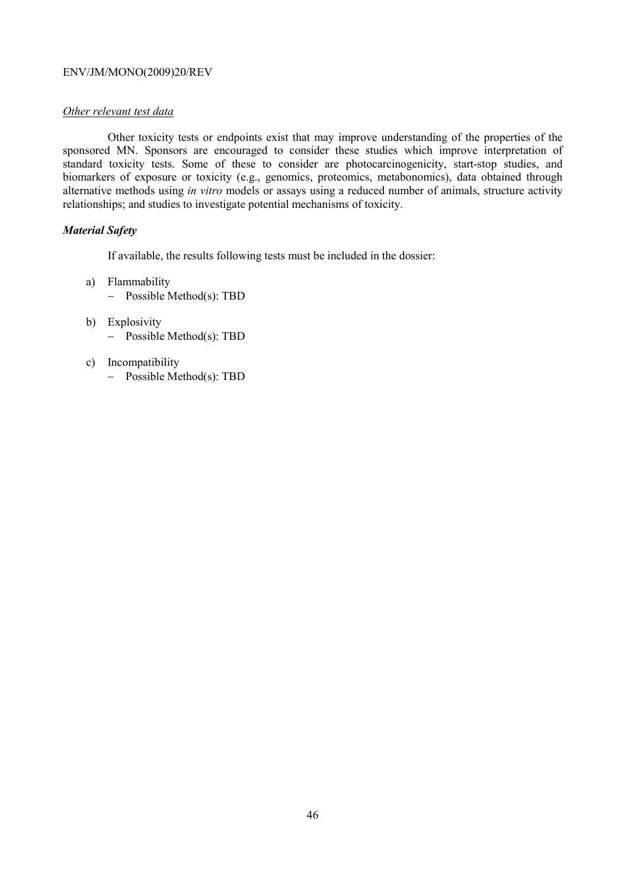### *Other relevant test data*

 Other toxicity tests or endpoints exist that may improve understanding of the properties of the sponsored MN. Sponsors are encouraged to consider these studies which improve interpretation of standard toxicity tests. Some of these to consider are photocarcinogenicity, start-stop studies, and biomarkers of exposure or toxicity (e.g., genomics, proteomics, metabonomics), data obtained through alternative methods using *in vitro* models or assays using a reduced number of animals, structure activity relationships; and studies to investigate potential mechanisms of toxicity.

## *Material Safety*

If available, the results following tests must be included in the dossier:

- a) Flammability
	- − Possible Method(s): TBD
- b) Explosivity − Possible Method(s): TBD
- c) Incompatibility
	- − Possible Method(s): TBD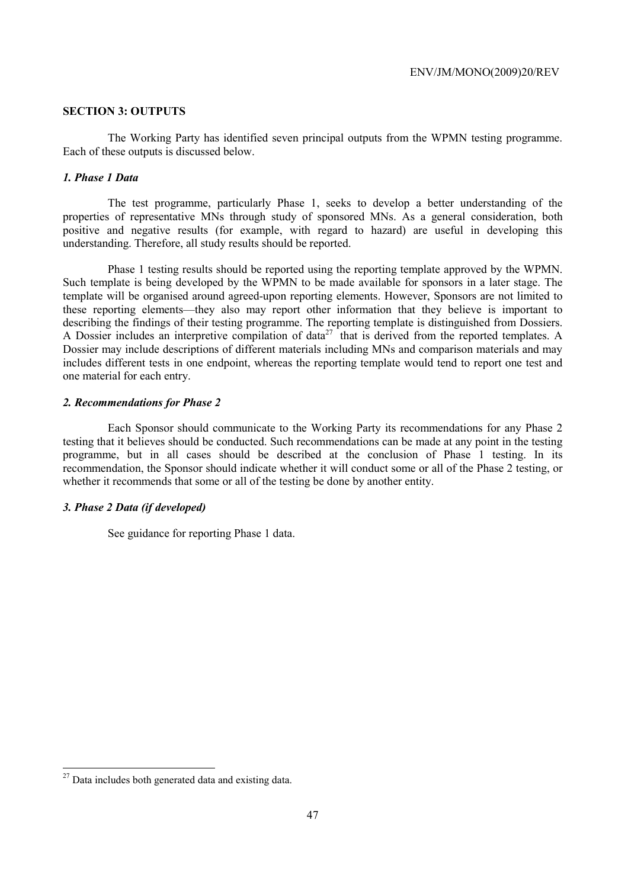### **SECTION 3: OUTPUTS**

 The Working Party has identified seven principal outputs from the WPMN testing programme. Each of these outputs is discussed below.

### *1. Phase 1 Data*

 The test programme, particularly Phase 1, seeks to develop a better understanding of the properties of representative MNs through study of sponsored MNs. As a general consideration, both positive and negative results (for example, with regard to hazard) are useful in developing this understanding. Therefore, all study results should be reported.

 Phase 1 testing results should be reported using the reporting template approved by the WPMN. Such template is being developed by the WPMN to be made available for sponsors in a later stage. The template will be organised around agreed-upon reporting elements. However, Sponsors are not limited to these reporting elements—they also may report other information that they believe is important to describing the findings of their testing programme. The reporting template is distinguished from Dossiers. A Dossier includes an interpretive compilation of data<sup>27</sup> that is derived from the reported templates. A Dossier may include descriptions of different materials including MNs and comparison materials and may includes different tests in one endpoint, whereas the reporting template would tend to report one test and one material for each entry.

#### *2. Recommendations for Phase 2*

 Each Sponsor should communicate to the Working Party its recommendations for any Phase 2 testing that it believes should be conducted. Such recommendations can be made at any point in the testing programme, but in all cases should be described at the conclusion of Phase 1 testing. In its recommendation, the Sponsor should indicate whether it will conduct some or all of the Phase 2 testing, or whether it recommends that some or all of the testing be done by another entity.

## *3. Phase 2 Data (if developed)*

See guidance for reporting Phase 1 data.

 $27$  Data includes both generated data and existing data.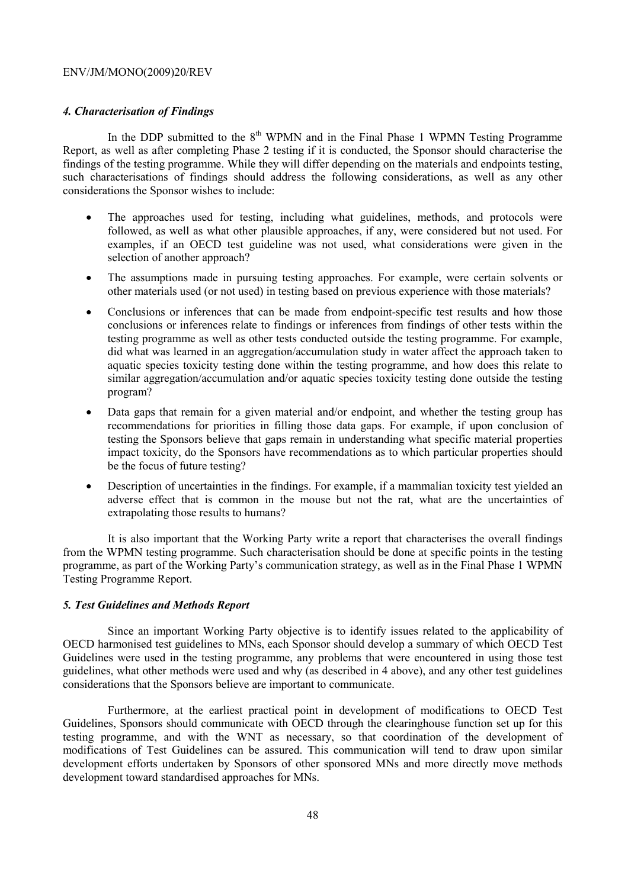### *4. Characterisation of Findings*

In the DDP submitted to the  $8<sup>th</sup>$  WPMN and in the Final Phase 1 WPMN Testing Programme Report, as well as after completing Phase 2 testing if it is conducted, the Sponsor should characterise the findings of the testing programme. While they will differ depending on the materials and endpoints testing, such characterisations of findings should address the following considerations, as well as any other considerations the Sponsor wishes to include:

- The approaches used for testing, including what guidelines, methods, and protocols were followed, as well as what other plausible approaches, if any, were considered but not used. For examples, if an OECD test guideline was not used, what considerations were given in the selection of another approach?
- The assumptions made in pursuing testing approaches. For example, were certain solvents or other materials used (or not used) in testing based on previous experience with those materials?
- Conclusions or inferences that can be made from endpoint-specific test results and how those conclusions or inferences relate to findings or inferences from findings of other tests within the testing programme as well as other tests conducted outside the testing programme. For example, did what was learned in an aggregation/accumulation study in water affect the approach taken to aquatic species toxicity testing done within the testing programme, and how does this relate to similar aggregation/accumulation and/or aquatic species toxicity testing done outside the testing program?
- Data gaps that remain for a given material and/or endpoint, and whether the testing group has recommendations for priorities in filling those data gaps. For example, if upon conclusion of testing the Sponsors believe that gaps remain in understanding what specific material properties impact toxicity, do the Sponsors have recommendations as to which particular properties should be the focus of future testing?
- Description of uncertainties in the findings. For example, if a mammalian toxicity test yielded an adverse effect that is common in the mouse but not the rat, what are the uncertainties of extrapolating those results to humans?

 It is also important that the Working Party write a report that characterises the overall findings from the WPMN testing programme. Such characterisation should be done at specific points in the testing programme, as part of the Working Party's communication strategy, as well as in the Final Phase 1 WPMN Testing Programme Report.

### *5. Test Guidelines and Methods Report*

 Since an important Working Party objective is to identify issues related to the applicability of OECD harmonised test guidelines to MNs, each Sponsor should develop a summary of which OECD Test Guidelines were used in the testing programme, any problems that were encountered in using those test guidelines, what other methods were used and why (as described in 4 above), and any other test guidelines considerations that the Sponsors believe are important to communicate.

 Furthermore, at the earliest practical point in development of modifications to OECD Test Guidelines, Sponsors should communicate with OECD through the clearinghouse function set up for this testing programme, and with the WNT as necessary, so that coordination of the development of modifications of Test Guidelines can be assured. This communication will tend to draw upon similar development efforts undertaken by Sponsors of other sponsored MNs and more directly move methods development toward standardised approaches for MNs.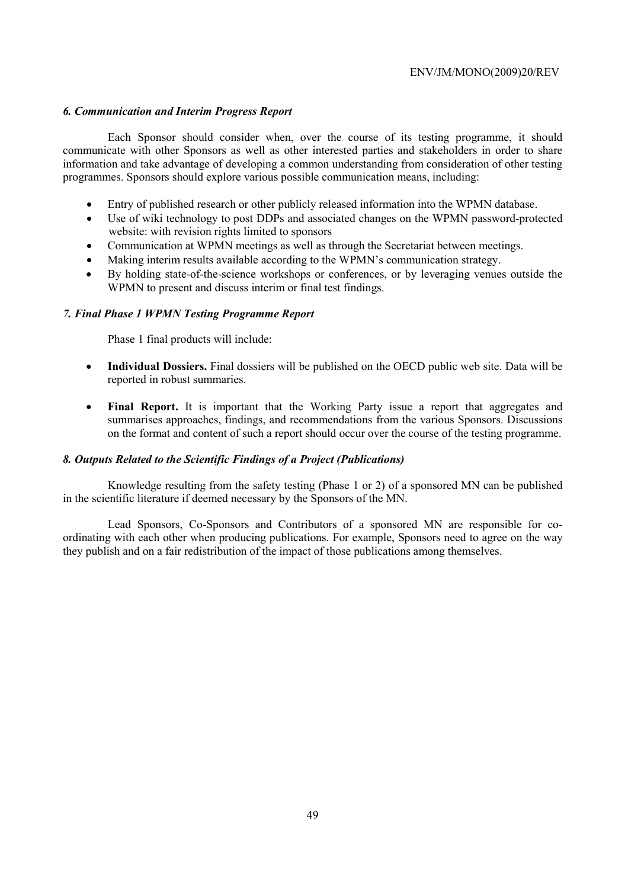## *6. Communication and Interim Progress Report*

 Each Sponsor should consider when, over the course of its testing programme, it should communicate with other Sponsors as well as other interested parties and stakeholders in order to share information and take advantage of developing a common understanding from consideration of other testing programmes. Sponsors should explore various possible communication means, including:

- Entry of published research or other publicly released information into the WPMN database.
- Use of wiki technology to post DDPs and associated changes on the WPMN password-protected website: with revision rights limited to sponsors
- Communication at WPMN meetings as well as through the Secretariat between meetings.
- Making interim results available according to the WPMN's communication strategy.
- By holding state-of-the-science workshops or conferences, or by leveraging venues outside the WPMN to present and discuss interim or final test findings.

## *7. Final Phase 1 WPMN Testing Programme Report*

Phase 1 final products will include:

- **Individual Dossiers.** Final dossiers will be published on the OECD public web site. Data will be reported in robust summaries.
- **Final Report.** It is important that the Working Party issue a report that aggregates and summarises approaches, findings, and recommendations from the various Sponsors. Discussions on the format and content of such a report should occur over the course of the testing programme.

## *8. Outputs Related to the Scientific Findings of a Project (Publications)*

 Knowledge resulting from the safety testing (Phase 1 or 2) of a sponsored MN can be published in the scientific literature if deemed necessary by the Sponsors of the MN.

 Lead Sponsors, Co-Sponsors and Contributors of a sponsored MN are responsible for coordinating with each other when producing publications. For example, Sponsors need to agree on the way they publish and on a fair redistribution of the impact of those publications among themselves.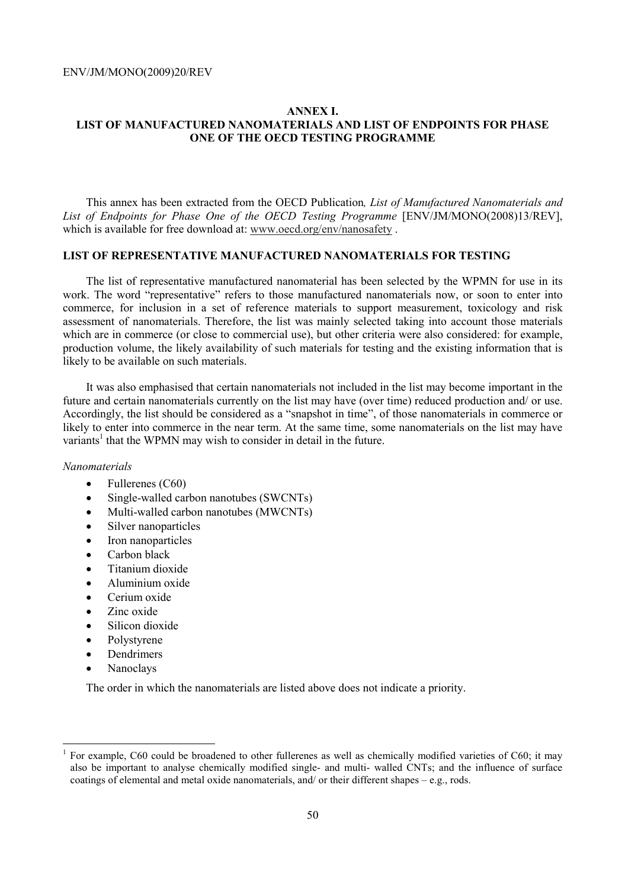#### **ANNEX I.**

## **LIST OF MANUFACTURED NANOMATERIALS AND LIST OF ENDPOINTS FOR PHASE ONE OF THE OECD TESTING PROGRAMME**

This annex has been extracted from the OECD Publication*, List of Manufactured Nanomaterials and List of Endpoints for Phase One of the OECD Testing Programme* [ENV/JM/MONO(2008)13/REV], which is available for free download at: www.oecd.org/env/nanosafety .

### **LIST OF REPRESENTATIVE MANUFACTURED NANOMATERIALS FOR TESTING**

The list of representative manufactured nanomaterial has been selected by the WPMN for use in its work. The word "representative" refers to those manufactured nanomaterials now, or soon to enter into commerce, for inclusion in a set of reference materials to support measurement, toxicology and risk assessment of nanomaterials. Therefore, the list was mainly selected taking into account those materials which are in commerce (or close to commercial use), but other criteria were also considered: for example, production volume, the likely availability of such materials for testing and the existing information that is likely to be available on such materials.

It was also emphasised that certain nanomaterials not included in the list may become important in the future and certain nanomaterials currently on the list may have (over time) reduced production and/ or use. Accordingly, the list should be considered as a "snapshot in time", of those nanomaterials in commerce or likely to enter into commerce in the near term. At the same time, some nanomaterials on the list may have variants<sup>1</sup> that the WPMN may wish to consider in detail in the future.

#### *Nanomaterials*

- Fullerenes (C60)
- Single-walled carbon nanotubes (SWCNTs)
- Multi-walled carbon nanotubes (MWCNTs)
- Silver nanoparticles
- Iron nanoparticles
- Carbon black
- Titanium dioxide
- Aluminium oxide
- Cerium oxide
- Zinc oxide
- Silicon dioxide
- Polystyrene
- **Dendrimers**
- Nanoclays

 $\overline{a}$ 

The order in which the nanomaterials are listed above does not indicate a priority.

<sup>1</sup> For example, C60 could be broadened to other fullerenes as well as chemically modified varieties of C60; it may also be important to analyse chemically modified single- and multi- walled CNTs; and the influence of surface coatings of elemental and metal oxide nanomaterials, and/ or their different shapes – e.g., rods.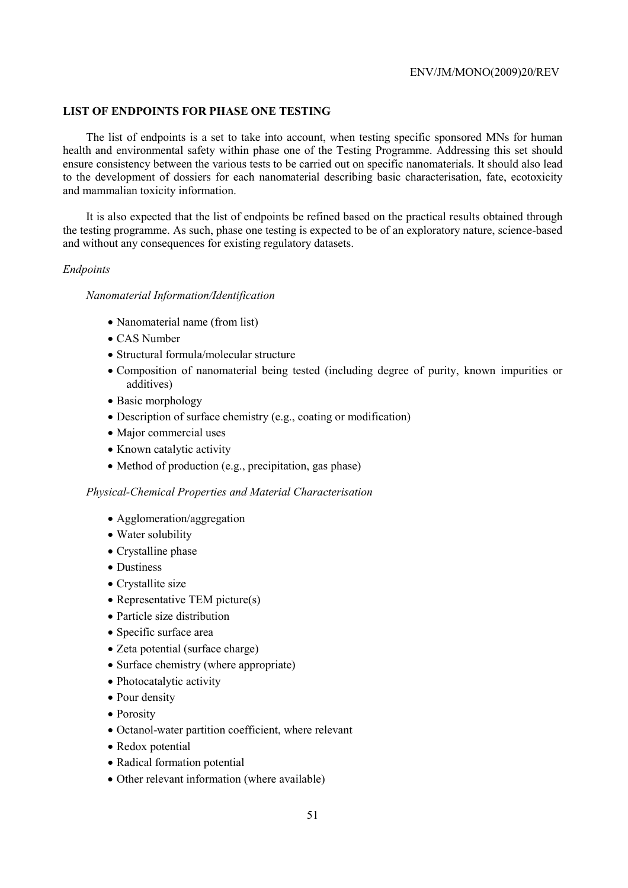### **LIST OF ENDPOINTS FOR PHASE ONE TESTING**

The list of endpoints is a set to take into account, when testing specific sponsored MNs for human health and environmental safety within phase one of the Testing Programme. Addressing this set should ensure consistency between the various tests to be carried out on specific nanomaterials. It should also lead to the development of dossiers for each nanomaterial describing basic characterisation, fate, ecotoxicity and mammalian toxicity information.

It is also expected that the list of endpoints be refined based on the practical results obtained through the testing programme. As such, phase one testing is expected to be of an exploratory nature, science-based and without any consequences for existing regulatory datasets.

### *Endpoints*

*Nanomaterial Information/Identification* 

- Nanomaterial name (from list)
- CAS Number
- Structural formula/molecular structure
- Composition of nanomaterial being tested (including degree of purity, known impurities or additives)
- Basic morphology
- Description of surface chemistry (e.g., coating or modification)
- Major commercial uses
- Known catalytic activity
- Method of production (e.g., precipitation, gas phase)

## *Physical-Chemical Properties and Material Characterisation*

- Agglomeration/aggregation
- Water solubility
- Crystalline phase
- Dustiness
- Crystallite size
- Representative TEM picture(s)
- Particle size distribution
- Specific surface area
- Zeta potential (surface charge)
- Surface chemistry (where appropriate)
- Photocatalytic activity
- Pour density
- Porosity
- Octanol-water partition coefficient, where relevant
- Redox potential
- Radical formation potential
- Other relevant information (where available)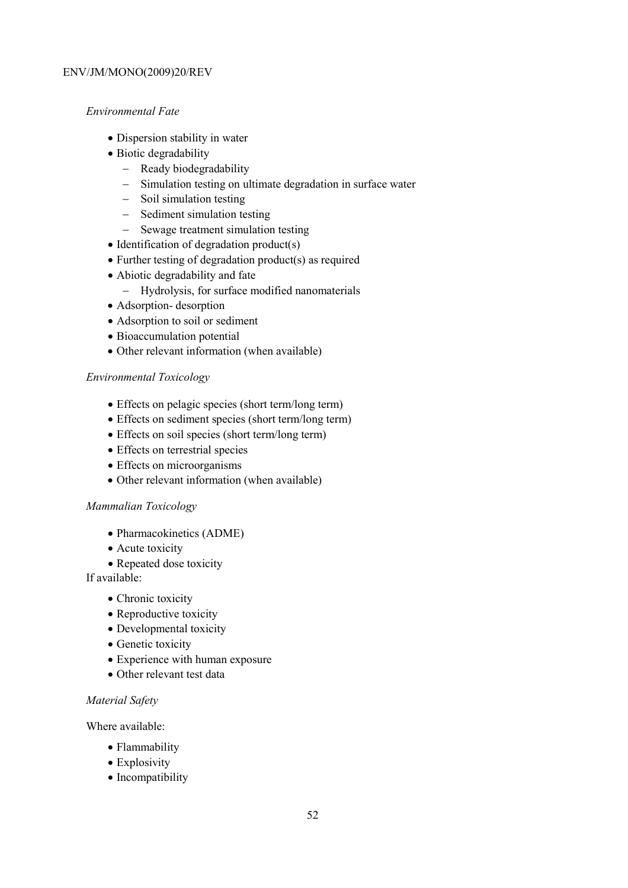# *Environmental Fate*

- Dispersion stability in water
- Biotic degradability
	- − Ready biodegradability
	- − Simulation testing on ultimate degradation in surface water
	- − Soil simulation testing
	- − Sediment simulation testing
	- − Sewage treatment simulation testing
- Identification of degradation product(s)
- Further testing of degradation product(s) as required
- Abiotic degradability and fate
	- − Hydrolysis, for surface modified nanomaterials
- Adsorption- desorption
- Adsorption to soil or sediment
- Bioaccumulation potential
- Other relevant information (when available)

# *Environmental Toxicology*

- Effects on pelagic species (short term/long term)
- Effects on sediment species (short term/long term)
- Effects on soil species (short term/long term)
- Effects on terrestrial species
- Effects on microorganisms
- Other relevant information (when available)

# *Mammalian Toxicology*

- Pharmacokinetics (ADME)
- Acute toxicity
- Repeated dose toxicity

If available:

- Chronic toxicity
- Reproductive toxicity
- Developmental toxicity
- Genetic toxicity
- Experience with human exposure
- Other relevant test data

# *Material Safety*

Where available:

- Flammability
- Explosivity
- Incompatibility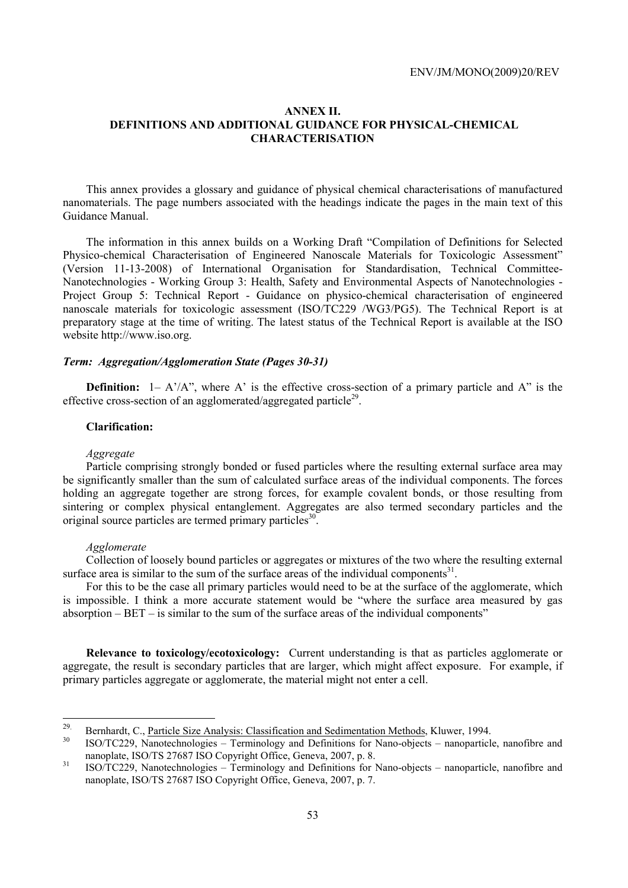### **ANNEX II. DEFINITIONS AND ADDITIONAL GUIDANCE FOR PHYSICAL-CHEMICAL CHARACTERISATION**

This annex provides a glossary and guidance of physical chemical characterisations of manufactured nanomaterials. The page numbers associated with the headings indicate the pages in the main text of this Guidance Manual.

The information in this annex builds on a Working Draft "Compilation of Definitions for Selected Physico-chemical Characterisation of Engineered Nanoscale Materials for Toxicologic Assessment" (Version 11-13-2008) of International Organisation for Standardisation, Technical Committee-Nanotechnologies - Working Group 3: Health, Safety and Environmental Aspects of Nanotechnologies - Project Group 5: Technical Report - Guidance on physico-chemical characterisation of engineered nanoscale materials for toxicologic assessment (ISO/TC229 /WG3/PG5). The Technical Report is at preparatory stage at the time of writing. The latest status of the Technical Report is available at the ISO website http://www.iso.org.

#### *Term: Aggregation/Agglomeration State (Pages 30-31)*

**Definition:**  $1 - A'/A''$ , where A' is the effective cross-section of a primary particle and A" is the effective cross-section of an agglomerated/aggregated particle<sup>29</sup>.

### **Clarification:**

#### *Aggregate*

Particle comprising strongly bonded or fused particles where the resulting external surface area may be significantly smaller than the sum of calculated surface areas of the individual components. The forces holding an aggregate together are strong forces, for example covalent bonds, or those resulting from sintering or complex physical entanglement. Aggregates are also termed secondary particles and the original source particles are termed primary particles<sup>30</sup>.

#### *Agglomerate*

Collection of loosely bound particles or aggregates or mixtures of the two where the resulting external surface area is similar to the sum of the surface areas of the individual components $31$ .

For this to be the case all primary particles would need to be at the surface of the agglomerate, which is impossible. I think a more accurate statement would be "where the surface area measured by gas absorption – BET – is similar to the sum of the surface areas of the individual components"

**Relevance to toxicology/ecotoxicology:** Current understanding is that as particles agglomerate or aggregate, the result is secondary particles that are larger, which might affect exposure. For example, if primary particles aggregate or agglomerate, the material might not enter a cell.

 29.

Bernhardt, C., <u>Particle Size Analysis: Classification and Sedimentation Methods</u>, Kluwer, 1994.<br>  $\text{ISO/TC229, Nanotechnology and Definitions for Nano-objects - nanoparticle, nanofibre and nanoplate, ISO/TS 27687 ISO Copyright Office, Geneva, 2007, p. 8.}$ 

<sup>&</sup>lt;sup>31</sup> ISO/TC229, Nanotechnologies – Terminology and Definitions for Nano-objects – nanoparticle, nanofibre and nanoplate, ISO/TS 27687 ISO Copyright Office, Geneva, 2007, p. 7.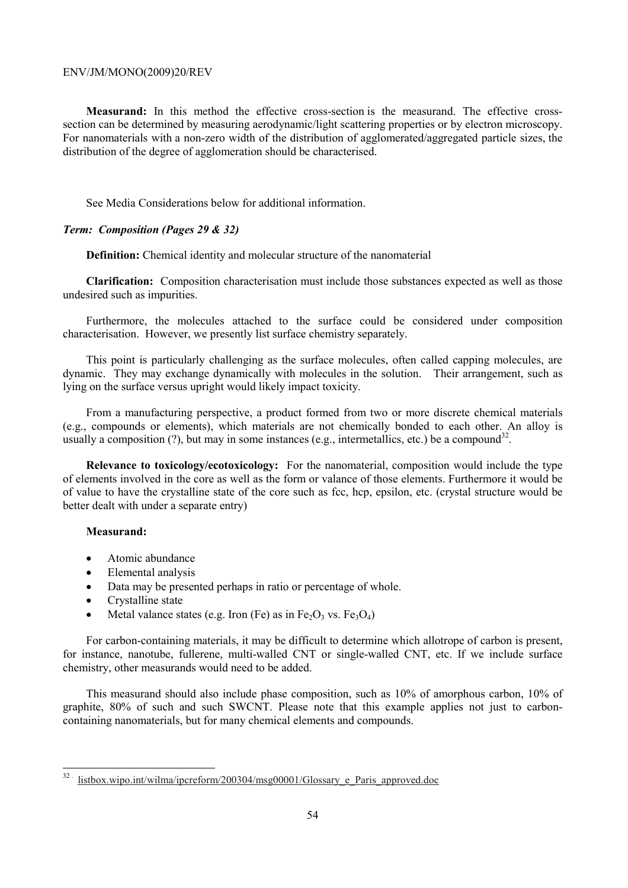**Measurand:** In this method the effective cross-section is the measurand. The effective crosssection can be determined by measuring aerodynamic/light scattering properties or by electron microscopy. For nanomaterials with a non-zero width of the distribution of agglomerated/aggregated particle sizes, the distribution of the degree of agglomeration should be characterised.

See Media Considerations below for additional information.

## *Term: Composition (Pages 29 & 32)*

**Definition:** Chemical identity and molecular structure of the nanomaterial

**Clarification:** Composition characterisation must include those substances expected as well as those undesired such as impurities.

Furthermore, the molecules attached to the surface could be considered under composition characterisation. However, we presently list surface chemistry separately.

This point is particularly challenging as the surface molecules, often called capping molecules, are dynamic. They may exchange dynamically with molecules in the solution. Their arrangement, such as lying on the surface versus upright would likely impact toxicity.

From a manufacturing perspective, a product formed from two or more discrete chemical materials (e.g., compounds or elements), which materials are not chemically bonded to each other. An alloy is usually a composition (?), but may in some instances (e.g., intermetallics, etc.) be a compound<sup>32</sup>.

**Relevance to toxicology/ecotoxicology:** For the nanomaterial, composition would include the type of elements involved in the core as well as the form or valance of those elements. Furthermore it would be of value to have the crystalline state of the core such as fcc, hcp, epsilon, etc. (crystal structure would be better dealt with under a separate entry)

#### **Measurand:**

- Atomic abundance
- Elemental analysis
- Data may be presented perhaps in ratio or percentage of whole.
- Crystalline state
- Metal valance states (e.g. Iron (Fe) as in Fe<sub>2</sub>O<sub>3</sub> vs. Fe<sub>3</sub>O<sub>4</sub>)

For carbon-containing materials, it may be difficult to determine which allotrope of carbon is present, for instance, nanotube, fullerene, multi-walled CNT or single-walled CNT, etc. If we include surface chemistry, other measurands would need to be added.

This measurand should also include phase composition, such as 10% of amorphous carbon, 10% of graphite, 80% of such and such SWCNT. Please note that this example applies not just to carboncontaining nanomaterials, but for many chemical elements and compounds.

listbox.wipo.int/wilma/ipcreform/200304/msg00001/Glossary e\_Paris\_approved.doc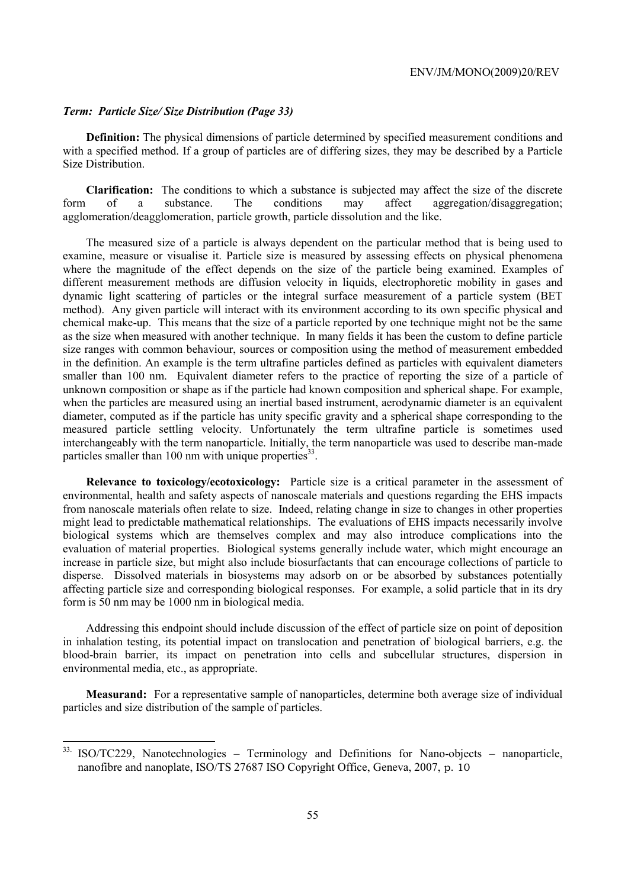#### *Term: Particle Size/ Size Distribution (Page 33)*

 $\overline{a}$ 

**Definition:** The physical dimensions of particle determined by specified measurement conditions and with a specified method. If a group of particles are of differing sizes, they may be described by a Particle Size Distribution.

**Clarification:** The conditions to which a substance is subjected may affect the size of the discrete form of a substance. The conditions may affect aggregation/disaggregation; agglomeration/deagglomeration, particle growth, particle dissolution and the like.

The measured size of a particle is always dependent on the particular method that is being used to examine, measure or visualise it. Particle size is measured by assessing effects on physical phenomena where the magnitude of the effect depends on the size of the particle being examined. Examples of different measurement methods are diffusion velocity in liquids, electrophoretic mobility in gases and dynamic light scattering of particles or the integral surface measurement of a particle system (BET method). Any given particle will interact with its environment according to its own specific physical and chemical make-up. This means that the size of a particle reported by one technique might not be the same as the size when measured with another technique. In many fields it has been the custom to define particle size ranges with common behaviour, sources or composition using the method of measurement embedded in the definition. An example is the term ultrafine particles defined as particles with equivalent diameters smaller than 100 nm. Equivalent diameter refers to the practice of reporting the size of a particle of unknown composition or shape as if the particle had known composition and spherical shape. For example, when the particles are measured using an inertial based instrument, aerodynamic diameter is an equivalent diameter, computed as if the particle has unity specific gravity and a spherical shape corresponding to the measured particle settling velocity. Unfortunately the term ultrafine particle is sometimes used interchangeably with the term nanoparticle. Initially, the term nanoparticle was used to describe man-made particles smaller than 100 nm with unique properties $^{33}$ .

**Relevance to toxicology/ecotoxicology:** Particle size is a critical parameter in the assessment of environmental, health and safety aspects of nanoscale materials and questions regarding the EHS impacts from nanoscale materials often relate to size. Indeed, relating change in size to changes in other properties might lead to predictable mathematical relationships. The evaluations of EHS impacts necessarily involve biological systems which are themselves complex and may also introduce complications into the evaluation of material properties. Biological systems generally include water, which might encourage an increase in particle size, but might also include biosurfactants that can encourage collections of particle to disperse. Dissolved materials in biosystems may adsorb on or be absorbed by substances potentially affecting particle size and corresponding biological responses. For example, a solid particle that in its dry form is 50 nm may be 1000 nm in biological media.

Addressing this endpoint should include discussion of the effect of particle size on point of deposition in inhalation testing, its potential impact on translocation and penetration of biological barriers, e.g. the blood-brain barrier, its impact on penetration into cells and subcellular structures, dispersion in environmental media, etc., as appropriate.

**Measurand:** For a representative sample of nanoparticles, determine both average size of individual particles and size distribution of the sample of particles.

<sup>&</sup>lt;sup>33.</sup> ISO/TC229, Nanotechnologies – Terminology and Definitions for Nano-objects – nanoparticle, nanofibre and nanoplate, ISO/TS 27687 ISO Copyright Office, Geneva, 2007, p. 10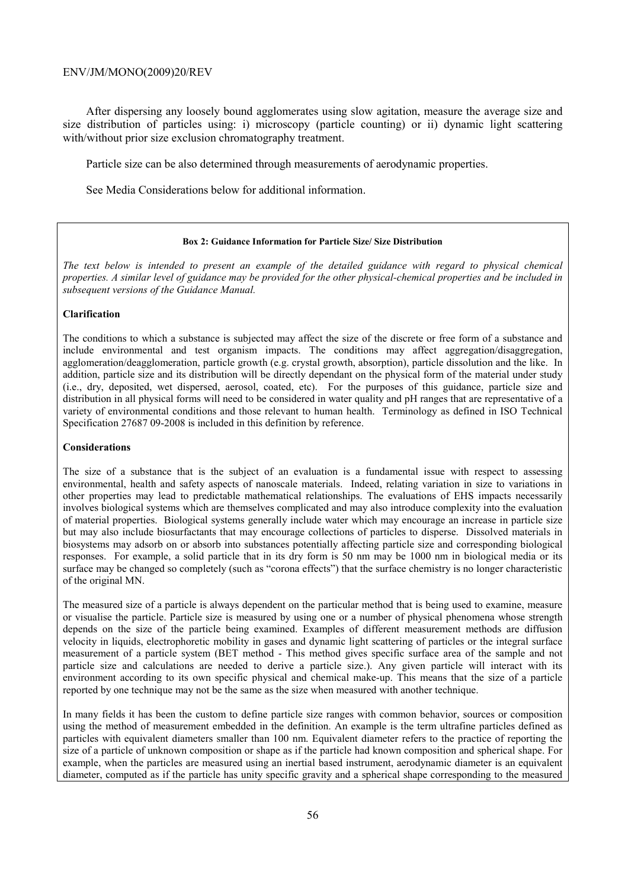After dispersing any loosely bound agglomerates using slow agitation, measure the average size and size distribution of particles using: i) microscopy (particle counting) or ii) dynamic light scattering with/without prior size exclusion chromatography treatment.

Particle size can be also determined through measurements of aerodynamic properties.

See Media Considerations below for additional information.

#### **Box 2: Guidance Information for Particle Size/ Size Distribution**

*The text below is intended to present an example of the detailed guidance with regard to physical chemical properties. A similar level of guidance may be provided for the other physical-chemical properties and be included in subsequent versions of the Guidance Manual.* 

### **Clarification**

The conditions to which a substance is subjected may affect the size of the discrete or free form of a substance and include environmental and test organism impacts. The conditions may affect aggregation/disaggregation, agglomeration/deagglomeration, particle growth (e.g. crystal growth, absorption), particle dissolution and the like. In addition, particle size and its distribution will be directly dependant on the physical form of the material under study (i.e., dry, deposited, wet dispersed, aerosol, coated, etc). For the purposes of this guidance, particle size and distribution in all physical forms will need to be considered in water quality and pH ranges that are representative of a variety of environmental conditions and those relevant to human health. Terminology as defined in ISO Technical Specification 27687 09-2008 is included in this definition by reference.

### **Considerations**

The size of a substance that is the subject of an evaluation is a fundamental issue with respect to assessing environmental, health and safety aspects of nanoscale materials. Indeed, relating variation in size to variations in other properties may lead to predictable mathematical relationships. The evaluations of EHS impacts necessarily involves biological systems which are themselves complicated and may also introduce complexity into the evaluation of material properties. Biological systems generally include water which may encourage an increase in particle size but may also include biosurfactants that may encourage collections of particles to disperse. Dissolved materials in biosystems may adsorb on or absorb into substances potentially affecting particle size and corresponding biological responses. For example, a solid particle that in its dry form is 50 nm may be 1000 nm in biological media or its surface may be changed so completely (such as "corona effects") that the surface chemistry is no longer characteristic of the original MN.

The measured size of a particle is always dependent on the particular method that is being used to examine, measure or visualise the particle. Particle size is measured by using one or a number of physical phenomena whose strength depends on the size of the particle being examined. Examples of different measurement methods are diffusion velocity in liquids, electrophoretic mobility in gases and dynamic light scattering of particles or the integral surface measurement of a particle system (BET method - This method gives specific surface area of the sample and not particle size and calculations are needed to derive a particle size.). Any given particle will interact with its environment according to its own specific physical and chemical make-up. This means that the size of a particle reported by one technique may not be the same as the size when measured with another technique.

In many fields it has been the custom to define particle size ranges with common behavior, sources or composition using the method of measurement embedded in the definition. An example is the term ultrafine particles defined as particles with equivalent diameters smaller than 100 nm. Equivalent diameter refers to the practice of reporting the size of a particle of unknown composition or shape as if the particle had known composition and spherical shape. For example, when the particles are measured using an inertial based instrument, aerodynamic diameter is an equivalent diameter, computed as if the particle has unity specific gravity and a spherical shape corresponding to the measured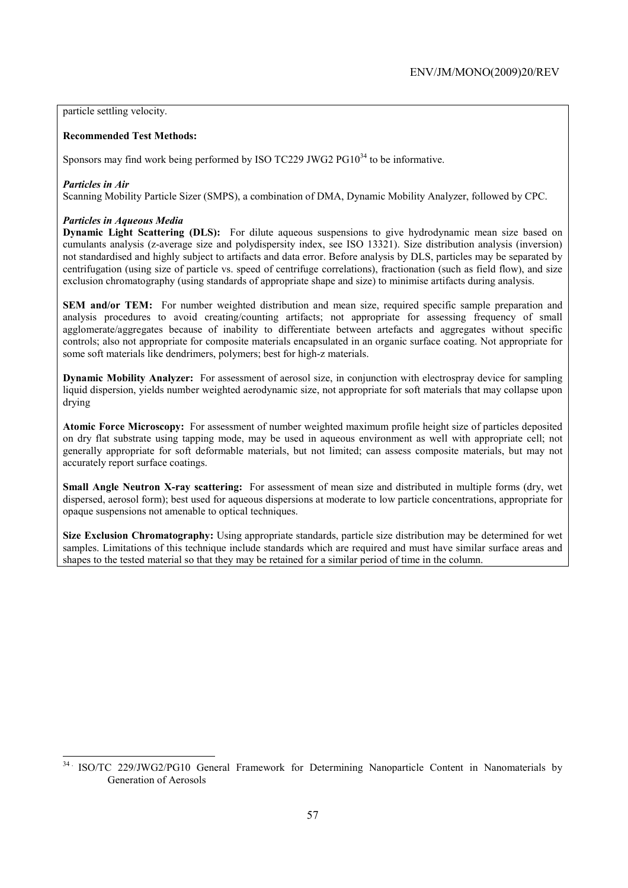particle settling velocity.

#### **Recommended Test Methods:**

Sponsors may find work being performed by ISO TC229 JWG2  $PG10^{34}$  to be informative.

#### *Particles in Air*

Scanning Mobility Particle Sizer (SMPS), a combination of DMA, Dynamic Mobility Analyzer, followed by CPC.

#### *Particles in Aqueous Media*

**Dynamic Light Scattering (DLS):** For dilute aqueous suspensions to give hydrodynamic mean size based on cumulants analysis (z-average size and polydispersity index, see ISO 13321). Size distribution analysis (inversion) not standardised and highly subject to artifacts and data error. Before analysis by DLS, particles may be separated by centrifugation (using size of particle vs. speed of centrifuge correlations), fractionation (such as field flow), and size exclusion chromatography (using standards of appropriate shape and size) to minimise artifacts during analysis.

**SEM and/or TEM:** For number weighted distribution and mean size, required specific sample preparation and analysis procedures to avoid creating/counting artifacts; not appropriate for assessing frequency of small agglomerate/aggregates because of inability to differentiate between artefacts and aggregates without specific controls; also not appropriate for composite materials encapsulated in an organic surface coating. Not appropriate for some soft materials like dendrimers, polymers; best for high-z materials.

**Dynamic Mobility Analyzer:** For assessment of aerosol size, in conjunction with electrospray device for sampling liquid dispersion, yields number weighted aerodynamic size, not appropriate for soft materials that may collapse upon drying

**Atomic Force Microscopy:** For assessment of number weighted maximum profile height size of particles deposited on dry flat substrate using tapping mode, may be used in aqueous environment as well with appropriate cell; not generally appropriate for soft deformable materials, but not limited; can assess composite materials, but may not accurately report surface coatings.

**Small Angle Neutron X-ray scattering:** For assessment of mean size and distributed in multiple forms (dry, wet dispersed, aerosol form); best used for aqueous dispersions at moderate to low particle concentrations, appropriate for opaque suspensions not amenable to optical techniques.

**Size Exclusion Chromatography:** Using appropriate standards, particle size distribution may be determined for wet samples. Limitations of this technique include standards which are required and must have similar surface areas and shapes to the tested material so that they may be retained for a similar period of time in the column.

 $\overline{a}$ 34 . ISO/TC 229/JWG2/PG10 General Framework for Determining Nanoparticle Content in Nanomaterials by Generation of Aerosols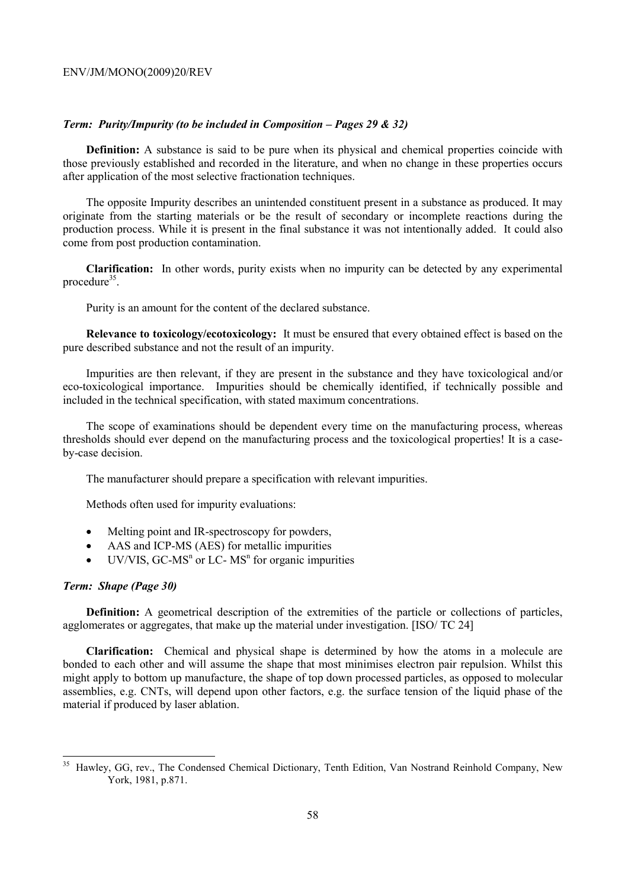#### *Term: Purity/Impurity (to be included in Composition – Pages 29 & 32)*

**Definition:** A substance is said to be pure when its physical and chemical properties coincide with those previously established and recorded in the literature, and when no change in these properties occurs after application of the most selective fractionation techniques.

The opposite Impurity describes an unintended constituent present in a substance as produced. It may originate from the starting materials or be the result of secondary or incomplete reactions during the production process. While it is present in the final substance it was not intentionally added. It could also come from post production contamination.

**Clarification:** In other words, purity exists when no impurity can be detected by any experimental procedure $35$ .

Purity is an amount for the content of the declared substance.

**Relevance to toxicology/ecotoxicology:** It must be ensured that every obtained effect is based on the pure described substance and not the result of an impurity.

Impurities are then relevant, if they are present in the substance and they have toxicological and/or eco-toxicological importance. Impurities should be chemically identified, if technically possible and included in the technical specification, with stated maximum concentrations.

The scope of examinations should be dependent every time on the manufacturing process, whereas thresholds should ever depend on the manufacturing process and the toxicological properties! It is a caseby-case decision.

The manufacturer should prepare a specification with relevant impurities.

Methods often used for impurity evaluations:

- Melting point and IR-spectroscopy for powders,
- AAS and ICP-MS (AES) for metallic impurities
- $\bullet$  UV/VIS, GC-MS<sup>n</sup> or LC-MS<sup>n</sup> for organic impurities

#### *Term: Shape (Page 30)*

 $\overline{a}$ 

**Definition:** A geometrical description of the extremities of the particle or collections of particles, agglomerates or aggregates, that make up the material under investigation. [ISO/ TC 24]

**Clarification:** Chemical and physical shape is determined by how the atoms in a molecule are bonded to each other and will assume the shape that most minimises electron pair repulsion. Whilst this might apply to bottom up manufacture, the shape of top down processed particles, as opposed to molecular assemblies, e.g. CNTs, will depend upon other factors, e.g. the surface tension of the liquid phase of the material if produced by laser ablation.

<sup>35</sup> Hawley, GG, rev., The Condensed Chemical Dictionary, Tenth Edition, Van Nostrand Reinhold Company, New York, 1981, p.871.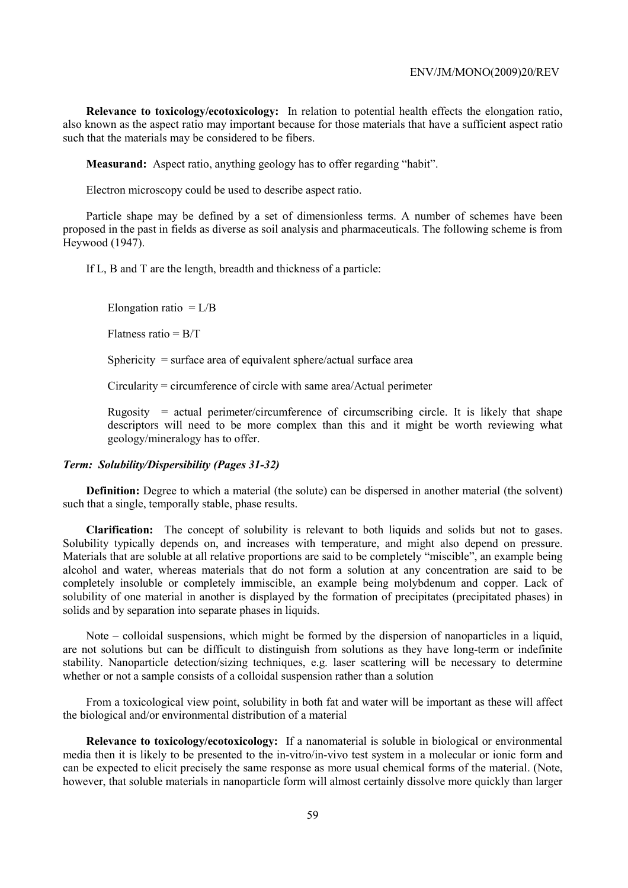**Relevance to toxicology/ecotoxicology:** In relation to potential health effects the elongation ratio, also known as the aspect ratio may important because for those materials that have a sufficient aspect ratio such that the materials may be considered to be fibers.

**Measurand:** Aspect ratio, anything geology has to offer regarding "habit".

Electron microscopy could be used to describe aspect ratio.

Particle shape may be defined by a set of dimensionless terms. A number of schemes have been proposed in the past in fields as diverse as soil analysis and pharmaceuticals. The following scheme is from Heywood (1947).

If L, B and T are the length, breadth and thickness of a particle:

Elongation ratio  $= L/B$ 

Flatness ratio  $=$  B/T

Sphericity = surface area of equivalent sphere/actual surface area

Circularity = circumference of circle with same area/Actual perimeter

Rugosity = actual perimeter/circumference of circumscribing circle. It is likely that shape descriptors will need to be more complex than this and it might be worth reviewing what geology/mineralogy has to offer.

#### *Term: Solubility/Dispersibility (Pages 31-32)*

**Definition:** Degree to which a material (the solute) can be dispersed in another material (the solvent) such that a single, temporally stable, phase results.

**Clarification:** The concept of solubility is relevant to both liquids and solids but not to gases. Solubility typically depends on, and increases with temperature, and might also depend on pressure. Materials that are soluble at all relative proportions are said to be completely "miscible", an example being alcohol and water, whereas materials that do not form a solution at any concentration are said to be completely insoluble or completely immiscible, an example being molybdenum and copper. Lack of solubility of one material in another is displayed by the formation of precipitates (precipitated phases) in solids and by separation into separate phases in liquids.

Note – colloidal suspensions, which might be formed by the dispersion of nanoparticles in a liquid, are not solutions but can be difficult to distinguish from solutions as they have long-term or indefinite stability. Nanoparticle detection/sizing techniques, e.g. laser scattering will be necessary to determine whether or not a sample consists of a colloidal suspension rather than a solution

From a toxicological view point, solubility in both fat and water will be important as these will affect the biological and/or environmental distribution of a material

**Relevance to toxicology/ecotoxicology:** If a nanomaterial is soluble in biological or environmental media then it is likely to be presented to the in-vitro/in-vivo test system in a molecular or ionic form and can be expected to elicit precisely the same response as more usual chemical forms of the material. (Note, however, that soluble materials in nanoparticle form will almost certainly dissolve more quickly than larger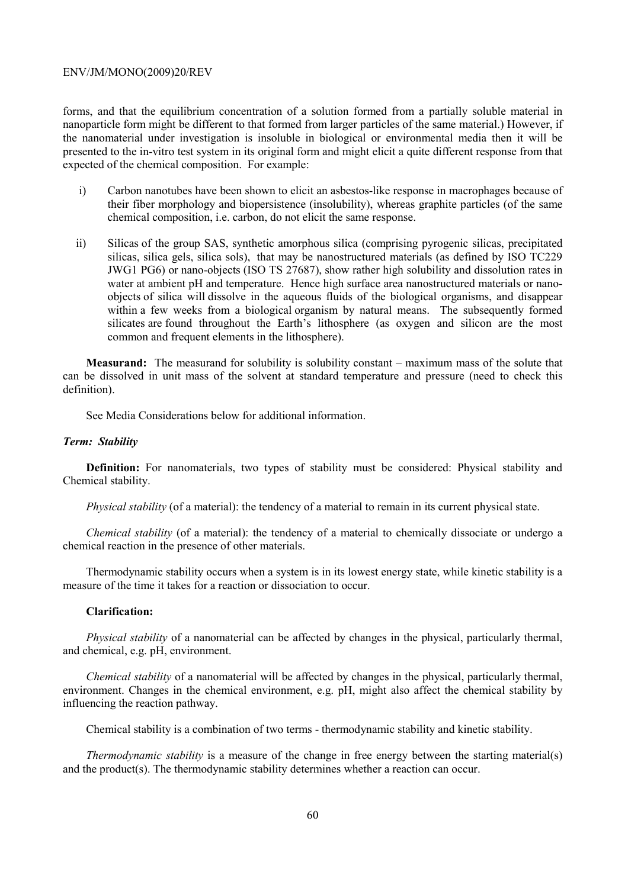forms, and that the equilibrium concentration of a solution formed from a partially soluble material in nanoparticle form might be different to that formed from larger particles of the same material.) However, if the nanomaterial under investigation is insoluble in biological or environmental media then it will be presented to the in-vitro test system in its original form and might elicit a quite different response from that expected of the chemical composition. For example:

- i) Carbon nanotubes have been shown to elicit an asbestos-like response in macrophages because of their fiber morphology and biopersistence (insolubility), whereas graphite particles (of the same chemical composition, i.e. carbon, do not elicit the same response.
- ii) Silicas of the group SAS, synthetic amorphous silica (comprising pyrogenic silicas, precipitated silicas, silica gels, silica sols), that may be nanostructured materials (as defined by ISO TC229 JWG1 PG6) or nano-objects (ISO TS 27687), show rather high solubility and dissolution rates in water at ambient pH and temperature. Hence high surface area nanostructured materials or nanoobjects of silica will dissolve in the aqueous fluids of the biological organisms, and disappear within a few weeks from a biological organism by natural means. The subsequently formed silicates are found throughout the Earth's lithosphere (as oxygen and silicon are the most common and frequent elements in the lithosphere).

**Measurand:** The measurand for solubility is solubility constant – maximum mass of the solute that can be dissolved in unit mass of the solvent at standard temperature and pressure (need to check this definition).

See Media Considerations below for additional information.

#### *Term: Stability*

**Definition:** For nanomaterials, two types of stability must be considered: Physical stability and Chemical stability.

*Physical stability* (of a material): the tendency of a material to remain in its current physical state.

*Chemical stability* (of a material): the tendency of a material to chemically dissociate or undergo a chemical reaction in the presence of other materials.

Thermodynamic stability occurs when a system is in its lowest energy state, while kinetic stability is a measure of the time it takes for a reaction or dissociation to occur.

### **Clarification:**

*Physical stability* of a nanomaterial can be affected by changes in the physical, particularly thermal, and chemical, e.g. pH, environment.

*Chemical stability* of a nanomaterial will be affected by changes in the physical, particularly thermal, environment. Changes in the chemical environment, e.g. pH, might also affect the chemical stability by influencing the reaction pathway.

Chemical stability is a combination of two terms - thermodynamic stability and kinetic stability.

*Thermodynamic stability* is a measure of the change in free energy between the starting material(s) and the product(s). The thermodynamic stability determines whether a reaction can occur.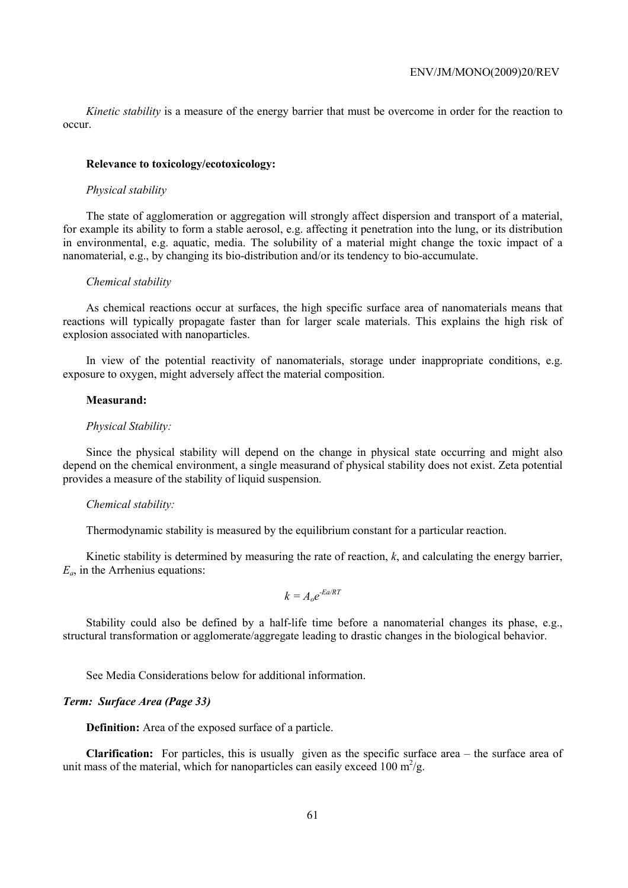*Kinetic stability* is a measure of the energy barrier that must be overcome in order for the reaction to occur.

#### **Relevance to toxicology/ecotoxicology:**

### *Physical stability*

The state of agglomeration or aggregation will strongly affect dispersion and transport of a material, for example its ability to form a stable aerosol, e.g. affecting it penetration into the lung, or its distribution in environmental, e.g. aquatic, media. The solubility of a material might change the toxic impact of a nanomaterial, e.g., by changing its bio-distribution and/or its tendency to bio-accumulate.

### *Chemical stability*

As chemical reactions occur at surfaces, the high specific surface area of nanomaterials means that reactions will typically propagate faster than for larger scale materials. This explains the high risk of explosion associated with nanoparticles.

In view of the potential reactivity of nanomaterials, storage under inappropriate conditions, e.g. exposure to oxygen, might adversely affect the material composition.

### **Measurand:**

#### *Physical Stability:*

Since the physical stability will depend on the change in physical state occurring and might also depend on the chemical environment, a single measurand of physical stability does not exist. Zeta potential provides a measure of the stability of liquid suspension.

#### *Chemical stability:*

Thermodynamic stability is measured by the equilibrium constant for a particular reaction.

Kinetic stability is determined by measuring the rate of reaction,  $k$ , and calculating the energy barrier, *Ea*, in the Arrhenius equations:

$$
k = A_o e^{-Ea/RT}
$$

Stability could also be defined by a half-life time before a nanomaterial changes its phase, e.g., structural transformation or agglomerate/aggregate leading to drastic changes in the biological behavior.

See Media Considerations below for additional information.

#### *Term: Surface Area (Page 33)*

**Definition:** Area of the exposed surface of a particle.

**Clarification:** For particles, this is usually given as the specific surface area – the surface area of unit mass of the material, which for nanoparticles can easily exceed 100  $m^2/g$ .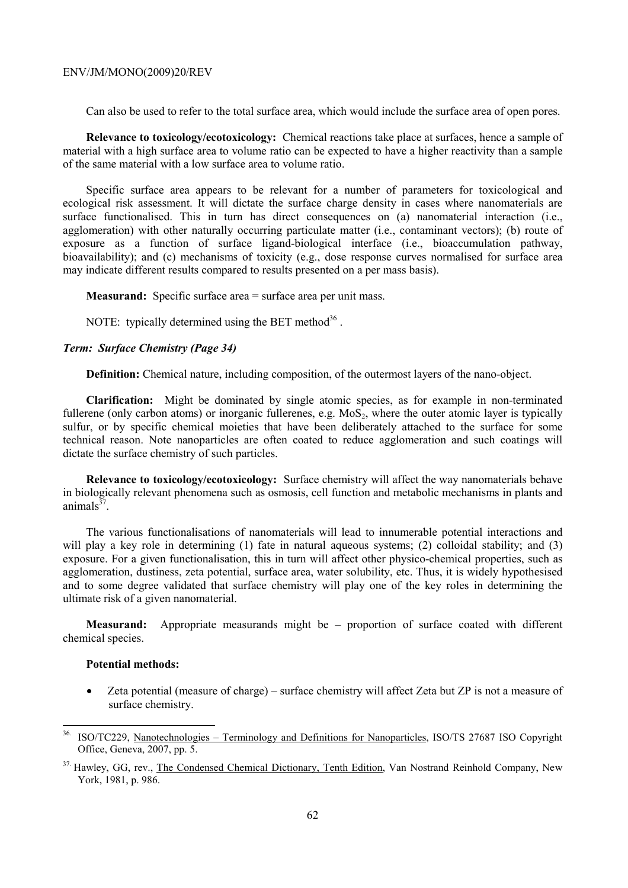Can also be used to refer to the total surface area, which would include the surface area of open pores.

**Relevance to toxicology/ecotoxicology:** Chemical reactions take place at surfaces, hence a sample of material with a high surface area to volume ratio can be expected to have a higher reactivity than a sample of the same material with a low surface area to volume ratio.

Specific surface area appears to be relevant for a number of parameters for toxicological and ecological risk assessment. It will dictate the surface charge density in cases where nanomaterials are surface functionalised. This in turn has direct consequences on (a) nanomaterial interaction (i.e., agglomeration) with other naturally occurring particulate matter (i.e., contaminant vectors); (b) route of exposure as a function of surface ligand-biological interface (i.e., bioaccumulation pathway, bioavailability); and (c) mechanisms of toxicity (e.g., dose response curves normalised for surface area may indicate different results compared to results presented on a per mass basis).

**Measurand:** Specific surface area = surface area per unit mass.

NOTE: typically determined using the BET method<sup>36</sup>.

### *Term: Surface Chemistry (Page 34)*

**Definition:** Chemical nature, including composition, of the outermost layers of the nano-object.

**Clarification:** Might be dominated by single atomic species, as for example in non-terminated fullerene (only carbon atoms) or inorganic fullerenes, e.g.  $M_0S_2$ , where the outer atomic layer is typically sulfur, or by specific chemical moieties that have been deliberately attached to the surface for some technical reason. Note nanoparticles are often coated to reduce agglomeration and such coatings will dictate the surface chemistry of such particles.

**Relevance to toxicology/ecotoxicology:** Surface chemistry will affect the way nanomaterials behave in biologically relevant phenomena such as osmosis, cell function and metabolic mechanisms in plants and animals $\frac{37}{2}$ 

The various functionalisations of nanomaterials will lead to innumerable potential interactions and will play a key role in determining (1) fate in natural aqueous systems; (2) colloidal stability; and (3) exposure. For a given functionalisation, this in turn will affect other physico-chemical properties, such as agglomeration, dustiness, zeta potential, surface area, water solubility, etc. Thus, it is widely hypothesised and to some degree validated that surface chemistry will play one of the key roles in determining the ultimate risk of a given nanomaterial.

**Measurand:** Appropriate measurands might be – proportion of surface coated with different chemical species.

## **Potential methods:**

• Zeta potential (measure of charge) – surface chemistry will affect Zeta but ZP is not a measure of surface chemistry.

<sup>36.</sup> ISO/TC229, Nanotechnologies – Terminology and Definitions for Nanoparticles, ISO/TS 27687 ISO Copyright Office, Geneva, 2007, pp. 5.

<sup>&</sup>lt;sup>37.</sup> Hawley, GG, rev., The Condensed Chemical Dictionary, Tenth Edition, Van Nostrand Reinhold Company, New York, 1981, p. 986.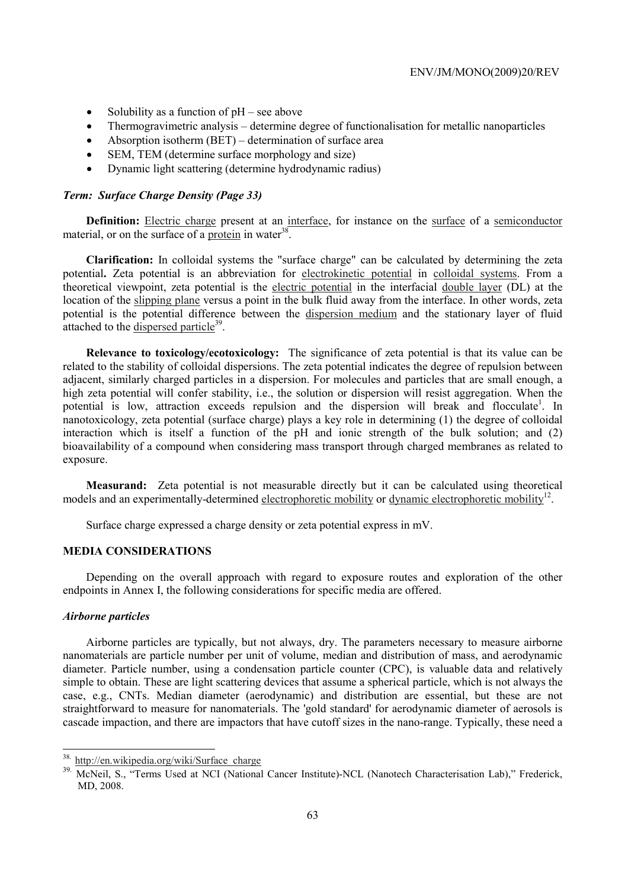- Solubility as a function of  $pH$  see above
- Thermogravimetric analysis determine degree of functionalisation for metallic nanoparticles
- Absorption isotherm (BET) determination of surface area
- SEM, TEM (determine surface morphology and size)
- Dynamic light scattering (determine hydrodynamic radius)

#### *Term: Surface Charge Density (Page 33)*

**Definition:** Electric charge present at an interface, for instance on the surface of a semiconductor material, or on the surface of a protein in water<sup>38</sup>.

**Clarification:** In colloidal systems the "surface charge" can be calculated by determining the zeta potential**.** Zeta potential is an abbreviation for electrokinetic potential in colloidal systems. From a theoretical viewpoint, zeta potential is the electric potential in the interfacial double layer (DL) at the location of the slipping plane versus a point in the bulk fluid away from the interface. In other words, zeta potential is the potential difference between the dispersion medium and the stationary layer of fluid attached to the dispersed particle<sup>39</sup>.

**Relevance to toxicology/ecotoxicology:** The significance of zeta potential is that its value can be related to the stability of colloidal dispersions. The zeta potential indicates the degree of repulsion between adjacent, similarly charged particles in a dispersion. For molecules and particles that are small enough, a high zeta potential will confer stability, i.e., the solution or dispersion will resist aggregation. When the potential is low, attraction exceeds repulsion and the dispersion will break and flocculate<sup>1</sup>. In nanotoxicology, zeta potential (surface charge) plays a key role in determining (1) the degree of colloidal interaction which is itself a function of the pH and ionic strength of the bulk solution; and (2) bioavailability of a compound when considering mass transport through charged membranes as related to exposure.

**Measurand:** Zeta potential is not measurable directly but it can be calculated using theoretical models and an experimentally-determined electrophoretic mobility or dynamic electrophoretic mobility<sup>12</sup>.

Surface charge expressed a charge density or zeta potential express in mV.

### **MEDIA CONSIDERATIONS**

Depending on the overall approach with regard to exposure routes and exploration of the other endpoints in Annex I, the following considerations for specific media are offered.

### *Airborne particles*

Airborne particles are typically, but not always, dry. The parameters necessary to measure airborne nanomaterials are particle number per unit of volume, median and distribution of mass, and aerodynamic diameter. Particle number, using a condensation particle counter (CPC), is valuable data and relatively simple to obtain. These are light scattering devices that assume a spherical particle, which is not always the case, e.g., CNTs. Median diameter (aerodynamic) and distribution are essential, but these are not straightforward to measure for nanomaterials. The 'gold standard' for aerodynamic diameter of aerosols is cascade impaction, and there are impactors that have cutoff sizes in the nano-range. Typically, these need a

<sup>38.</sup> <sup>38.</sup> http://en.wikipedia.org/wiki/Surface\_charge  $\frac{39}{2}$ . MeNail S. "Terms Used at NGU (National

<sup>39.</sup> McNeil, S., "Terms Used at NCI (National Cancer Institute)-NCL (Nanotech Characterisation Lab)," Frederick, MD, 2008.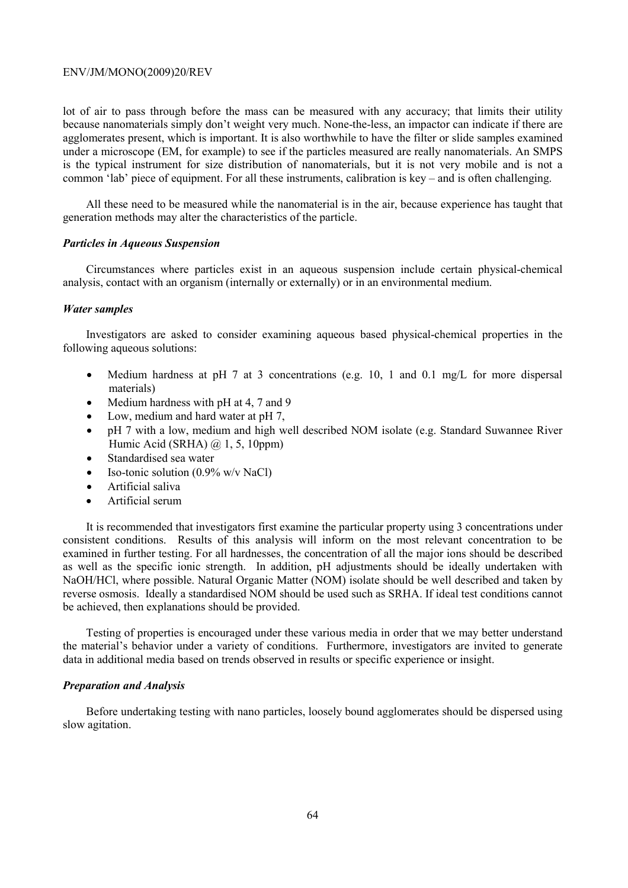lot of air to pass through before the mass can be measured with any accuracy; that limits their utility because nanomaterials simply don't weight very much. None-the-less, an impactor can indicate if there are agglomerates present, which is important. It is also worthwhile to have the filter or slide samples examined under a microscope (EM, for example) to see if the particles measured are really nanomaterials. An SMPS is the typical instrument for size distribution of nanomaterials, but it is not very mobile and is not a common 'lab' piece of equipment. For all these instruments, calibration is key – and is often challenging.

All these need to be measured while the nanomaterial is in the air, because experience has taught that generation methods may alter the characteristics of the particle.

#### *Particles in Aqueous Suspension*

Circumstances where particles exist in an aqueous suspension include certain physical-chemical analysis, contact with an organism (internally or externally) or in an environmental medium.

#### *Water samples*

Investigators are asked to consider examining aqueous based physical-chemical properties in the following aqueous solutions:

- Medium hardness at pH 7 at 3 concentrations (e.g. 10, 1 and 0.1 mg/L for more dispersal materials)
- Medium hardness with pH at 4, 7 and 9
- Low, medium and hard water at pH 7,
- pH 7 with a low, medium and high well described NOM isolate (e.g. Standard Suwannee River Humic Acid (SRHA) @ 1, 5, 10ppm)
- Standardised sea water
- Iso-tonic solution (0.9% w/v NaCl)
- Artificial saliva
- Artificial serum

It is recommended that investigators first examine the particular property using 3 concentrations under consistent conditions. Results of this analysis will inform on the most relevant concentration to be examined in further testing. For all hardnesses, the concentration of all the major ions should be described as well as the specific ionic strength. In addition, pH adjustments should be ideally undertaken with NaOH/HCl, where possible. Natural Organic Matter (NOM) isolate should be well described and taken by reverse osmosis. Ideally a standardised NOM should be used such as SRHA. If ideal test conditions cannot be achieved, then explanations should be provided.

Testing of properties is encouraged under these various media in order that we may better understand the material's behavior under a variety of conditions. Furthermore, investigators are invited to generate data in additional media based on trends observed in results or specific experience or insight.

### *Preparation and Analysis*

Before undertaking testing with nano particles, loosely bound agglomerates should be dispersed using slow agitation.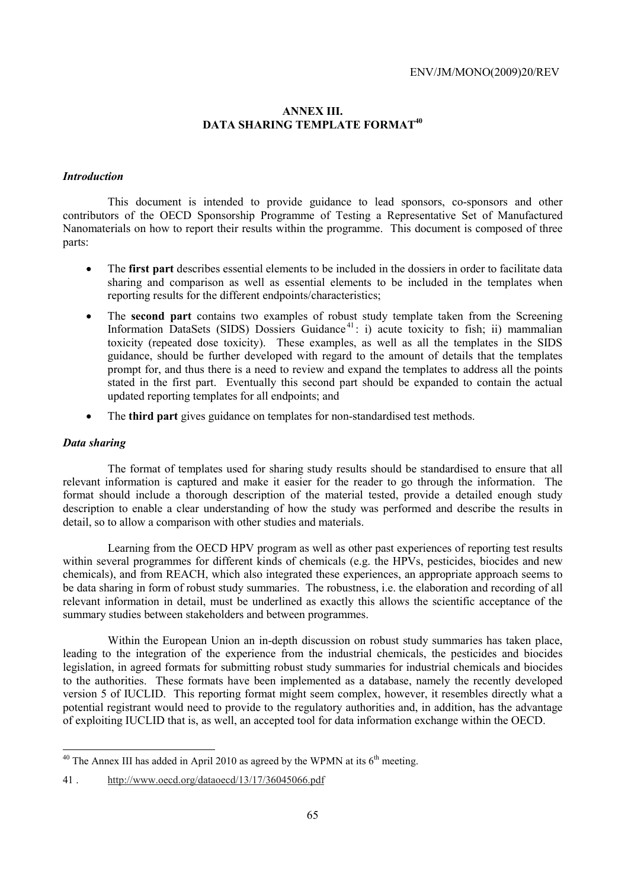## **ANNEX III. DATA SHARING TEMPLATE FORMAT40**

### *Introduction*

 This document is intended to provide guidance to lead sponsors, co-sponsors and other contributors of the OECD Sponsorship Programme of Testing a Representative Set of Manufactured Nanomaterials on how to report their results within the programme. This document is composed of three parts:

- The **first part** describes essential elements to be included in the dossiers in order to facilitate data sharing and comparison as well as essential elements to be included in the templates when reporting results for the different endpoints/characteristics;
- The **second part** contains two examples of robust study template taken from the Screening Information DataSets (SIDS) Dossiers Guidance<sup>41</sup>: i) acute toxicity to fish; ii) mammalian toxicity (repeated dose toxicity). These examples, as well as all the templates in the SIDS guidance, should be further developed with regard to the amount of details that the templates prompt for, and thus there is a need to review and expand the templates to address all the points stated in the first part. Eventually this second part should be expanded to contain the actual updated reporting templates for all endpoints; and
- The **third part** gives guidance on templates for non-standardised test methods.

#### *Data sharing*

 $\overline{a}$ 

 The format of templates used for sharing study results should be standardised to ensure that all relevant information is captured and make it easier for the reader to go through the information. The format should include a thorough description of the material tested, provide a detailed enough study description to enable a clear understanding of how the study was performed and describe the results in detail, so to allow a comparison with other studies and materials.

 Learning from the OECD HPV program as well as other past experiences of reporting test results within several programmes for different kinds of chemicals (e.g. the HPVs, pesticides, biocides and new chemicals), and from REACH, which also integrated these experiences, an appropriate approach seems to be data sharing in form of robust study summaries. The robustness, i.e. the elaboration and recording of all relevant information in detail, must be underlined as exactly this allows the scientific acceptance of the summary studies between stakeholders and between programmes.

 Within the European Union an in-depth discussion on robust study summaries has taken place, leading to the integration of the experience from the industrial chemicals, the pesticides and biocides legislation, in agreed formats for submitting robust study summaries for industrial chemicals and biocides to the authorities. These formats have been implemented as a database, namely the recently developed version 5 of IUCLID. This reporting format might seem complex, however, it resembles directly what a potential registrant would need to provide to the regulatory authorities and, in addition, has the advantage of exploiting IUCLID that is, as well, an accepted tool for data information exchange within the OECD.

<sup>&</sup>lt;sup>40</sup> The Annex III has added in April 2010 as agreed by the WPMN at its  $6<sup>th</sup>$  meeting.

<sup>41 .</sup> http://www.oecd.org/dataoecd/13/17/36045066.pdf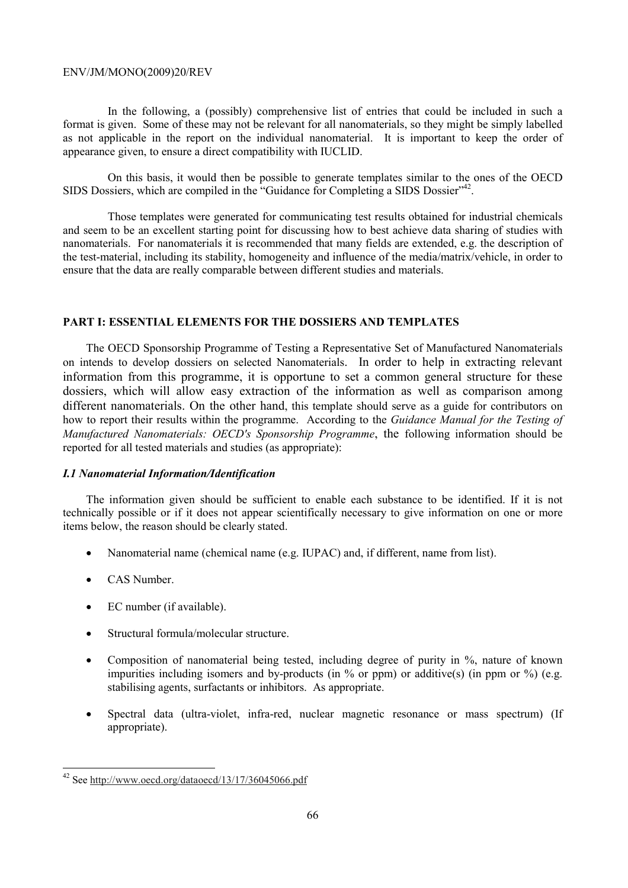In the following, a (possibly) comprehensive list of entries that could be included in such a format is given. Some of these may not be relevant for all nanomaterials, so they might be simply labelled as not applicable in the report on the individual nanomaterial. It is important to keep the order of appearance given, to ensure a direct compatibility with IUCLID.

 On this basis, it would then be possible to generate templates similar to the ones of the OECD SIDS Dossiers, which are compiled in the "Guidance for Completing a SIDS Dossier"<sup>42</sup>.

 Those templates were generated for communicating test results obtained for industrial chemicals and seem to be an excellent starting point for discussing how to best achieve data sharing of studies with nanomaterials. For nanomaterials it is recommended that many fields are extended, e.g. the description of the test-material, including its stability, homogeneity and influence of the media/matrix/vehicle, in order to ensure that the data are really comparable between different studies and materials.

## **PART I: ESSENTIAL ELEMENTS FOR THE DOSSIERS AND TEMPLATES**

The OECD Sponsorship Programme of Testing a Representative Set of Manufactured Nanomaterials on intends to develop dossiers on selected Nanomaterials. In order to help in extracting relevant information from this programme, it is opportune to set a common general structure for these dossiers, which will allow easy extraction of the information as well as comparison among different nanomaterials. On the other hand, this template should serve as a guide for contributors on how to report their results within the programme. According to the *Guidance Manual for the Testing of Manufactured Nanomaterials: OECD's Sponsorship Programme*, the following information should be reported for all tested materials and studies (as appropriate):

#### *I.1 Nanomaterial Information/Identification*

The information given should be sufficient to enable each substance to be identified. If it is not technically possible or if it does not appear scientifically necessary to give information on one or more items below, the reason should be clearly stated.

- Nanomaterial name (chemical name (e.g. IUPAC) and, if different, name from list).
- CAS Number.

- EC number (if available).
- Structural formula/molecular structure.
- Composition of nanomaterial being tested, including degree of purity in %, nature of known impurities including isomers and by-products (in % or ppm) or additive(s) (in ppm or %) (e.g. stabilising agents, surfactants or inhibitors. As appropriate.
- Spectral data (ultra-violet, infra-red, nuclear magnetic resonance or mass spectrum) (If appropriate).

<sup>&</sup>lt;sup>42</sup> See http://www.oecd.org/dataoecd/13/17/36045066.pdf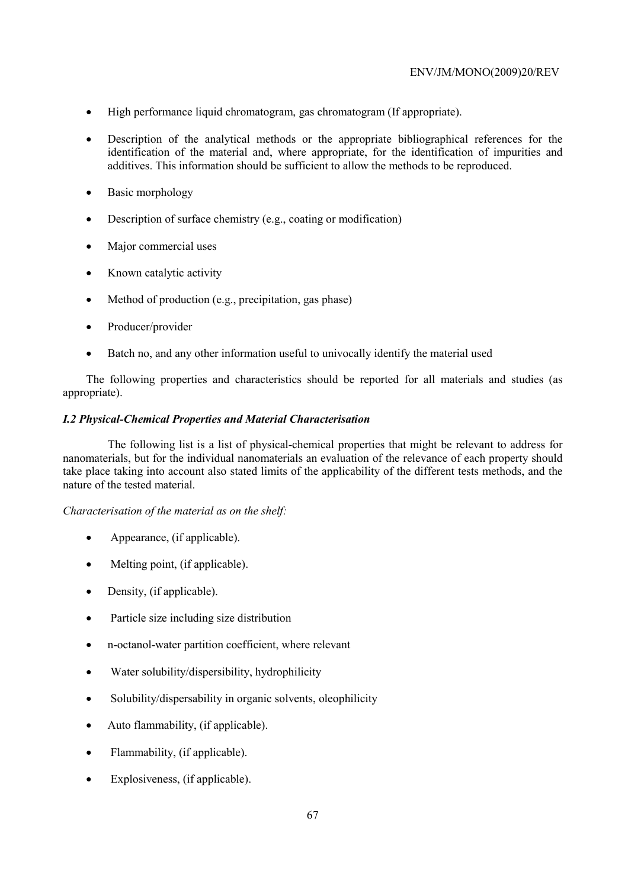- High performance liquid chromatogram, gas chromatogram (If appropriate).
- Description of the analytical methods or the appropriate bibliographical references for the identification of the material and, where appropriate, for the identification of impurities and additives. This information should be sufficient to allow the methods to be reproduced.
- Basic morphology
- Description of surface chemistry (e.g., coating or modification)
- Major commercial uses
- Known catalytic activity
- Method of production (e.g., precipitation, gas phase)
- Producer/provider
- Batch no, and any other information useful to univocally identify the material used

The following properties and characteristics should be reported for all materials and studies (as appropriate).

### *I.2 Physical-Chemical Properties and Material Characterisation*

 The following list is a list of physical-chemical properties that might be relevant to address for nanomaterials, but for the individual nanomaterials an evaluation of the relevance of each property should take place taking into account also stated limits of the applicability of the different tests methods, and the nature of the tested material.

## *Characterisation of the material as on the shelf:*

- Appearance, (if applicable).
- Melting point, (if applicable).
- Density, (if applicable).
- Particle size including size distribution
- n-octanol-water partition coefficient, where relevant
- Water solubility/dispersibility, hydrophilicity
- Solubility/dispersability in organic solvents, oleophilicity
- Auto flammability, (if applicable).
- Flammability, (if applicable).
- Explosiveness, (if applicable).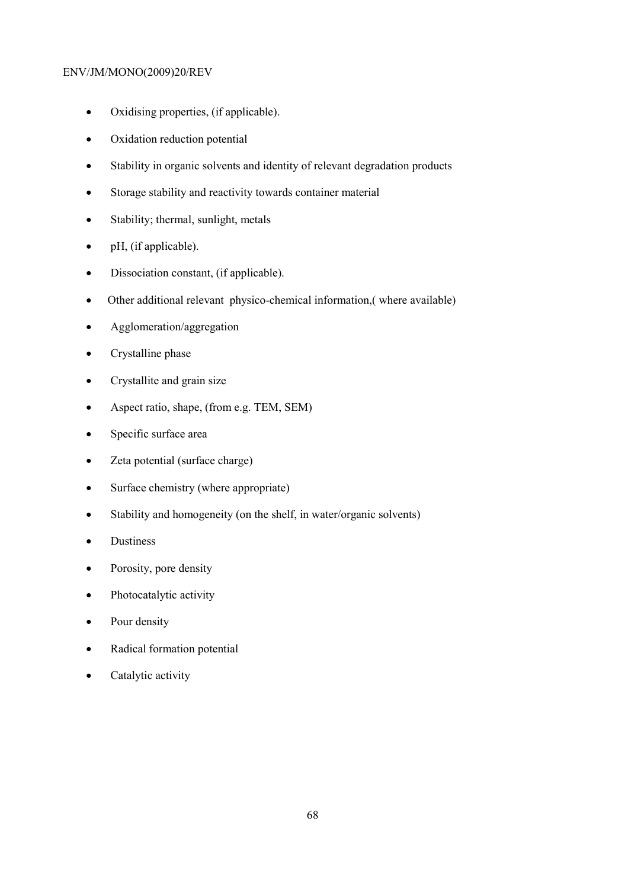- Oxidising properties, (if applicable).
- Oxidation reduction potential
- Stability in organic solvents and identity of relevant degradation products
- Storage stability and reactivity towards container material
- Stability; thermal, sunlight, metals
- pH, (if applicable).
- Dissociation constant, (if applicable).
- Other additional relevant physico-chemical information,( where available)
- Agglomeration/aggregation
- Crystalline phase
- Crystallite and grain size
- Aspect ratio, shape, (from e.g. TEM, SEM)
- Specific surface area
- Zeta potential (surface charge)
- Surface chemistry (where appropriate)
- Stability and homogeneity (on the shelf, in water/organic solvents)
- **Dustiness**
- Porosity, pore density
- Photocatalytic activity
- Pour density
- Radical formation potential
- Catalytic activity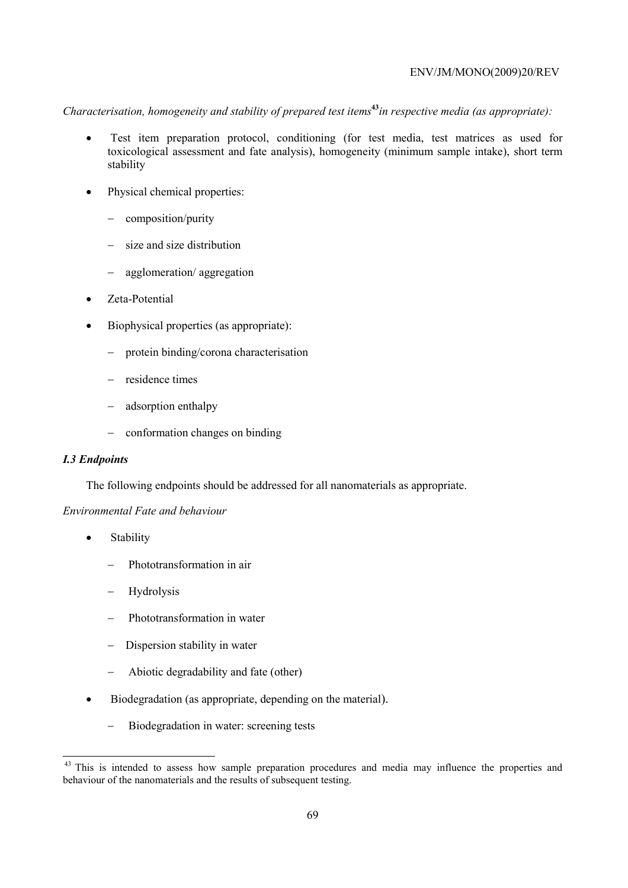*Characterisation, homogeneity and stability of prepared test items***<sup>43</sup>***in respective media (as appropriate):* 

- Test item preparation protocol, conditioning (for test media, test matrices as used for toxicological assessment and fate analysis), homogeneity (minimum sample intake), short term stability
- Physical chemical properties:
	- − composition/purity
	- size and size distribution
	- − agglomeration/ aggregation
- Zeta-Potential
- Biophysical properties (as appropriate):
	- − protein binding/corona characterisation
	- residence times
	- − adsorption enthalpy
	- − conformation changes on binding

## *I.3 Endpoints*

The following endpoints should be addressed for all nanomaterials as appropriate.

## *Environmental Fate and behaviour*

- **Stability** 
	- − Phototransformation in air
	- − Hydrolysis
	- − Phototransformation in water
	- − Dispersion stability in water
	- − Abiotic degradability and fate (other)
- Biodegradation (as appropriate, depending on the material).
	- − Biodegradation in water: screening tests

 $\overline{a}$ <sup>43</sup> This is intended to assess how sample preparation procedures and media may influence the properties and behaviour of the nanomaterials and the results of subsequent testing.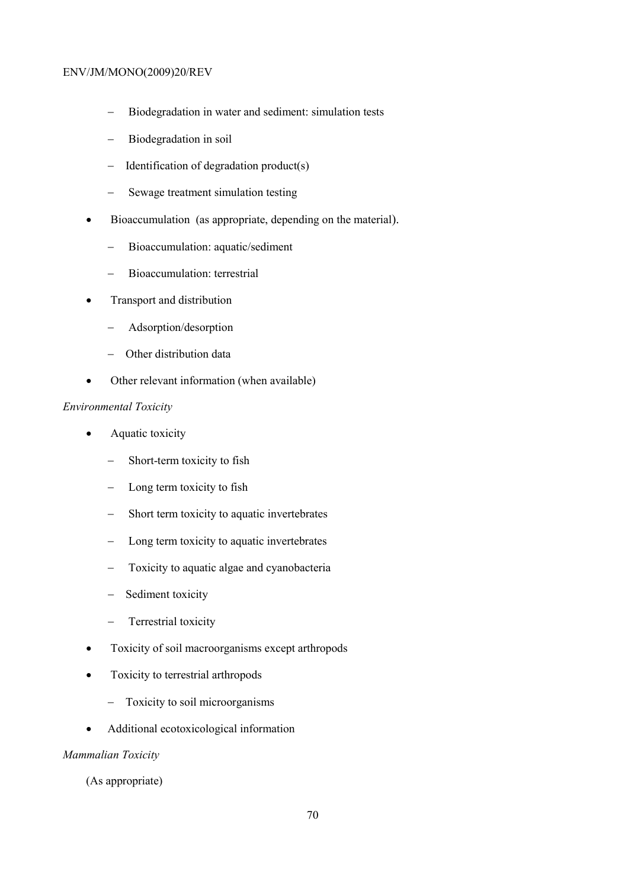- − Biodegradation in water and sediment: simulation tests
- − Biodegradation in soil
- − Identification of degradation product(s)
- − Sewage treatment simulation testing
- Bioaccumulation (as appropriate, depending on the material).
	- − Bioaccumulation: aquatic/sediment
	- − Bioaccumulation: terrestrial
- Transport and distribution
	- − Adsorption/desorption
	- − Other distribution data
- Other relevant information (when available)

## *Environmental Toxicity*

- Aquatic toxicity
	- Short-term toxicity to fish
	- Long term toxicity to fish
	- Short term toxicity to aquatic invertebrates
	- Long term toxicity to aquatic invertebrates
	- Toxicity to aquatic algae and cyanobacteria
	- − Sediment toxicity
	- − Terrestrial toxicity
- Toxicity of soil macroorganisms except arthropods
- Toxicity to terrestrial arthropods
	- − Toxicity to soil microorganisms
- Additional ecotoxicological information

## *Mammalian Toxicity*

(As appropriate)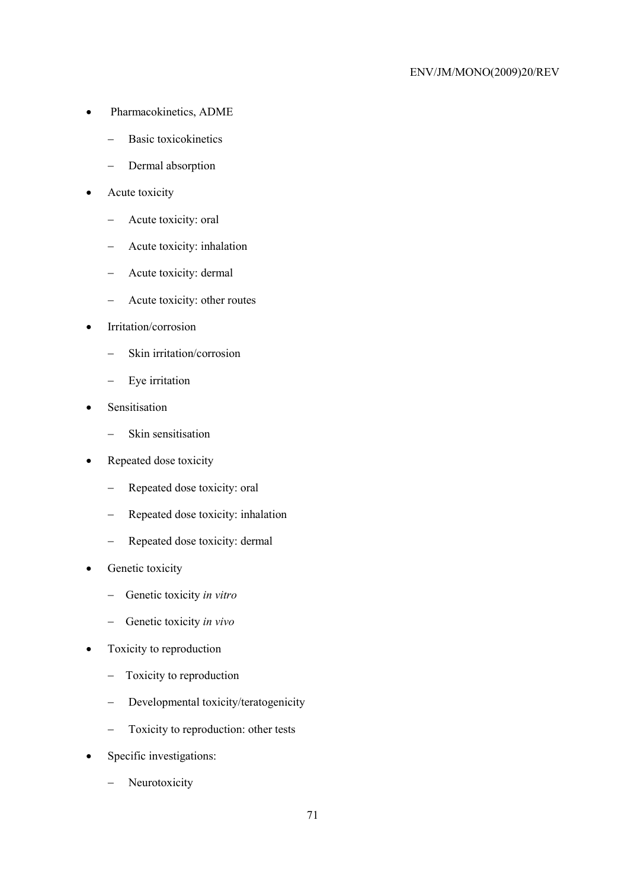- Pharmacokinetics, ADME
	- − Basic toxicokinetics
	- − Dermal absorption
- Acute toxicity
	- − Acute toxicity: oral
	- − Acute toxicity: inhalation
	- − Acute toxicity: dermal
	- − Acute toxicity: other routes
- Irritation/corrosion
	- Skin irritation/corrosion
	- − Eye irritation
- Sensitisation
	- − Skin sensitisation
- Repeated dose toxicity
	- − Repeated dose toxicity: oral
	- − Repeated dose toxicity: inhalation
	- − Repeated dose toxicity: dermal
- Genetic toxicity
	- − Genetic toxicity *in vitro*
	- − Genetic toxicity *in vivo*
- Toxicity to reproduction
	- − Toxicity to reproduction
	- − Developmental toxicity/teratogenicity
	- − Toxicity to reproduction: other tests
- Specific investigations:
	- − Neurotoxicity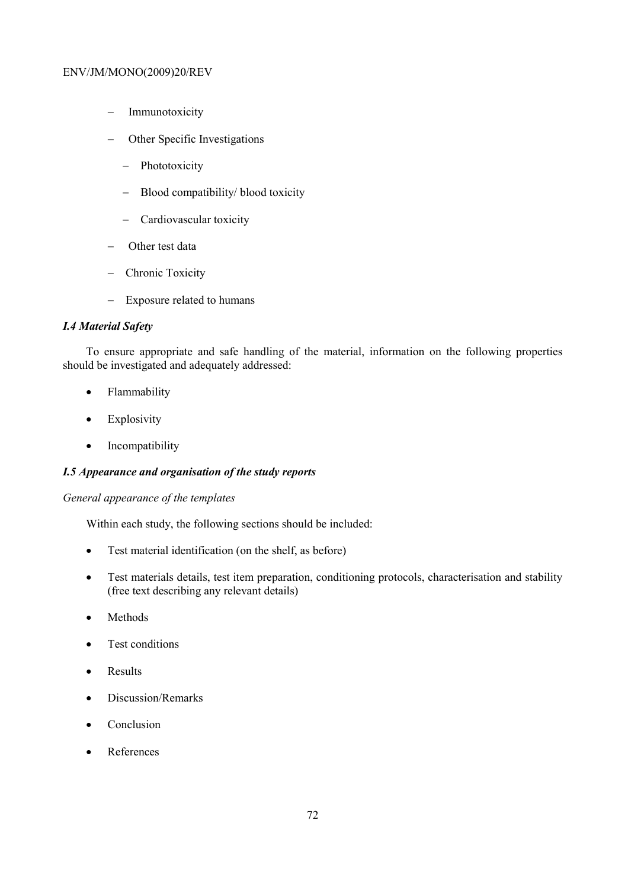- − Immunotoxicity
- − Other Specific Investigations
	- − Phototoxicity
	- − Blood compatibility/ blood toxicity
	- − Cardiovascular toxicity
- − Other test data
- − Chronic Toxicity
- − Exposure related to humans

## *I.4 Material Safety*

To ensure appropriate and safe handling of the material, information on the following properties should be investigated and adequately addressed:

- Flammability
- Explosivity
- Incompatibility

# *I.5 Appearance and organisation of the study reports*

## *General appearance of the templates*

Within each study, the following sections should be included:

- Test material identification (on the shelf, as before)
- Test materials details, test item preparation, conditioning protocols, characterisation and stability (free text describing any relevant details)
- **Methods**
- Test conditions
- Results
- Discussion/Remarks
- **Conclusion**
- **References**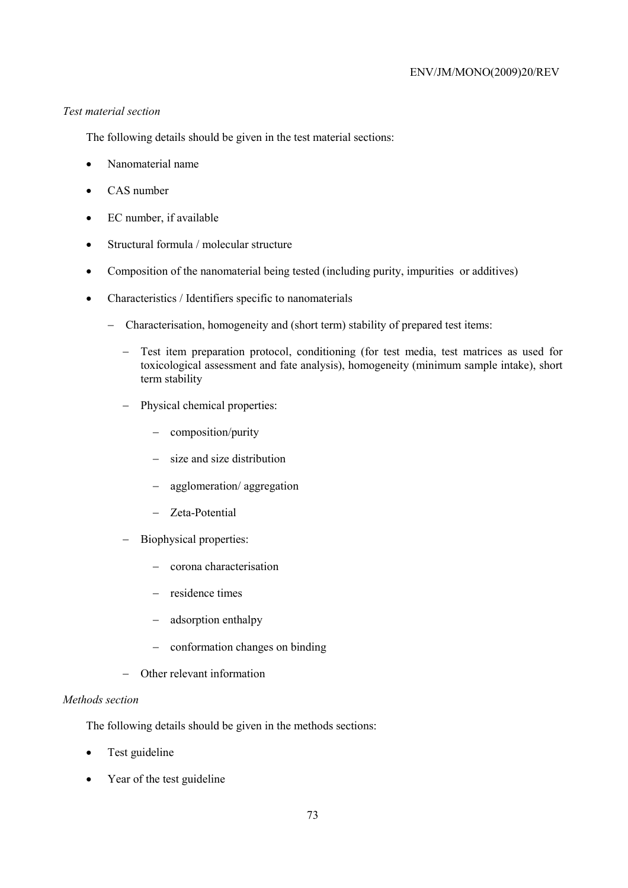# *Test material section*

The following details should be given in the test material sections:

- Nanomaterial name
- CAS number
- EC number, if available
- Structural formula / molecular structure
- Composition of the nanomaterial being tested (including purity, impurities or additives)
- Characteristics / Identifiers specific to nanomaterials
	- − Characterisation, homogeneity and (short term) stability of prepared test items:
		- − Test item preparation protocol, conditioning (for test media, test matrices as used for toxicological assessment and fate analysis), homogeneity (minimum sample intake), short term stability
		- − Physical chemical properties:
			- − composition/purity
			- − size and size distribution
			- − agglomeration/ aggregation
			- − Zeta-Potential
		- − Biophysical properties:
			- − corona characterisation
			- − residence times
			- − adsorption enthalpy
			- − conformation changes on binding
		- − Other relevant information

### *Methods section*

The following details should be given in the methods sections:

- Test guideline
- Year of the test guideline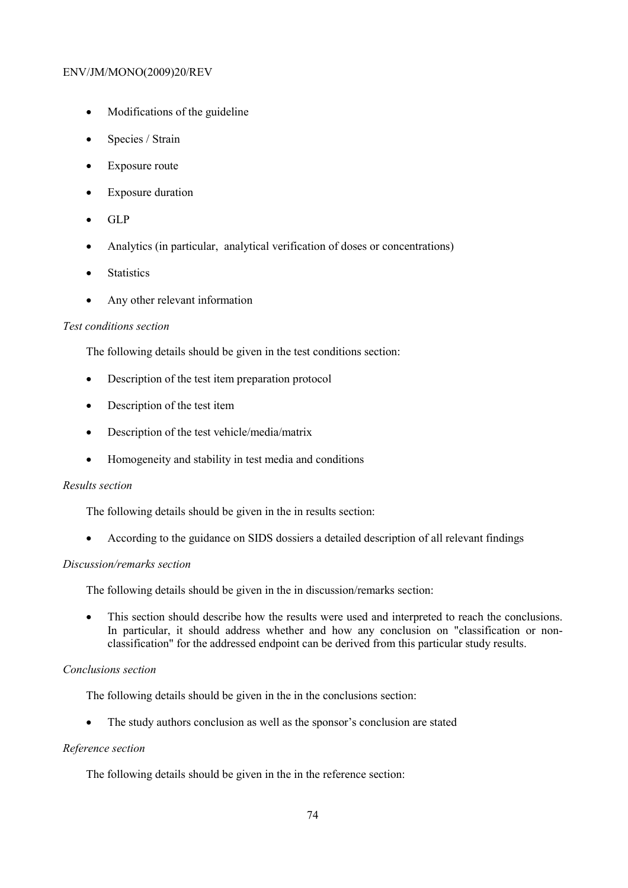- Modifications of the guideline
- Species / Strain
- Exposure route
- **Exposure duration**
- GLP
- Analytics (in particular, analytical verification of doses or concentrations)
- **Statistics**
- Any other relevant information

## *Test conditions section*

The following details should be given in the test conditions section:

- Description of the test item preparation protocol
- Description of the test item
- Description of the test vehicle/media/matrix
- Homogeneity and stability in test media and conditions

### *Results section*

The following details should be given in the in results section:

• According to the guidance on SIDS dossiers a detailed description of all relevant findings

### *Discussion/remarks section*

The following details should be given in the in discussion/remarks section:

• This section should describe how the results were used and interpreted to reach the conclusions. In particular, it should address whether and how any conclusion on "classification or nonclassification" for the addressed endpoint can be derived from this particular study results.

## *Conclusions section*

The following details should be given in the in the conclusions section:

• The study authors conclusion as well as the sponsor's conclusion are stated

### *Reference section*

The following details should be given in the in the reference section: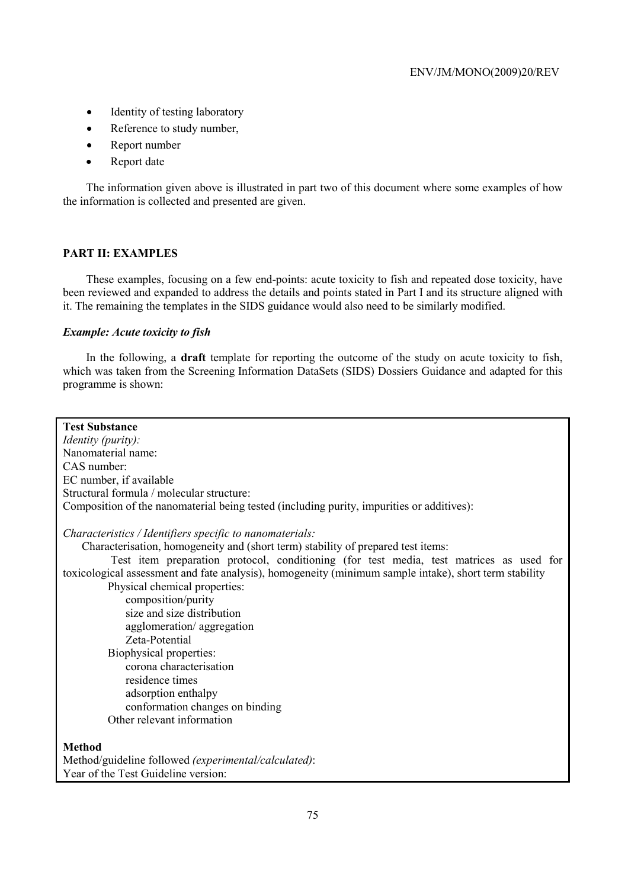- Identity of testing laboratory
- Reference to study number,
- Report number
- Report date

The information given above is illustrated in part two of this document where some examples of how the information is collected and presented are given.

### **PART II: EXAMPLES**

These examples, focusing on a few end-points: acute toxicity to fish and repeated dose toxicity, have been reviewed and expanded to address the details and points stated in Part I and its structure aligned with it. The remaining the templates in the SIDS guidance would also need to be similarly modified.

### *Example: Acute toxicity to fish*

In the following, a **draft** template for reporting the outcome of the study on acute toxicity to fish, which was taken from the Screening Information DataSets (SIDS) Dossiers Guidance and adapted for this programme is shown:

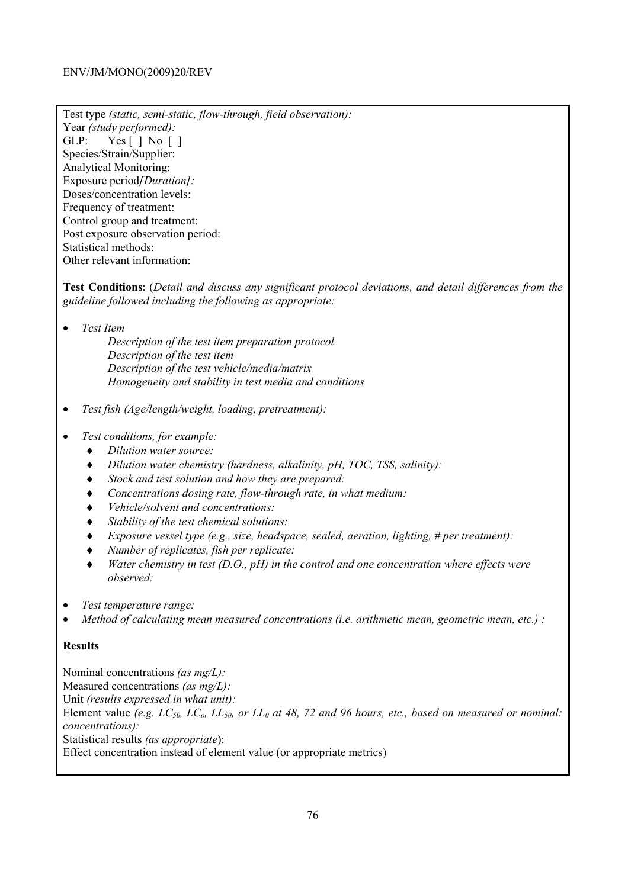Test type *(static, semi-static, flow-through, field observation):*  Year *(study performed):* GLP:  $Yes [ ] No [ ]$ Species/Strain/Supplier: Analytical Monitoring: Exposure period*[Duration]:*  Doses/concentration levels: Frequency of treatment: Control group and treatment: Post exposure observation period: Statistical methods: Other relevant information:

**Test Conditions**: (*Detail and discuss any significant protocol deviations, and detail differences from the guideline followed including the following as appropriate:* 

• *Test Item* 

 *Description of the test item preparation protocol Description of the test item Description of the test vehicle/media/matrix Homogeneity and stability in test media and conditions* 

- *Test fish (Age/length/weight, loading, pretreatment):*
- *Test conditions, for example:* 
	- ♦ *Dilution water source:*
	- ♦ *Dilution water chemistry (hardness, alkalinity, pH, TOC, TSS, salinity):*
	- *Stock and test solution and how they are prepared:*
	- *Concentrations dosing rate, flow-through rate, in what medium:*
	- $Vehicle/solvent$  and concentrations:
	- Stability of the test chemical solutions:
	- *Exposure vessel type (e.g., size, headspace, sealed, aeration, lighting, # per treatment):*
	- *Number of replicates, fish per replicate:*
	- Water chemistry in test (D.O., pH) in the control and one concentration where effects were  *observed:*
- *Test temperature range:*
- *Method of calculating mean measured concentrations (i.e. arithmetic mean, geometric mean, etc.) :*

# **Results**

Nominal concentrations *(as mg/L):* Measured concentrations *(as mg/L):* Unit *(results expressed in what unit):* Element value *(e.g. LC<sub>50</sub>, LC<sub>0</sub>, LL<sub>50</sub>, or LL<sub>0</sub> at 48, 72 and 96 hours, etc., based on measured or nominal: concentrations):*  Statistical results *(as appropriate*): Effect concentration instead of element value (or appropriate metrics)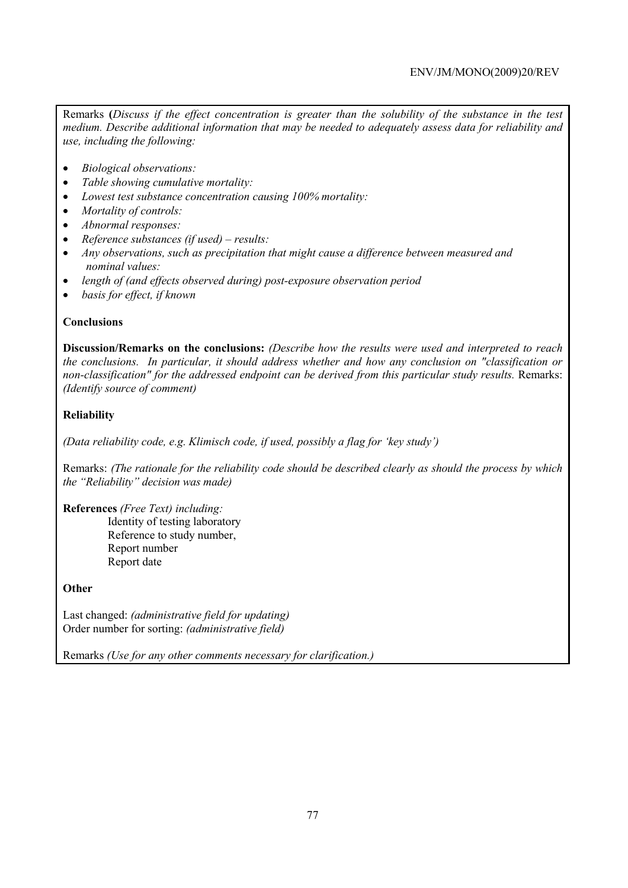Remarks **(***Discuss if the effect concentration is greater than the solubility of the substance in the test medium. Describe additional information that may be needed to adequately assess data for reliability and use, including the following:* 

- *Biological observations:*
- *Table showing cumulative mortality:*
- *Lowest test substance concentration causing 100% mortality:*
- *Mortality of controls:*
- *Abnormal responses:*
- *Reference substances (if used) results:*
- *Any observations, such as precipitation that might cause a difference between measured and nominal values:*
- *length of (and effects observed during) post-exposure observation period*
- *basis for effect, if known*

## **Conclusions**

**Discussion/Remarks on the conclusions:** *(Describe how the results were used and interpreted to reach the conclusions. In particular, it should address whether and how any conclusion on "classification or non-classification" for the addressed endpoint can be derived from this particular study results.* Remarks: *(Identify source of comment)* 

# **Reliability**

*(Data reliability code, e.g. Klimisch code, if used, possibly a flag for 'key study')* 

Remarks: *(The rationale for the reliability code should be described clearly as should the process by which the "Reliability" decision was made)* 

**References** *(Free Text) including:*

 Identity of testing laboratory Reference to study number, Report number Report date

### **Other**

Last changed: *(administrative field for updating)*  Order number for sorting: *(administrative field)* 

Remarks *(Use for any other comments necessary for clarification.)*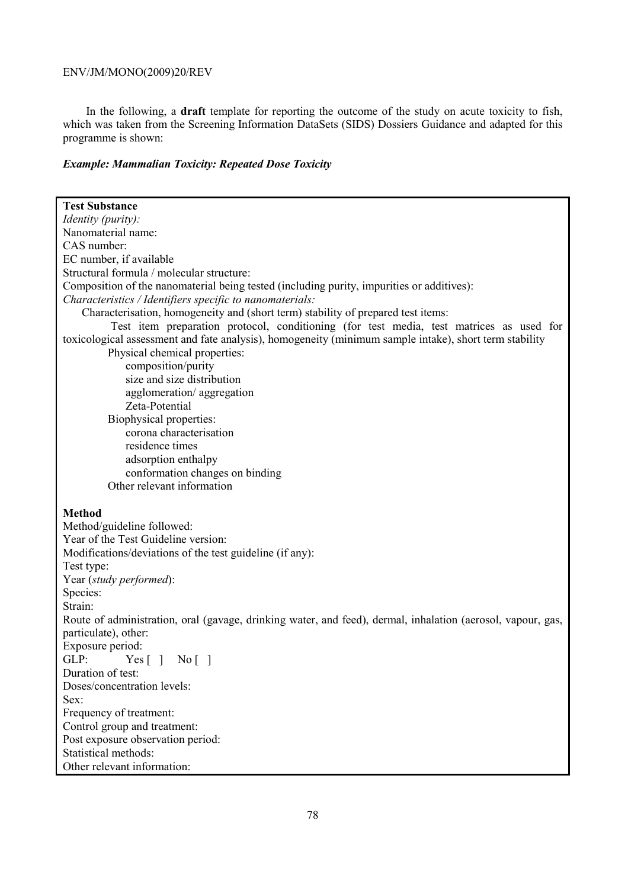In the following, a **draft** template for reporting the outcome of the study on acute toxicity to fish, which was taken from the Screening Information DataSets (SIDS) Dossiers Guidance and adapted for this programme is shown:

#### *Example: Mammalian Toxicity: Repeated Dose Toxicity*

**Test Substance**  *Identity (purity):* Nanomaterial name: CAS number: EC number, if available Structural formula / molecular structure: Composition of the nanomaterial being tested (including purity, impurities or additives): *Characteristics / Identifiers specific to nanomaterials:*  Characterisation, homogeneity and (short term) stability of prepared test items: Test item preparation protocol, conditioning (for test media, test matrices as used for toxicological assessment and fate analysis), homogeneity (minimum sample intake), short term stability Physical chemical properties: composition/purity size and size distribution agglomeration/ aggregation Zeta-Potential Biophysical properties: corona characterisation residence times adsorption enthalpy conformation changes on binding Other relevant information **Method**  Method/guideline followed: Year of the Test Guideline version: Modifications/deviations of the test guideline (if any): Test type: Year (*study performed*): Species: Strain: Route of administration, oral (gavage, drinking water, and feed), dermal, inhalation (aerosol, vapour, gas, particulate), other: Exposure period: GLP: Yes [ ] No [ ] Duration of test: Doses/concentration levels: Sex: Frequency of treatment: Control group and treatment: Post exposure observation period: Statistical methods: Other relevant information: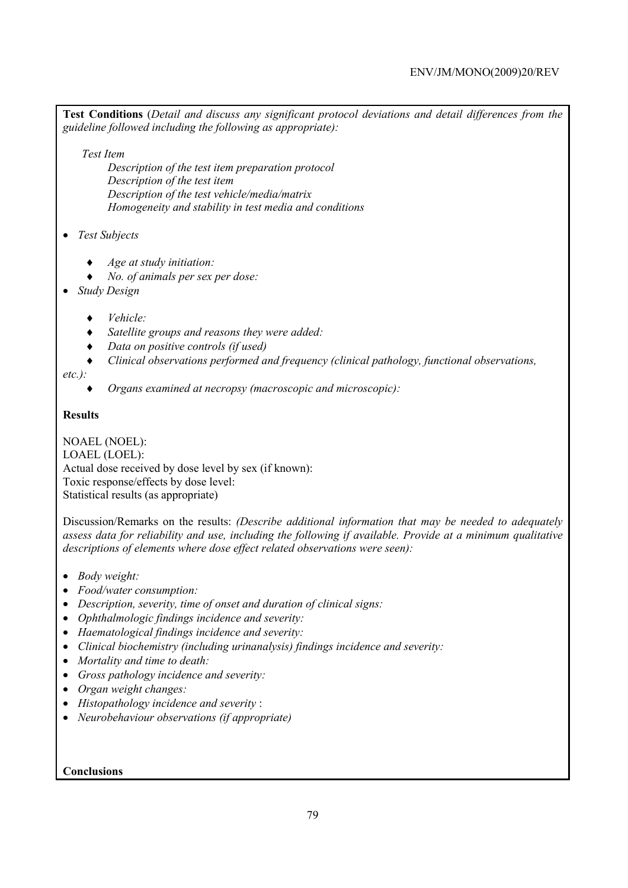**Test Conditions** (*Detail and discuss any significant protocol deviations and detail differences from the guideline followed including the following as appropriate):* 

 *Test Item* 

 *Description of the test item preparation protocol Description of the test item Description of the test vehicle/media/matrix Homogeneity and stability in test media and conditions* 

- *Test Subjects* 
	- $Age$  *at study initiation:*
	- ♦ *No. of animals per sex per dose:*
- *Study Design* 
	- ♦ *Vehicle:*
	- Satellite groups and reasons they were added:
	- *Data on positive controls (if used)*
	- ♦ *Clinical observations performed and frequency (clinical pathology, functional observations,*

*etc.):* 

♦ *Organs examined at necropsy (macroscopic and microscopic):* 

## **Results**

NOAEL (NOEL): LOAEL (LOEL): Actual dose received by dose level by sex (if known): Toxic response/effects by dose level: Statistical results (as appropriate)

Discussion/Remarks on the results: *(Describe additional information that may be needed to adequately assess data for reliability and use, including the following if available. Provide at a minimum qualitative descriptions of elements where dose effect related observations were seen):* 

- *Body weight:*
- *Food/water consumption:*
- *Description, severity, time of onset and duration of clinical signs:*
- *Ophthalmologic findings incidence and severity:*
- *Haematological findings incidence and severity:*
- *Clinical biochemistry (including urinanalysis) findings incidence and severity:*
- *Mortality and time to death:*
- *Gross pathology incidence and severity:*
- *Organ weight changes:*
- *Histopathology incidence and severity* :
- *Neurobehaviour observations (if appropriate)*

### **Conclusions**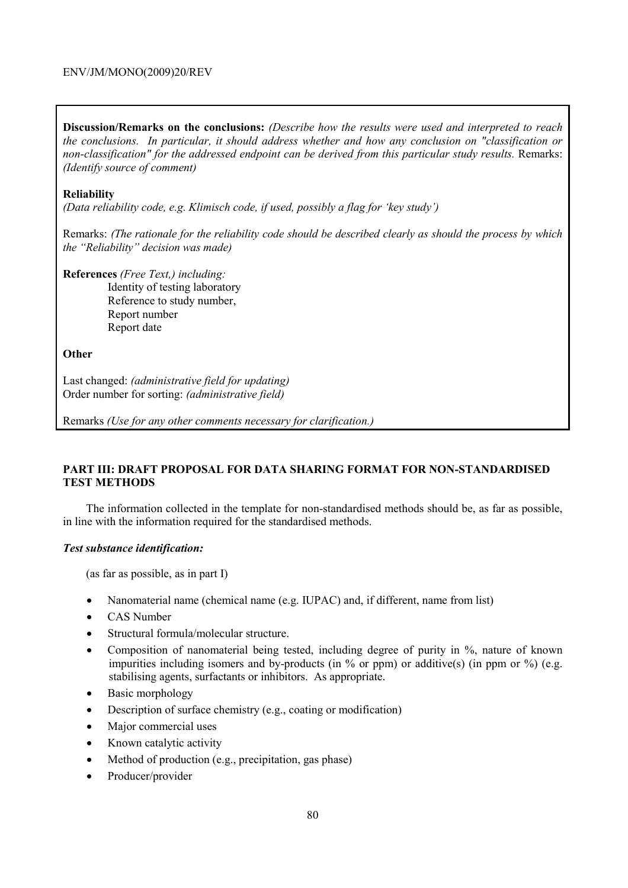**Discussion/Remarks on the conclusions:** *(Describe how the results were used and interpreted to reach the conclusions. In particular, it should address whether and how any conclusion on "classification or non-classification" for the addressed endpoint can be derived from this particular study results.* Remarks: *(Identify source of comment)* 

### **Reliability**

*(Data reliability code, e.g. Klimisch code, if used, possibly a flag for 'key study')* 

Remarks: *(The rationale for the reliability code should be described clearly as should the process by which the "Reliability" decision was made)*

**References** *(Free Text,) including:*  Identity of testing laboratory Reference to study number, Report number Report date

### **Other**

Last changed: *(administrative field for updating)*  Order number for sorting: *(administrative field)* 

Remarks *(Use for any other comments necessary for clarification.)* 

## **PART III: DRAFT PROPOSAL FOR DATA SHARING FORMAT FOR NON-STANDARDISED TEST METHODS**

The information collected in the template for non-standardised methods should be, as far as possible, in line with the information required for the standardised methods.

#### *Test substance identification:*

(as far as possible, as in part I)

- Nanomaterial name (chemical name (e.g. IUPAC) and, if different, name from list)
- CAS Number
- Structural formula/molecular structure.
- Composition of nanomaterial being tested, including degree of purity in %, nature of known impurities including isomers and by-products (in  $\%$  or ppm) or additive(s) (in ppm or  $\%$ ) (e.g. stabilising agents, surfactants or inhibitors. As appropriate.
- Basic morphology
- Description of surface chemistry (e.g., coating or modification)
- Major commercial uses
- Known catalytic activity
- Method of production (e.g., precipitation, gas phase)
- Producer/provider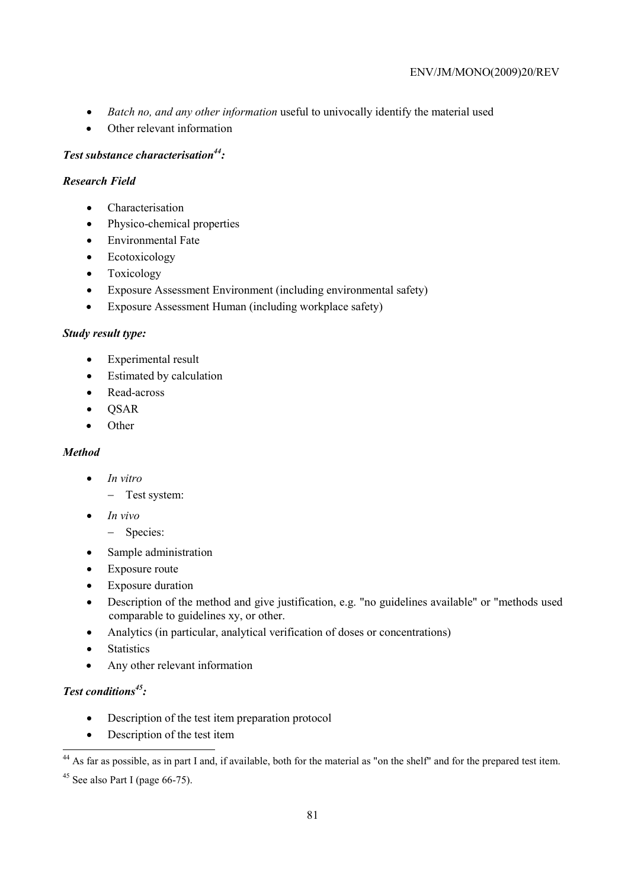- *Batch no, and any other information* useful to univocally identify the material used
- Other relevant information

# *Test substance characterisation44:*

# *Research Field*

- **Characterisation**
- Physico-chemical properties
- Environmental Fate
- Ecotoxicology
- Toxicology
- Exposure Assessment Environment (including environmental safety)
- Exposure Assessment Human (including workplace safety)

## *Study result type:*

- Experimental result
- Estimated by calculation
- Read-across
- QSAR
- Other

# *Method*

- *In vitro* 
	- − Test system:
- *In vivo* 
	- − Species:
- Sample administration
- Exposure route
- **Exposure duration**
- Description of the method and give justification, e.g. "no guidelines available" or "methods used comparable to guidelines xy, or other.
- Analytics (in particular, analytical verification of doses or concentrations)
- **Statistics**
- Any other relevant information

# *Test conditions45:*

 $\overline{a}$ 

- Description of the test item preparation protocol
- Description of the test item

<sup>&</sup>lt;sup>44</sup> As far as possible, as in part I and, if available, both for the material as "on the shelf" and for the prepared test item.

 $45$  See also Part I (page 66-75).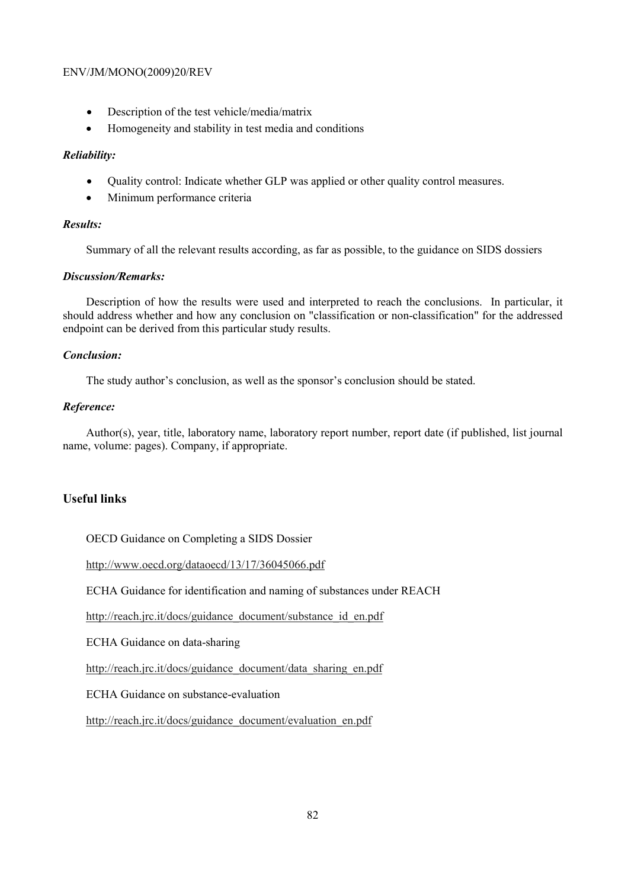- Description of the test vehicle/media/matrix
- Homogeneity and stability in test media and conditions

### *Reliability:*

- Quality control: Indicate whether GLP was applied or other quality control measures.
- Minimum performance criteria

### *Results:*

Summary of all the relevant results according, as far as possible, to the guidance on SIDS dossiers

## *Discussion/Remarks:*

Description of how the results were used and interpreted to reach the conclusions. In particular, it should address whether and how any conclusion on "classification or non-classification" for the addressed endpoint can be derived from this particular study results.

## *Conclusion:*

The study author's conclusion, as well as the sponsor's conclusion should be stated.

## *Reference:*

Author(s), year, title, laboratory name, laboratory report number, report date (if published, list journal name, volume: pages). Company, if appropriate.

# **Useful links**

OECD Guidance on Completing a SIDS Dossier

http://www.oecd.org/dataoecd/13/17/36045066.pdf

ECHA Guidance for identification and naming of substances under REACH

http://reach.jrc.it/docs/guidance\_document/substance\_id\_en.pdf

ECHA Guidance on data-sharing

http://reach.jrc.it/docs/guidance\_document/data\_sharing\_en.pdf

ECHA Guidance on substance-evaluation

http://reach.jrc.it/docs/guidance\_document/evaluation\_en.pdf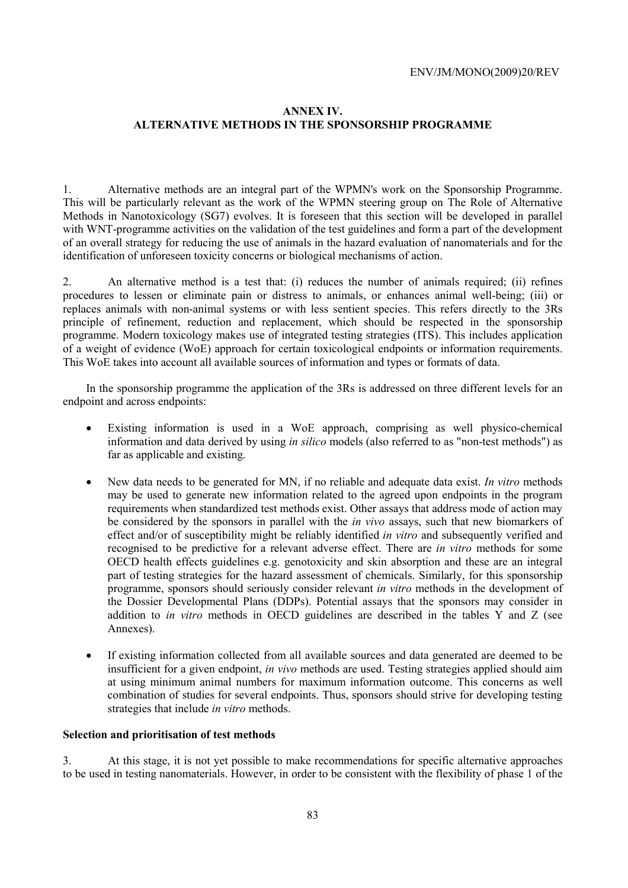# **ANNEX IV.**

# **ALTERNATIVE METHODS IN THE SPONSORSHIP PROGRAMME**

1. Alternative methods are an integral part of the WPMN's work on the Sponsorship Programme. This will be particularly relevant as the work of the WPMN steering group on The Role of Alternative Methods in Nanotoxicology (SG7) evolves. It is foreseen that this section will be developed in parallel with WNT-programme activities on the validation of the test guidelines and form a part of the development of an overall strategy for reducing the use of animals in the hazard evaluation of nanomaterials and for the identification of unforeseen toxicity concerns or biological mechanisms of action.

2. An alternative method is a test that: (i) reduces the number of animals required; (ii) refines procedures to lessen or eliminate pain or distress to animals, or enhances animal well-being; (iii) or replaces animals with non-animal systems or with less sentient species. This refers directly to the 3Rs principle of refinement, reduction and replacement, which should be respected in the sponsorship programme. Modern toxicology makes use of integrated testing strategies (ITS). This includes application of a weight of evidence (WoE) approach for certain toxicological endpoints or information requirements. This WoE takes into account all available sources of information and types or formats of data.

In the sponsorship programme the application of the 3Rs is addressed on three different levels for an endpoint and across endpoints:

- Existing information is used in a WoE approach, comprising as well physico-chemical information and data derived by using *in silico* models (also referred to as "non-test methods") as far as applicable and existing.
- New data needs to be generated for MN, if no reliable and adequate data exist. *In vitro* methods may be used to generate new information related to the agreed upon endpoints in the program requirements when standardized test methods exist. Other assays that address mode of action may be considered by the sponsors in parallel with the *in vivo* assays, such that new biomarkers of effect and/or of susceptibility might be reliably identified *in vitro* and subsequently verified and recognised to be predictive for a relevant adverse effect. There are *in vitro* methods for some OECD health effects guidelines e.g. genotoxicity and skin absorption and these are an integral part of testing strategies for the hazard assessment of chemicals. Similarly, for this sponsorship programme, sponsors should seriously consider relevant *in vitro* methods in the development of the Dossier Developmental Plans (DDPs). Potential assays that the sponsors may consider in addition to *in vitro* methods in OECD guidelines are described in the tables Y and Z (see Annexes).
- If existing information collected from all available sources and data generated are deemed to be insufficient for a given endpoint, *in vivo* methods are used. Testing strategies applied should aim at using minimum animal numbers for maximum information outcome. This concerns as well combination of studies for several endpoints. Thus, sponsors should strive for developing testing strategies that include *in vitro* methods.

### **Selection and prioritisation of test methods**

3. At this stage, it is not yet possible to make recommendations for specific alternative approaches to be used in testing nanomaterials. However, in order to be consistent with the flexibility of phase 1 of the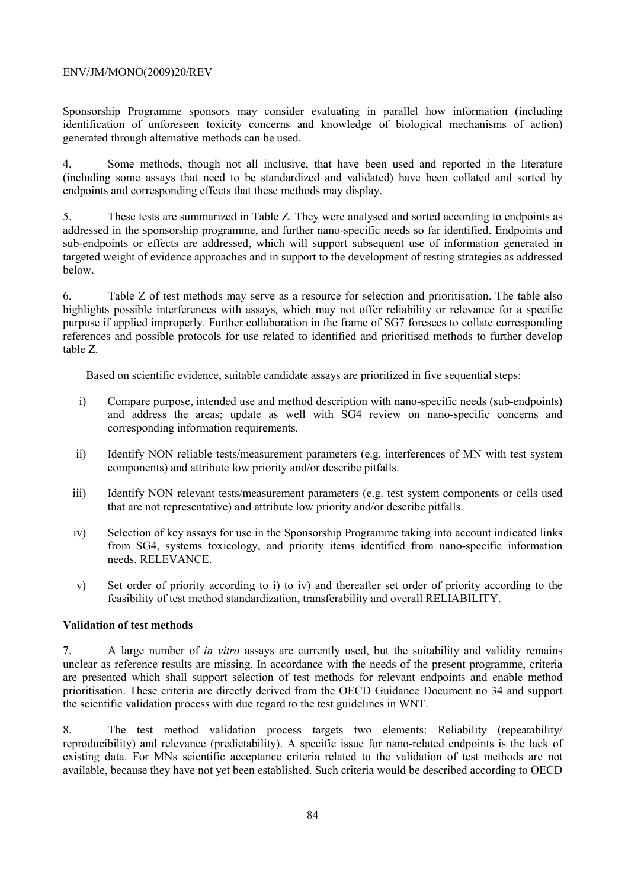Sponsorship Programme sponsors may consider evaluating in parallel how information (including identification of unforeseen toxicity concerns and knowledge of biological mechanisms of action) generated through alternative methods can be used.

4. Some methods, though not all inclusive, that have been used and reported in the literature (including some assays that need to be standardized and validated) have been collated and sorted by endpoints and corresponding effects that these methods may display.

5. These tests are summarized in Table Z. They were analysed and sorted according to endpoints as addressed in the sponsorship programme, and further nano-specific needs so far identified. Endpoints and sub-endpoints or effects are addressed, which will support subsequent use of information generated in targeted weight of evidence approaches and in support to the development of testing strategies as addressed below.

6. Table Z of test methods may serve as a resource for selection and prioritisation. The table also highlights possible interferences with assays, which may not offer reliability or relevance for a specific purpose if applied improperly. Further collaboration in the frame of SG7 foresees to collate corresponding references and possible protocols for use related to identified and prioritised methods to further develop table Z.

Based on scientific evidence, suitable candidate assays are prioritized in five sequential steps:

- i) Compare purpose, intended use and method description with nano-specific needs (sub-endpoints) and address the areas; update as well with SG4 review on nano-specific concerns and corresponding information requirements.
- ii) Identify NON reliable tests/measurement parameters (e.g. interferences of MN with test system components) and attribute low priority and/or describe pitfalls.
- iii) Identify NON relevant tests/measurement parameters (e.g. test system components or cells used that are not representative) and attribute low priority and/or describe pitfalls.
- iv) Selection of key assays for use in the Sponsorship Programme taking into account indicated links from SG4, systems toxicology, and priority items identified from nano-specific information needs. RELEVANCE.
- v) Set order of priority according to i) to iv) and thereafter set order of priority according to the feasibility of test method standardization, transferability and overall RELIABILITY.

### **Validation of test methods**

7. A large number of *in vitro* assays are currently used, but the suitability and validity remains unclear as reference results are missing. In accordance with the needs of the present programme, criteria are presented which shall support selection of test methods for relevant endpoints and enable method prioritisation. These criteria are directly derived from the OECD Guidance Document no 34 and support the scientific validation process with due regard to the test guidelines in WNT.

8. The test method validation process targets two elements: Reliability (repeatability/ reproducibility) and relevance (predictability). A specific issue for nano-related endpoints is the lack of existing data. For MNs scientific acceptance criteria related to the validation of test methods are not available, because they have not yet been established. Such criteria would be described according to OECD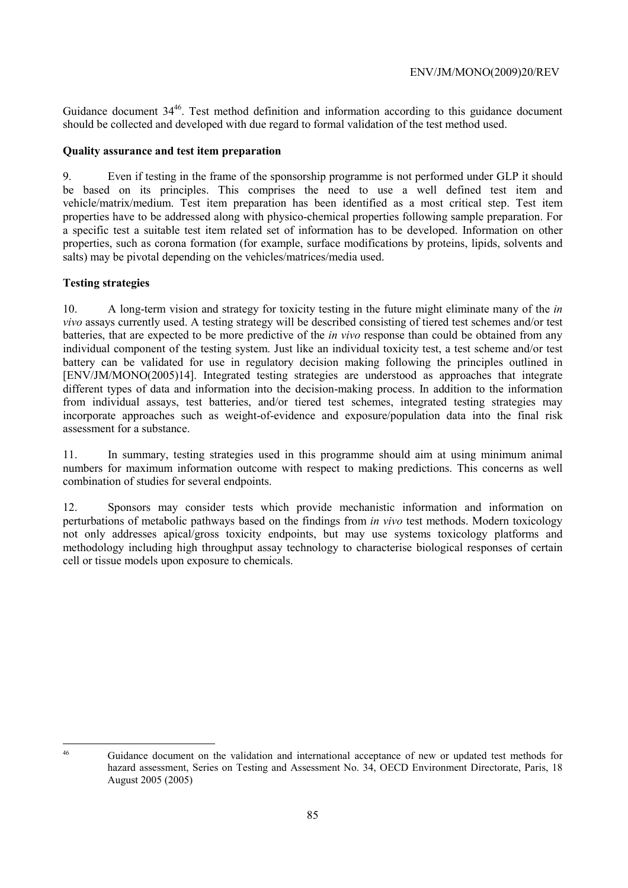Guidance document 34<sup>46</sup>. Test method definition and information according to this guidance document should be collected and developed with due regard to formal validation of the test method used.

## **Quality assurance and test item preparation**

9. Even if testing in the frame of the sponsorship programme is not performed under GLP it should be based on its principles. This comprises the need to use a well defined test item and vehicle/matrix/medium. Test item preparation has been identified as a most critical step. Test item properties have to be addressed along with physico-chemical properties following sample preparation. For a specific test a suitable test item related set of information has to be developed. Information on other properties, such as corona formation (for example, surface modifications by proteins, lipids, solvents and salts) may be pivotal depending on the vehicles/matrices/media used.

# **Testing strategies**

10. A long-term vision and strategy for toxicity testing in the future might eliminate many of the *in vivo* assays currently used. A testing strategy will be described consisting of tiered test schemes and/or test batteries, that are expected to be more predictive of the *in vivo* response than could be obtained from any individual component of the testing system. Just like an individual toxicity test, a test scheme and/or test battery can be validated for use in regulatory decision making following the principles outlined in [ENV/JM/MONO(2005)14]. Integrated testing strategies are understood as approaches that integrate different types of data and information into the decision-making process. In addition to the information from individual assays, test batteries, and/or tiered test schemes, integrated testing strategies may incorporate approaches such as weight-of-evidence and exposure/population data into the final risk assessment for a substance.

11. In summary, testing strategies used in this programme should aim at using minimum animal numbers for maximum information outcome with respect to making predictions. This concerns as well combination of studies for several endpoints.

12. Sponsors may consider tests which provide mechanistic information and information on perturbations of metabolic pathways based on the findings from *in vivo* test methods. Modern toxicology not only addresses apical/gross toxicity endpoints, but may use systems toxicology platforms and methodology including high throughput assay technology to characterise biological responses of certain cell or tissue models upon exposure to chemicals.

 $46$ 

<sup>46</sup> Guidance document on the validation and international acceptance of new or updated test methods for hazard assessment, Series on Testing and Assessment No. 34, OECD Environment Directorate, Paris, 18 August 2005 (2005)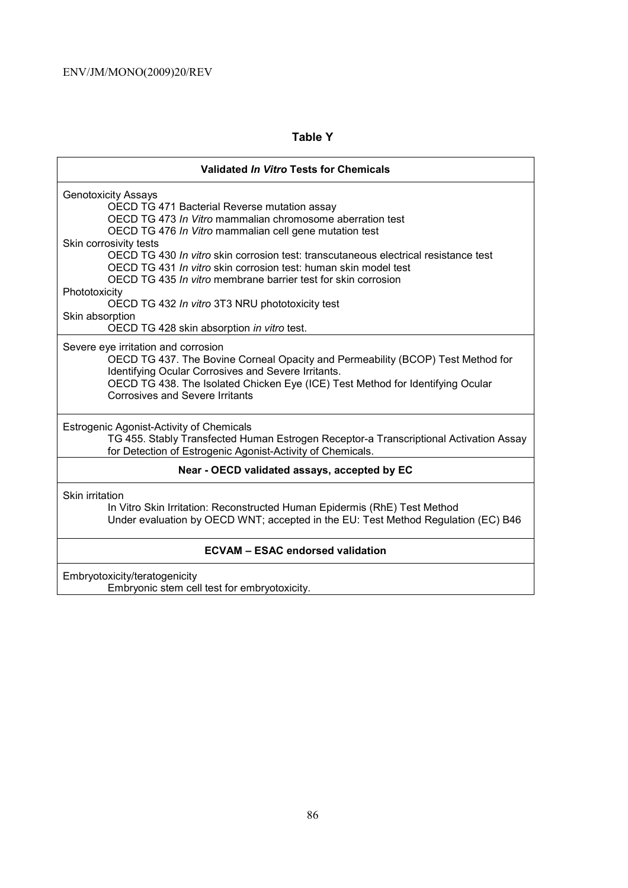# **Table Y**

| <b>Validated In Vitro Tests for Chemicals</b>                                                                                                                                                                                                                                                                                                                                                                                                                                                                                                 |  |  |  |
|-----------------------------------------------------------------------------------------------------------------------------------------------------------------------------------------------------------------------------------------------------------------------------------------------------------------------------------------------------------------------------------------------------------------------------------------------------------------------------------------------------------------------------------------------|--|--|--|
| <b>Genotoxicity Assays</b><br>OECD TG 471 Bacterial Reverse mutation assay<br>OECD TG 473 In Vitro mammalian chromosome aberration test<br>OECD TG 476 In Vitro mammalian cell gene mutation test<br>Skin corrosivity tests<br>OECD TG 430 In vitro skin corrosion test: transcutaneous electrical resistance test<br>OECD TG 431 In vitro skin corrosion test: human skin model test<br>OECD TG 435 In vitro membrane barrier test for skin corrosion<br>Phototoxicity<br>OECD TG 432 In vitro 3T3 NRU phototoxicity test<br>Skin absorption |  |  |  |
| OECD TG 428 skin absorption in vitro test.<br>Severe eye irritation and corrosion<br>OECD TG 437. The Bovine Corneal Opacity and Permeability (BCOP) Test Method for<br>Identifying Ocular Corrosives and Severe Irritants.<br>OECD TG 438. The Isolated Chicken Eye (ICE) Test Method for Identifying Ocular<br><b>Corrosives and Severe Irritants</b>                                                                                                                                                                                       |  |  |  |
| <b>Estrogenic Agonist-Activity of Chemicals</b><br>TG 455. Stably Transfected Human Estrogen Receptor-a Transcriptional Activation Assay<br>for Detection of Estrogenic Agonist-Activity of Chemicals.                                                                                                                                                                                                                                                                                                                                        |  |  |  |
| Near - OECD validated assays, accepted by EC                                                                                                                                                                                                                                                                                                                                                                                                                                                                                                  |  |  |  |
| Skin irritation<br>In Vitro Skin Irritation: Reconstructed Human Epidermis (RhE) Test Method<br>Under evaluation by OECD WNT; accepted in the EU: Test Method Regulation (EC) B46                                                                                                                                                                                                                                                                                                                                                             |  |  |  |
| <b>ECVAM - ESAC endorsed validation</b>                                                                                                                                                                                                                                                                                                                                                                                                                                                                                                       |  |  |  |
| Embryotoxicity/teratogenicity<br>Embryonic stem cell test for embryotoxicity.                                                                                                                                                                                                                                                                                                                                                                                                                                                                 |  |  |  |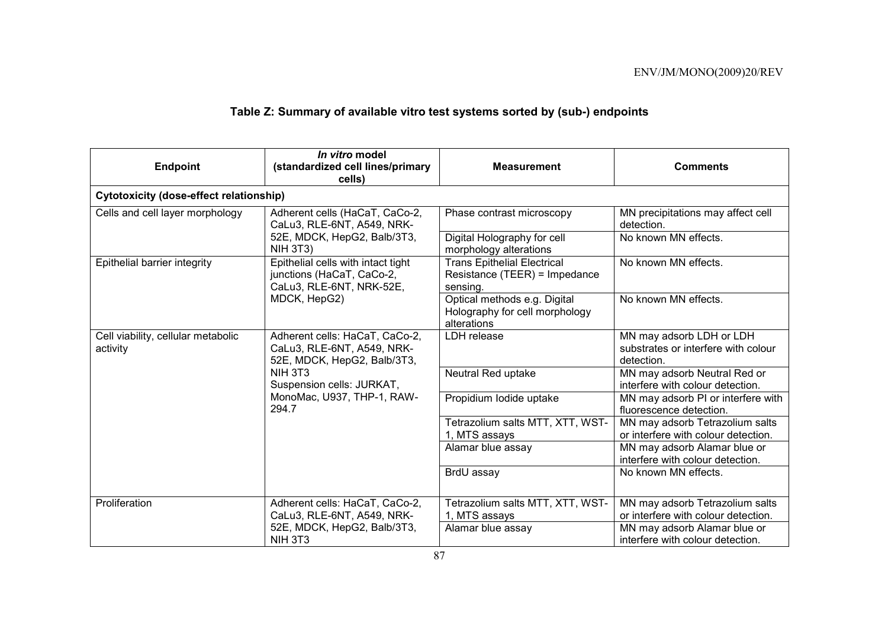# **Table Z: Summary of available vitro test systems sorted by (sub-) endpoints**

|                                                | In vitro model                                                                              |                                                                                 |                                                                                                        |  |
|------------------------------------------------|---------------------------------------------------------------------------------------------|---------------------------------------------------------------------------------|--------------------------------------------------------------------------------------------------------|--|
| <b>Endpoint</b>                                | (standardized cell lines/primary<br>cells)                                                  | <b>Measurement</b>                                                              | <b>Comments</b>                                                                                        |  |
|                                                | <b>Cytotoxicity (dose-effect relationship)</b>                                              |                                                                                 |                                                                                                        |  |
| Cells and cell layer morphology                | Adherent cells (HaCaT, CaCo-2,<br>CaLu3, RLE-6NT, A549, NRK-                                | Phase contrast microscopy                                                       | MN precipitations may affect cell<br>detection.                                                        |  |
|                                                | 52E, MDCK, HepG2, Balb/3T3,<br><b>NIH 3T3)</b>                                              | Digital Holography for cell<br>morphology alterations                           | No known MN effects.                                                                                   |  |
| Epithelial barrier integrity                   | Epithelial cells with intact tight<br>junctions (HaCaT, CaCo-2,<br>CaLu3, RLE-6NT, NRK-52E, | <b>Trans Epithelial Electrical</b><br>Resistance (TEER) = Impedance<br>sensing. | No known MN effects.                                                                                   |  |
|                                                | MDCK, HepG2)                                                                                | Optical methods e.g. Digital<br>Holography for cell morphology<br>alterations   | No known MN effects.                                                                                   |  |
| Cell viability, cellular metabolic<br>activity | Adherent cells: HaCaT, CaCo-2,<br>CaLu3, RLE-6NT, A549, NRK-<br>52E, MDCK, HepG2, Balb/3T3, | LDH release                                                                     | MN may adsorb LDH or LDH<br>substrates or interfere with colour<br>detection.                          |  |
|                                                | <b>NIH 3T3</b><br>Suspension cells: JURKAT,                                                 | Neutral Red uptake                                                              | MN may adsorb Neutral Red or<br>interfere with colour detection.                                       |  |
|                                                | MonoMac, U937, THP-1, RAW-<br>294.7                                                         | Propidium lodide uptake                                                         | MN may adsorb PI or interfere with<br>fluorescence detection.                                          |  |
|                                                |                                                                                             | Tetrazolium salts MTT, XTT, WST-<br>1, MTS assays                               | MN may adsorb Tetrazolium salts<br>or interfere with colour detection.                                 |  |
|                                                |                                                                                             | Alamar blue assay                                                               | MN may adsorb Alamar blue or<br>interfere with colour detection.                                       |  |
|                                                |                                                                                             | BrdU assay                                                                      | No known MN effects.                                                                                   |  |
| Proliferation                                  | Adherent cells: HaCaT, CaCo-2,<br>CaLu3, RLE-6NT, A549, NRK-<br>52E, MDCK, HepG2, Balb/3T3, | Tetrazolium salts MTT, XTT, WST-<br>1, MTS assays<br>Alamar blue assay          | MN may adsorb Tetrazolium salts<br>or interfere with colour detection.<br>MN may adsorb Alamar blue or |  |
|                                                | <b>NIH 3T3</b>                                                                              |                                                                                 | interfere with colour detection.                                                                       |  |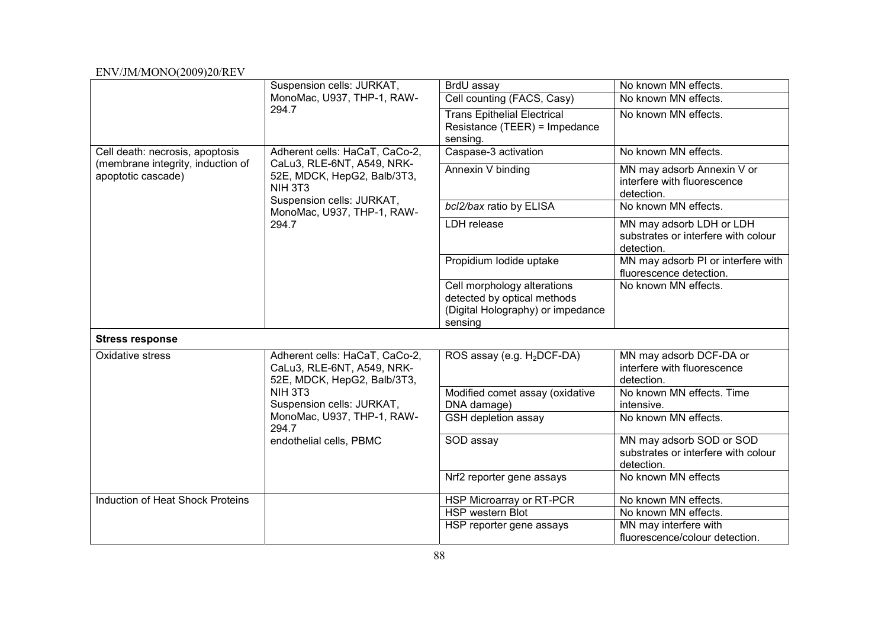|                                                         | Suspension cells: JURKAT,                                                                                                                       | BrdU assay                                                                                                 | No known MN effects.                                                          |
|---------------------------------------------------------|-------------------------------------------------------------------------------------------------------------------------------------------------|------------------------------------------------------------------------------------------------------------|-------------------------------------------------------------------------------|
|                                                         | MonoMac, U937, THP-1, RAW-<br>294.7                                                                                                             | Cell counting (FACS, Casy)                                                                                 | No known MN effects.                                                          |
|                                                         |                                                                                                                                                 | <b>Trans Epithelial Electrical</b><br>Resistance (TEER) = Impedance<br>sensing.                            | No known MN effects.                                                          |
| Cell death: necrosis, apoptosis                         | Adherent cells: HaCaT, CaCo-2,                                                                                                                  | Caspase-3 activation                                                                                       | No known MN effects.                                                          |
| (membrane integrity, induction of<br>apoptotic cascade) | CaLu3, RLE-6NT, A549, NRK-<br>52E, MDCK, HepG2, Balb/3T3,<br><b>NIH 3T3</b><br>Suspension cells: JURKAT,<br>MonoMac, U937, THP-1, RAW-<br>294.7 | Annexin V binding                                                                                          | MN may adsorb Annexin V or<br>interfere with fluorescence<br>detection.       |
|                                                         |                                                                                                                                                 | bcl2/bax ratio by ELISA                                                                                    | No known MN effects.                                                          |
|                                                         |                                                                                                                                                 | LDH release                                                                                                | MN may adsorb LDH or LDH<br>substrates or interfere with colour<br>detection. |
|                                                         |                                                                                                                                                 | Propidium lodide uptake                                                                                    | MN may adsorb PI or interfere with<br>fluorescence detection.                 |
|                                                         |                                                                                                                                                 | Cell morphology alterations<br>detected by optical methods<br>(Digital Holography) or impedance<br>sensing | No known MN effects.                                                          |
| <b>Stress response</b>                                  |                                                                                                                                                 |                                                                                                            |                                                                               |
| Oxidative stress                                        | Adherent cells: HaCaT, CaCo-2,<br>CaLu3, RLE-6NT, A549, NRK-<br>52E, MDCK, HepG2, Balb/3T3,                                                     | ROS assay (e.g. H <sub>2</sub> DCF-DA)                                                                     | MN may adsorb DCF-DA or<br>interfere with fluorescence<br>detection.          |
|                                                         | NIH <sub>3T3</sub><br>Suspension cells: JURKAT,<br>MonoMac, U937, THP-1, RAW-<br>294.7<br>endothelial cells, PBMC                               | Modified comet assay (oxidative<br>DNA damage)                                                             | No known MN effects. Time<br>intensive.                                       |
|                                                         |                                                                                                                                                 | <b>GSH</b> depletion assay                                                                                 | No known MN effects.                                                          |
|                                                         |                                                                                                                                                 | SOD assay                                                                                                  | MN may adsorb SOD or SOD<br>substrates or interfere with colour<br>detection. |
|                                                         |                                                                                                                                                 | Nrf2 reporter gene assays                                                                                  | No known MN effects                                                           |
| Induction of Heat Shock Proteins                        |                                                                                                                                                 | HSP Microarray or RT-PCR                                                                                   | No known MN effects.                                                          |
|                                                         |                                                                                                                                                 | <b>HSP</b> western Blot                                                                                    | No known MN effects.                                                          |
|                                                         |                                                                                                                                                 | HSP reporter gene assays                                                                                   | MN may interfere with<br>fluorescence/colour detection.                       |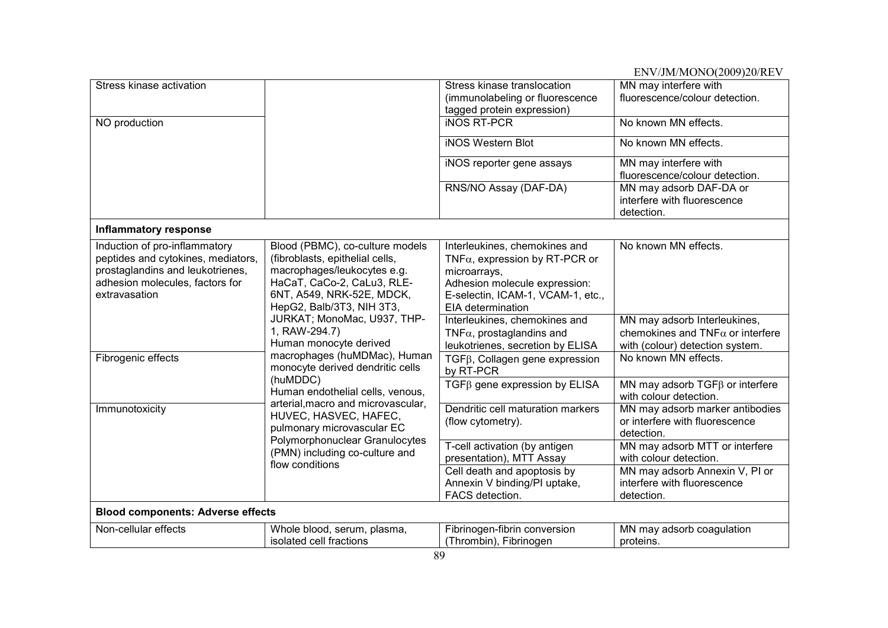| Stress kinase activation                 |                                    | Stress kinase translocation                              | MN may interfere with                                                |
|------------------------------------------|------------------------------------|----------------------------------------------------------|----------------------------------------------------------------------|
|                                          |                                    |                                                          | fluorescence/colour detection.                                       |
|                                          |                                    | (immunolabeling or fluorescence                          |                                                                      |
|                                          |                                    | tagged protein expression)                               |                                                                      |
| NO production                            |                                    | <b>INOS RT-PCR</b>                                       | No known MN effects.                                                 |
|                                          |                                    | <b>iNOS Western Blot</b>                                 | No known MN effects.                                                 |
|                                          |                                    | iNOS reporter gene assays                                | MN may interfere with                                                |
|                                          |                                    |                                                          | fluorescence/colour detection.                                       |
|                                          |                                    | RNS/NO Assay (DAF-DA)                                    | MN may adsorb DAF-DA or<br>interfere with fluorescence<br>detection. |
| <b>Inflammatory response</b>             |                                    |                                                          |                                                                      |
| Induction of pro-inflammatory            | Blood (PBMC), co-culture models    | Interleukines, chemokines and                            | No known MN effects.                                                 |
| peptides and cytokines, mediators,       | (fibroblasts, epithelial cells,    | TNF $\alpha$ , expression by RT-PCR or                   |                                                                      |
| prostaglandins and leukotrienes,         | macrophages/leukocytes e.g.        | microarrays,                                             |                                                                      |
| adhesion molecules, factors for          | HaCaT, CaCo-2, CaLu3, RLE-         | Adhesion molecule expression:                            |                                                                      |
| extravasation                            | 6NT, A549, NRK-52E, MDCK,          | E-selectin, ICAM-1, VCAM-1, etc.,                        |                                                                      |
|                                          | HepG2, Balb/3T3, NIH 3T3,          | EIA determination                                        |                                                                      |
|                                          | JURKAT; MonoMac, U937, THP-        | Interleukines, chemokines and                            | MN may adsorb Interleukines,                                         |
|                                          | 1, RAW-294.7)                      |                                                          |                                                                      |
|                                          | Human monocyte derived             | TNF $\alpha$ , prostaglandins and                        | chemokines and $TNF\alpha$ or interfere                              |
|                                          | macrophages (huMDMac), Human       | leukotrienes, secretion by ELISA                         | with (colour) detection system.                                      |
| Fibrogenic effects                       | monocyte derived dendritic cells   | TGF <sub>B</sub> , Collagen gene expression<br>by RT-PCR | No known MN effects.                                                 |
|                                          | (huMDDC)                           | TGF <sub>B</sub> gene expression by ELISA                | MN may adsorb $TGF\beta$ or interfere                                |
|                                          | Human endothelial cells, venous,   |                                                          | with colour detection.                                               |
| Immunotoxicity                           | arterial, macro and microvascular, | Dendritic cell maturation markers                        | MN may adsorb marker antibodies                                      |
|                                          | HUVEC, HASVEC, HAFEC,              | (flow cytometry).                                        | or interfere with fluorescence                                       |
|                                          | pulmonary microvascular EC         |                                                          | detection.                                                           |
|                                          | Polymorphonuclear Granulocytes     | T-cell activation (by antigen                            | MN may adsorb MTT or interfere                                       |
|                                          | (PMN) including co-culture and     | presentation), MTT Assay                                 | with colour detection.                                               |
|                                          | flow conditions                    | Cell death and apoptosis by                              | MN may adsorb Annexin V, PI or                                       |
|                                          |                                    |                                                          |                                                                      |
|                                          |                                    | Annexin V binding/PI uptake,                             | interfere with fluorescence                                          |
|                                          |                                    | FACS detection.                                          | detection.                                                           |
| <b>Blood components: Adverse effects</b> |                                    |                                                          |                                                                      |
| Non-cellular effects                     | Whole blood, serum, plasma,        | Fibrinogen-fibrin conversion                             | MN may adsorb coagulation                                            |
|                                          | isolated cell fractions            | (Thrombin), Fibrinogen                                   | proteins.                                                            |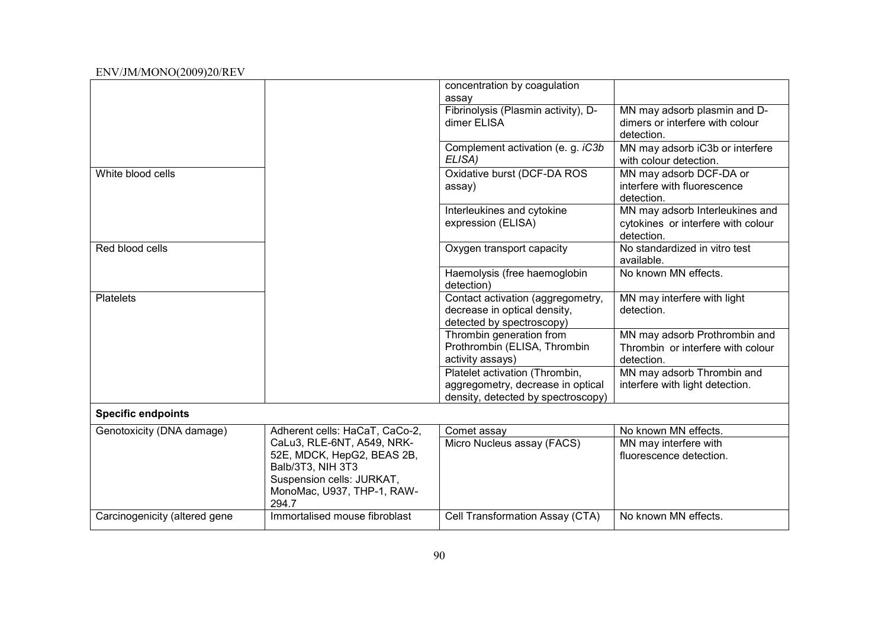|                               |                                                                                                                                                                                     | concentration by coagulation                                                                              |                                                                                     |
|-------------------------------|-------------------------------------------------------------------------------------------------------------------------------------------------------------------------------------|-----------------------------------------------------------------------------------------------------------|-------------------------------------------------------------------------------------|
|                               |                                                                                                                                                                                     | assay<br>Fibrinolysis (Plasmin activity), D-<br>dimer ELISA                                               | MN may adsorb plasmin and D-<br>dimers or interfere with colour<br>detection.       |
|                               |                                                                                                                                                                                     | Complement activation (e. g. iC3b<br>ELISA)                                                               | MN may adsorb iC3b or interfere<br>with colour detection.                           |
| White blood cells             |                                                                                                                                                                                     | Oxidative burst (DCF-DA ROS<br>assay)                                                                     | MN may adsorb DCF-DA or<br>interfere with fluorescence<br>detection.                |
|                               |                                                                                                                                                                                     | Interleukines and cytokine<br>expression (ELISA)                                                          | MN may adsorb Interleukines and<br>cytokines or interfere with colour<br>detection. |
| Red blood cells               |                                                                                                                                                                                     | Oxygen transport capacity                                                                                 | No standardized in vitro test<br>available.                                         |
|                               |                                                                                                                                                                                     | Haemolysis (free haemoglobin<br>detection)                                                                | No known MN effects.                                                                |
| <b>Platelets</b>              |                                                                                                                                                                                     | Contact activation (aggregometry,<br>decrease in optical density,<br>detected by spectroscopy)            | MN may interfere with light<br>detection.                                           |
|                               |                                                                                                                                                                                     | Thrombin generation from<br>Prothrombin (ELISA, Thrombin<br>activity assays)                              | MN may adsorb Prothrombin and<br>Thrombin or interfere with colour<br>detection.    |
|                               |                                                                                                                                                                                     | Platelet activation (Thrombin,<br>aggregometry, decrease in optical<br>density, detected by spectroscopy) | MN may adsorb Thrombin and<br>interfere with light detection.                       |
| <b>Specific endpoints</b>     |                                                                                                                                                                                     |                                                                                                           |                                                                                     |
| Genotoxicity (DNA damage)     | Adherent cells: HaCaT, CaCo-2,<br>CaLu3, RLE-6NT, A549, NRK-<br>52E, MDCK, HepG2, BEAS 2B,<br>Balb/3T3, NIH 3T3<br>Suspension cells: JURKAT,<br>MonoMac, U937, THP-1, RAW-<br>294.7 | Comet assay<br>Micro Nucleus assay (FACS)                                                                 | No known MN effects.<br>MN may interfere with<br>fluorescence detection.            |
| Carcinogenicity (altered gene | Immortalised mouse fibroblast                                                                                                                                                       | Cell Transformation Assay (CTA)                                                                           | No known MN effects.                                                                |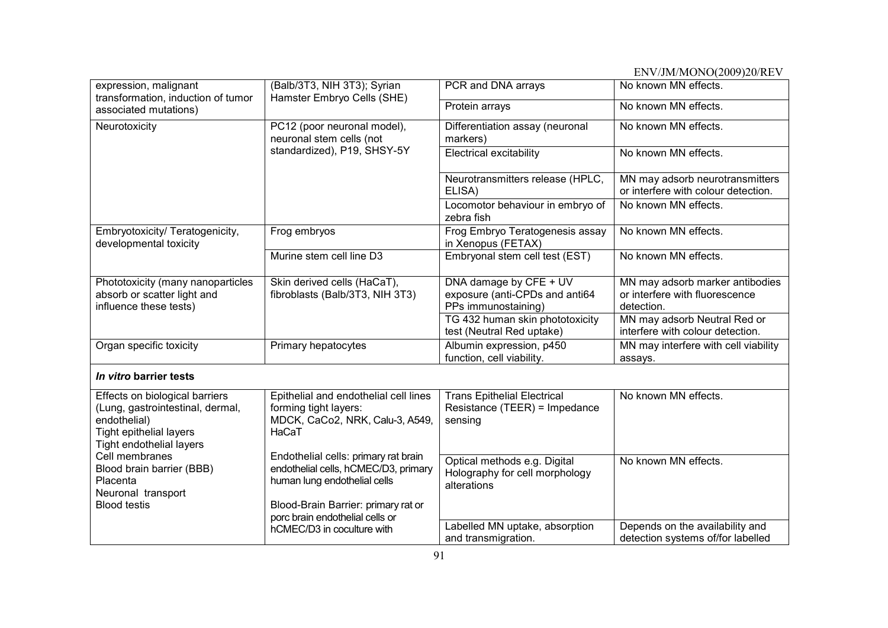| expression, malignant<br>transformation, induction of tumor                                                                                             | (Balb/3T3, NIH 3T3); Syrian<br>Hamster Embryo Cells (SHE)                                                    | PCR and DNA arrays                                                              | No known MN effects.                                                            |  |
|---------------------------------------------------------------------------------------------------------------------------------------------------------|--------------------------------------------------------------------------------------------------------------|---------------------------------------------------------------------------------|---------------------------------------------------------------------------------|--|
| associated mutations)                                                                                                                                   |                                                                                                              | Protein arrays                                                                  | No known MN effects.                                                            |  |
| Neurotoxicity                                                                                                                                           | PC12 (poor neuronal model),<br>neuronal stem cells (not                                                      | Differentiation assay (neuronal<br>markers)                                     | No known MN effects.                                                            |  |
|                                                                                                                                                         | standardized), P19, SHSY-5Y                                                                                  | <b>Electrical excitability</b>                                                  | No known MN effects.                                                            |  |
|                                                                                                                                                         |                                                                                                              | Neurotransmitters release (HPLC,<br>ELISA)                                      | MN may adsorb neurotransmitters<br>or interfere with colour detection.          |  |
|                                                                                                                                                         |                                                                                                              | Locomotor behaviour in embryo of<br>zebra fish                                  | No known MN effects.                                                            |  |
| Embryotoxicity/ Teratogenicity,<br>developmental toxicity                                                                                               | Frog embryos                                                                                                 | Frog Embryo Teratogenesis assay<br>in Xenopus (FETAX)                           | No known MN effects.                                                            |  |
|                                                                                                                                                         | Murine stem cell line D3                                                                                     | Embryonal stem cell test (EST)                                                  | No known MN effects.                                                            |  |
| Phototoxicity (many nanoparticles<br>absorb or scatter light and<br>influence these tests)                                                              | Skin derived cells (HaCaT),<br>fibroblasts (Balb/3T3, NIH 3T3)                                               | DNA damage by CFE + UV<br>exposure (anti-CPDs and anti64<br>PPs immunostaining) | MN may adsorb marker antibodies<br>or interfere with fluorescence<br>detection. |  |
|                                                                                                                                                         |                                                                                                              | TG 432 human skin phototoxicity<br>test (Neutral Red uptake)                    | MN may adsorb Neutral Red or<br>interfere with colour detection.                |  |
| Organ specific toxicity                                                                                                                                 | Primary hepatocytes                                                                                          | Albumin expression, p450<br>function, cell viability.                           | MN may interfere with cell viability<br>assays.                                 |  |
| In vitro barrier tests                                                                                                                                  |                                                                                                              |                                                                                 |                                                                                 |  |
| Effects on biological barriers<br>(Lung, gastrointestinal, dermal,<br>endothelial)<br><b>Tight epithelial layers</b><br><b>Tight endothelial layers</b> | Epithelial and endothelial cell lines<br>forming tight layers:<br>MDCK, CaCo2, NRK, Calu-3, A549,<br>HaCaT   | <b>Trans Epithelial Electrical</b><br>Resistance (TEER) = Impedance<br>sensing  | No known MN effects.                                                            |  |
| Cell membranes<br>Blood brain barrier (BBB)<br>Placenta<br>Neuronal transport                                                                           | Endothelial cells: primary rat brain<br>endothelial cells, hCMEC/D3, primary<br>human lung endothelial cells | Optical methods e.g. Digital<br>Holography for cell morphology<br>alterations   | No known MN effects.                                                            |  |
| <b>Blood testis</b>                                                                                                                                     | Blood-Brain Barrier: primary rat or<br>porc brain endothelial cells or<br>hCMEC/D3 in coculture with         | Labelled MN uptake, absorption<br>and transmigration.                           | Depends on the availability and<br>detection systems of/for labelled            |  |